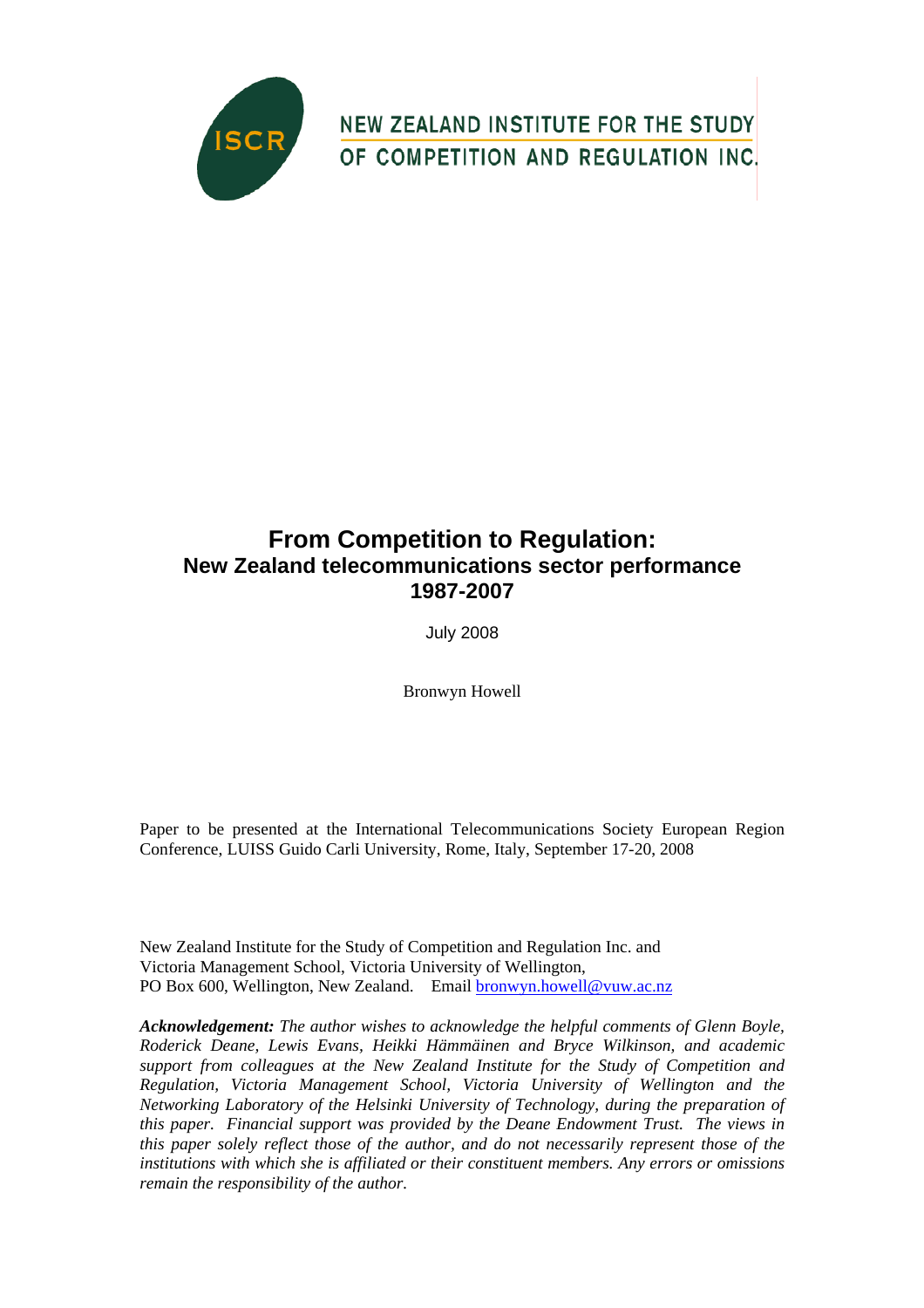

NEW ZEALAND INSTITUTE FOR THE STUDY OF COMPETITION AND REGULATION INC.

# **From Competition to Regulation: New Zealand telecommunications sector performance 1987-2007**

July 2008

Bronwyn Howell

Paper to be presented at the International Telecommunications Society European Region Conference, LUISS Guido Carli University, Rome, Italy, September 17-20, 2008

New Zealand Institute for the Study of Competition and Regulation Inc. and Victoria Management School, Victoria University of Wellington, PO Box 600, Wellington, New Zealand. Email [bronwyn.howell@vuw.ac.nz](mailto:bronwyn.howell@vuw.ac.nz)

*Acknowledgement: The author wishes to acknowledge the helpful comments of Glenn Boyle, Roderick Deane, Lewis Evans, Heikki Hämmäinen and Bryce Wilkinson, and academic support from colleagues at the New Zealand Institute for the Study of Competition and Regulation, Victoria Management School, Victoria University of Wellington and the Networking Laboratory of the Helsinki University of Technology, during the preparation of this paper. Financial support was provided by the Deane Endowment Trust. The views in this paper solely reflect those of the author, and do not necessarily represent those of the institutions with which she is affiliated or their constituent members. Any errors or omissions remain the responsibility of the author.*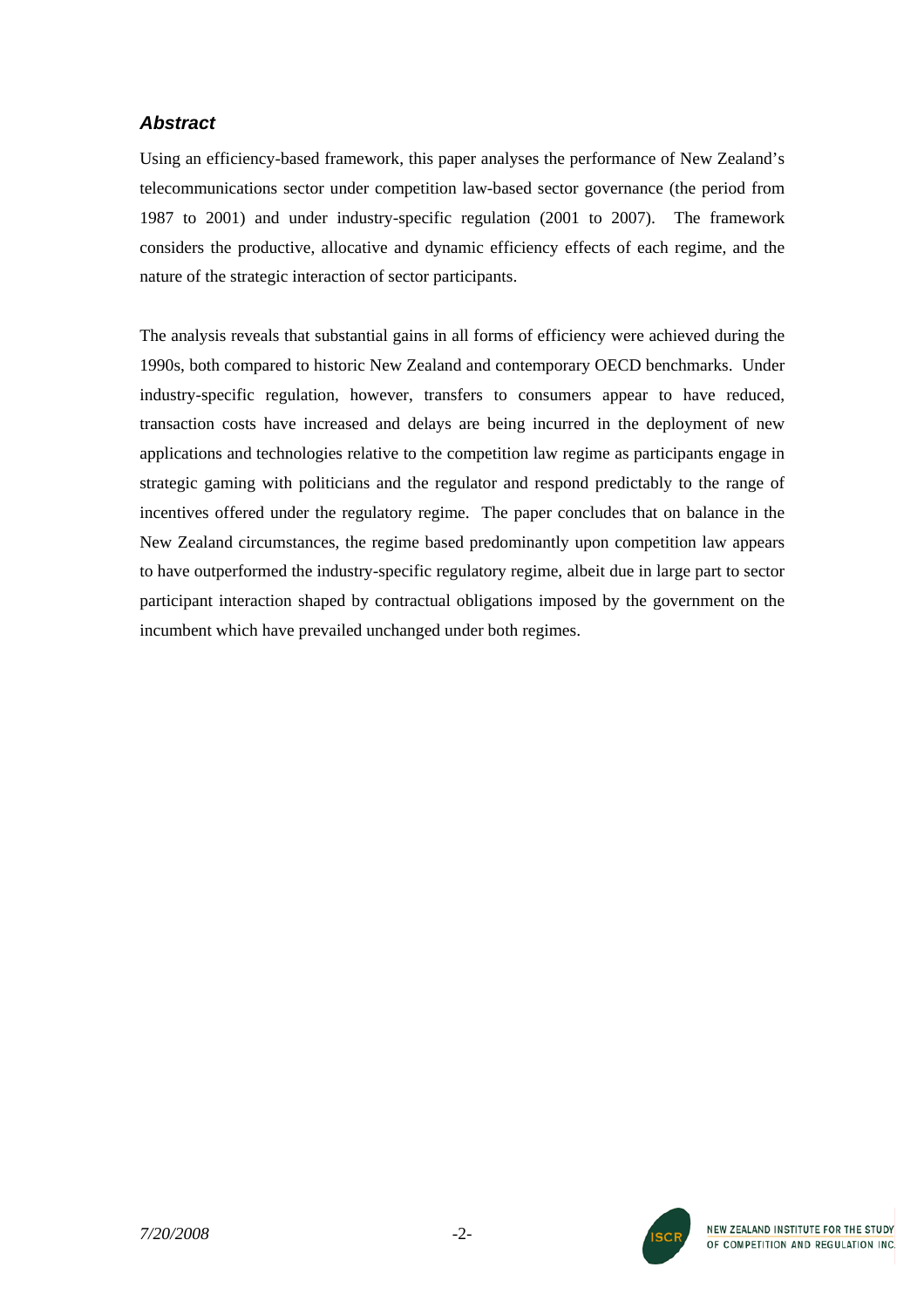# *Abstract*

Using an efficiency-based framework, this paper analyses the performance of New Zealand's telecommunications sector under competition law-based sector governance (the period from 1987 to 2001) and under industry-specific regulation (2001 to 2007). The framework considers the productive, allocative and dynamic efficiency effects of each regime, and the nature of the strategic interaction of sector participants.

The analysis reveals that substantial gains in all forms of efficiency were achieved during the 1990s, both compared to historic New Zealand and contemporary OECD benchmarks. Under industry-specific regulation, however, transfers to consumers appear to have reduced, transaction costs have increased and delays are being incurred in the deployment of new applications and technologies relative to the competition law regime as participants engage in strategic gaming with politicians and the regulator and respond predictably to the range of incentives offered under the regulatory regime. The paper concludes that on balance in the New Zealand circumstances, the regime based predominantly upon competition law appears to have outperformed the industry-specific regulatory regime, albeit due in large part to sector participant interaction shaped by contractual obligations imposed by the government on the incumbent which have prevailed unchanged under both regimes.

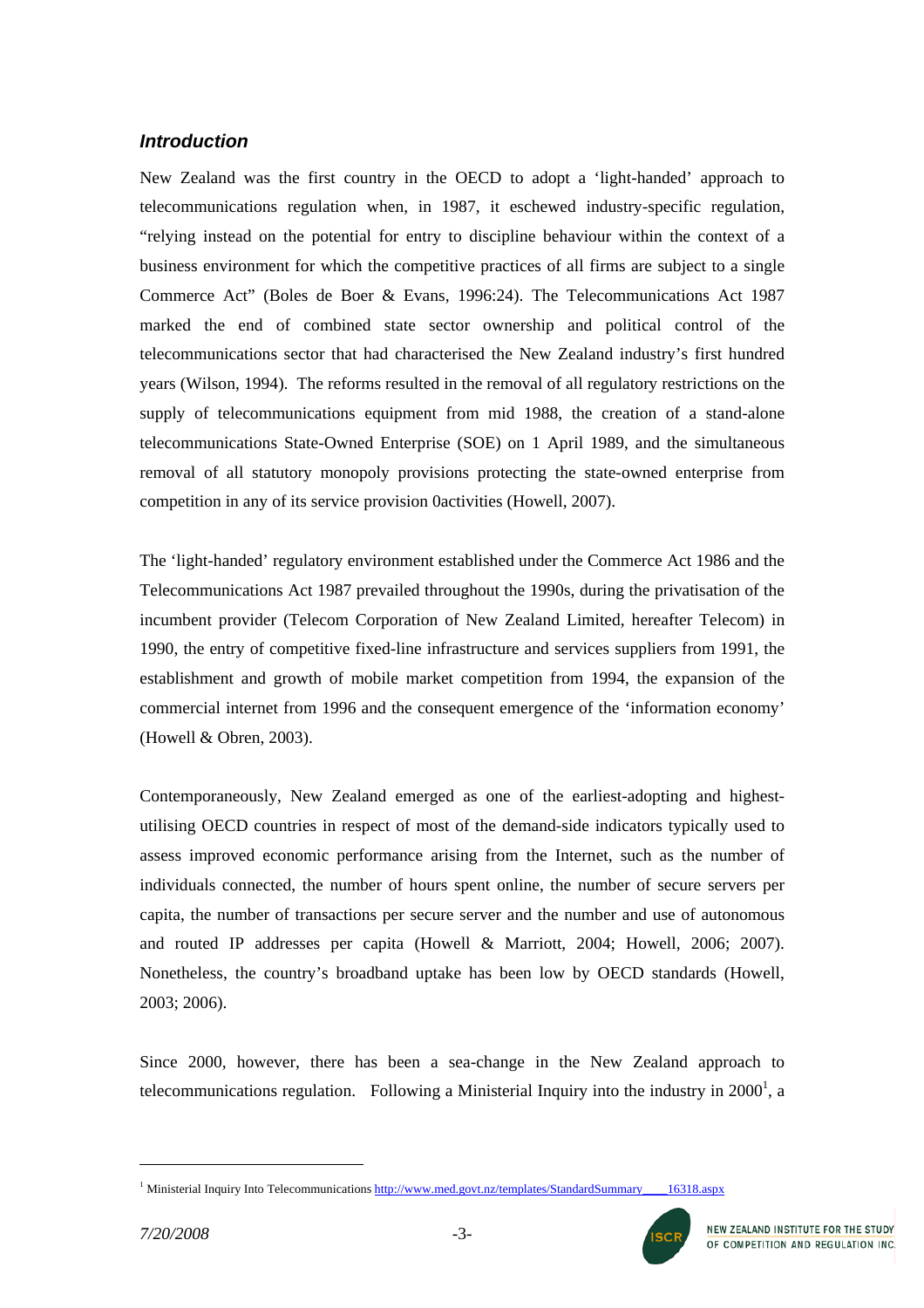# *Introduction*

New Zealand was the first country in the OECD to adopt a 'light-handed' approach to telecommunications regulation when, in 1987, it eschewed industry-specific regulation, "relying instead on the potential for entry to discipline behaviour within the context of a business environment for which the competitive practices of all firms are subject to a single Commerce Act" (Boles de Boer & Evans, 1996:24). The Telecommunications Act 1987 marked the end of combined state sector ownership and political control of the telecommunications sector that had characterised the New Zealand industry's first hundred years (Wilson, 1994). The reforms resulted in the removal of all regulatory restrictions on the supply of telecommunications equipment from mid 1988, the creation of a stand-alone telecommunications State-Owned Enterprise (SOE) on 1 April 1989, and the simultaneous removal of all statutory monopoly provisions protecting the state-owned enterprise from competition in any of its service provision 0activities (Howell, 2007).

The 'light-handed' regulatory environment established under the Commerce Act 1986 and the Telecommunications Act 1987 prevailed throughout the 1990s, during the privatisation of the incumbent provider (Telecom Corporation of New Zealand Limited, hereafter Telecom) in 1990, the entry of competitive fixed-line infrastructure and services suppliers from 1991, the establishment and growth of mobile market competition from 1994, the expansion of the commercial internet from 1996 and the consequent emergence of the 'information economy' (Howell & Obren, 2003).

Contemporaneously, New Zealand emerged as one of the earliest-adopting and highestutilising OECD countries in respect of most of the demand-side indicators typically used to assess improved economic performance arising from the Internet, such as the number of individuals connected, the number of hours spent online, the number of secure servers per capita, the number of transactions per secure server and the number and use of autonomous and routed IP addresses per capita (Howell & Marriott, 2004; Howell, 2006; 2007). Nonetheless, the country's broadband uptake has been low by OECD standards (Howell, 2003; 2006).

Since 2000, however, there has been a sea-change in the New Zealand approach to telecommunications regulation. Following a Ministerial Inquiry into the industry in  $2000<sup>1</sup>$ , a

<span id="page-2-0"></span><sup>&</sup>lt;sup>1</sup> Ministerial Inquiry Into Telecommunications http://www.med.govt.nz/templates/StandardSummary\_\_\_\_16318.aspx

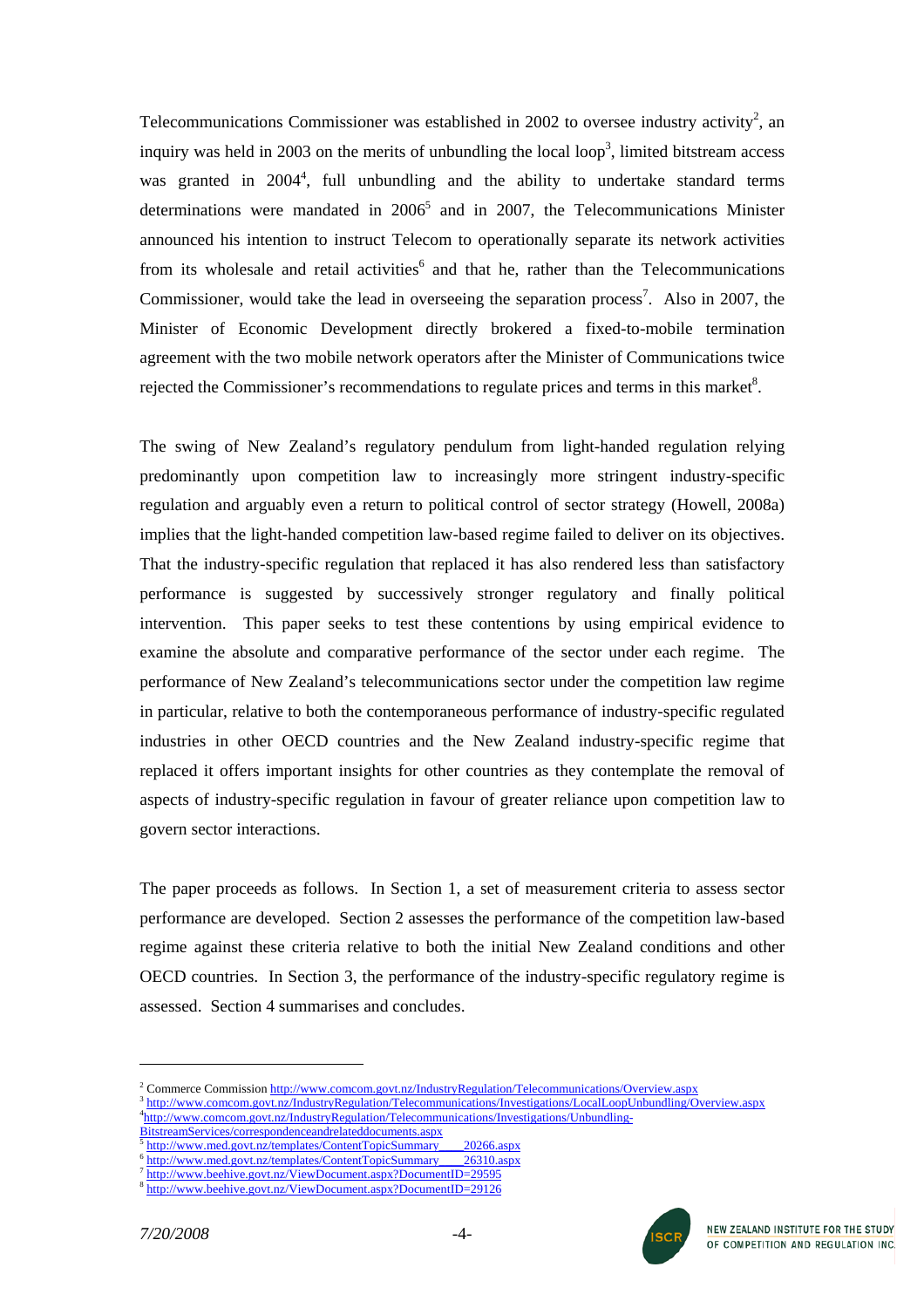Telecommunications Commissioner was established in [2](#page-3-0)002 to oversee industry activity<sup>2</sup>, an inquiry was held in 200[3](#page-3-1) on the merits of unbundling the local loop<sup>3</sup>, limited bitstream access was granted in 200[4](#page-3-2)<sup>4</sup>, full unbundling and the ability to undertake standard terms determinations were mandated in  $2006<sup>5</sup>$  $2006<sup>5</sup>$  $2006<sup>5</sup>$  and in 2007, the Telecommunications Minister announced his intention to instruct Telecom to operationally separate its network activities from its wholesale and retail activities<sup>[6](#page-3-4)</sup> and that he, rather than the Telecommunications Commissioner, would take the lead in overseeing the separation process<sup>[7](#page-3-5)</sup>. Also in 2007, the Minister of Economic Development directly brokered a fixed-to-mobile termination agreement with the two mobile network operators after the Minister of Communications twice rejected the Commissioner's recommendations to regulate prices and terms in this market $8$ .

The swing of New Zealand's regulatory pendulum from light-handed regulation relying predominantly upon competition law to increasingly more stringent industry-specific regulation and arguably even a return to political control of sector strategy (Howell, 2008a) implies that the light-handed competition law-based regime failed to deliver on its objectives. That the industry-specific regulation that replaced it has also rendered less than satisfactory performance is suggested by successively stronger regulatory and finally political intervention. This paper seeks to test these contentions by using empirical evidence to examine the absolute and comparative performance of the sector under each regime. The performance of New Zealand's telecommunications sector under the competition law regime in particular, relative to both the contemporaneous performance of industry-specific regulated industries in other OECD countries and the New Zealand industry-specific regime that replaced it offers important insights for other countries as they contemplate the removal of aspects of industry-specific regulation in favour of greater reliance upon competition law to govern sector interactions.

The paper proceeds as follows. In Section 1, a set of measurement criteria to assess sector performance are developed. Section 2 assesses the performance of the competition law-based regime against these criteria relative to both the initial New Zealand conditions and other OECD countries. In Section 3, the performance of the industry-specific regulatory regime is assessed. Section 4 summarises and concludes.



<span id="page-3-0"></span><sup>&</sup>lt;sup>2</sup> Commerce Commission http://www.comcom.govt.nz/IndustryRegulation/Telecommunications/Overview.aspx

<span id="page-3-1"></span><sup>&</sup>lt;sup>3</sup> http://www.comcom.govt.nz/IndustryRegulation/Telecommunications/Investigations/LocalLoopUnbundling/Overview.aspx

<span id="page-3-2"></span><sup>&</sup>lt;sup>4</sup>http://www.comcom.govt.nz/IndustryRegulation/Telecommunications/Investigations/Unbundling-<br>BitstreamServices/correspondenceandrelateddocuments.aspx

<span id="page-3-3"></span>http://www.med.govt.nz/templates/ContentTopicSummary 20266.aspx<br>http://www.med.govt.nz/templates/ContentTopicSummary 26310.aspx<br>http://www.beehive.govt.nz/ViewDocument.aspx?DocumentID=29[5](http://www.comcom.govt.nz/IndustryRegulation/Telecommunications/Investigations/Unbundling-BitstreamServices/correspondenceandrelateddocuments.aspx)95

<span id="page-3-5"></span><span id="page-3-4"></span>

<span id="page-3-6"></span><http://www.beehive.govt.nz/ViewDocument.aspx?DocumentID=29126>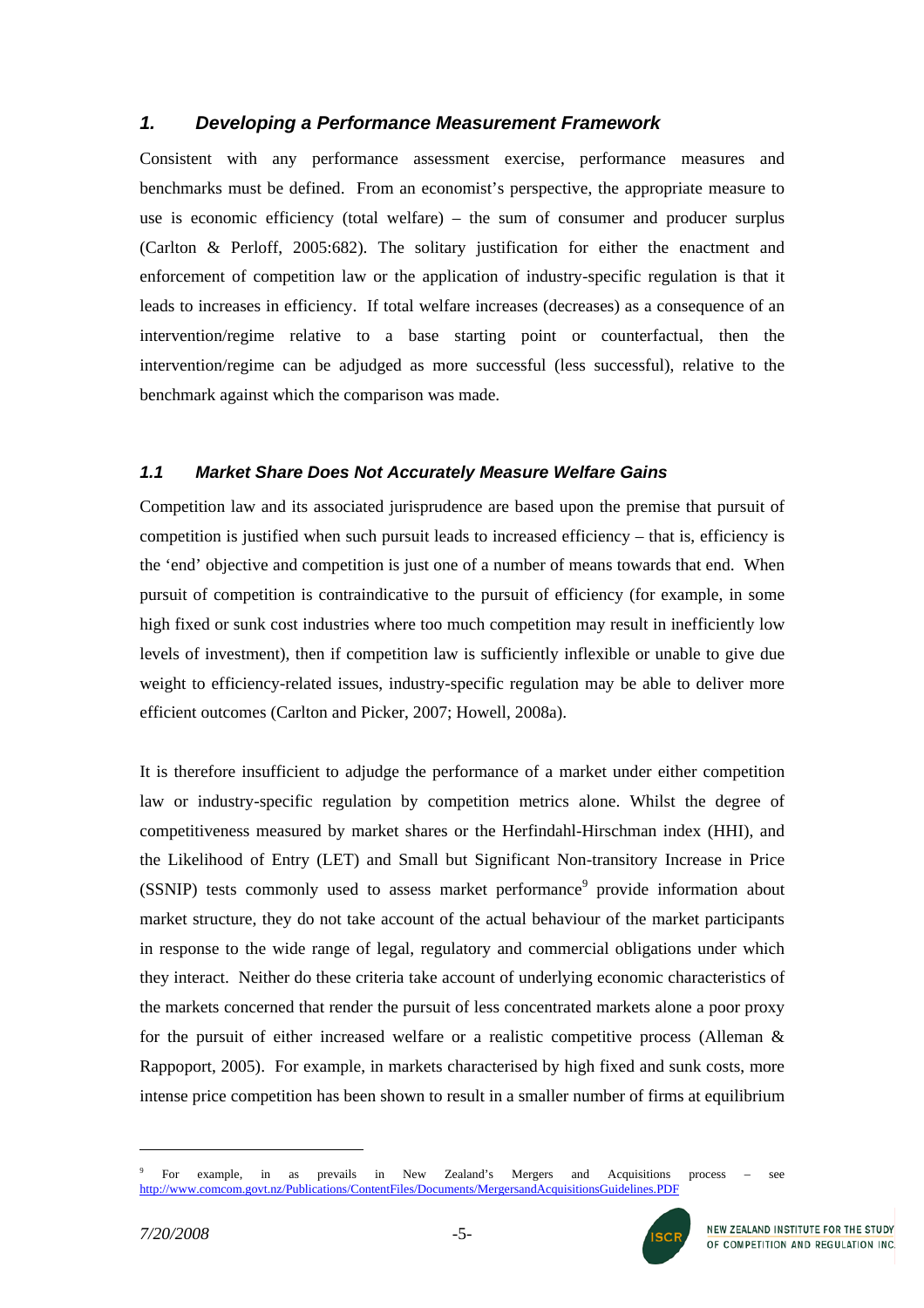# *1. Developing a Performance Measurement Framework*

Consistent with any performance assessment exercise, performance measures and benchmarks must be defined. From an economist's perspective, the appropriate measure to use is economic efficiency (total welfare) – the sum of consumer and producer surplus (Carlton & Perloff, 2005:682). The solitary justification for either the enactment and enforcement of competition law or the application of industry-specific regulation is that it leads to increases in efficiency. If total welfare increases (decreases) as a consequence of an intervention/regime relative to a base starting point or counterfactual, then the intervention/regime can be adjudged as more successful (less successful), relative to the benchmark against which the comparison was made.

# *1.1 Market Share Does Not Accurately Measure Welfare Gains*

Competition law and its associated jurisprudence are based upon the premise that pursuit of competition is justified when such pursuit leads to increased efficiency – that is, efficiency is the 'end' objective and competition is just one of a number of means towards that end. When pursuit of competition is contraindicative to the pursuit of efficiency (for example, in some high fixed or sunk cost industries where too much competition may result in inefficiently low levels of investment), then if competition law is sufficiently inflexible or unable to give due weight to efficiency-related issues, industry-specific regulation may be able to deliver more efficient outcomes (Carlton and Picker, 2007; Howell, 2008a).

It is therefore insufficient to adjudge the performance of a market under either competition law or industry-specific regulation by competition metrics alone. Whilst the degree of competitiveness measured by market shares or the Herfindahl-Hirschman index (HHI), and the Likelihood of Entry (LET) and Small but Significant Non-transitory Increase in Price (SSNIP)tests commonly used to assess market performance<sup>9</sup> provide information about market structure, they do not take account of the actual behaviour of the market participants in response to the wide range of legal, regulatory and commercial obligations under which they interact. Neither do these criteria take account of underlying economic characteristics of the markets concerned that render the pursuit of less concentrated markets alone a poor proxy for the pursuit of either increased welfare or a realistic competitive process (Alleman & Rappoport, 2005). For example, in markets characterised by high fixed and sunk costs, more intense price competition has been shown to result in a smaller number of firms at equilibrium

<span id="page-4-0"></span><sup>9</sup> For example, in as prevails in New Zealand's Mergers and Acquisitions process – see <http://www.comcom.govt.nz/Publications/ContentFiles/Documents/MergersandAcquisitionsGuidelines.PDF>

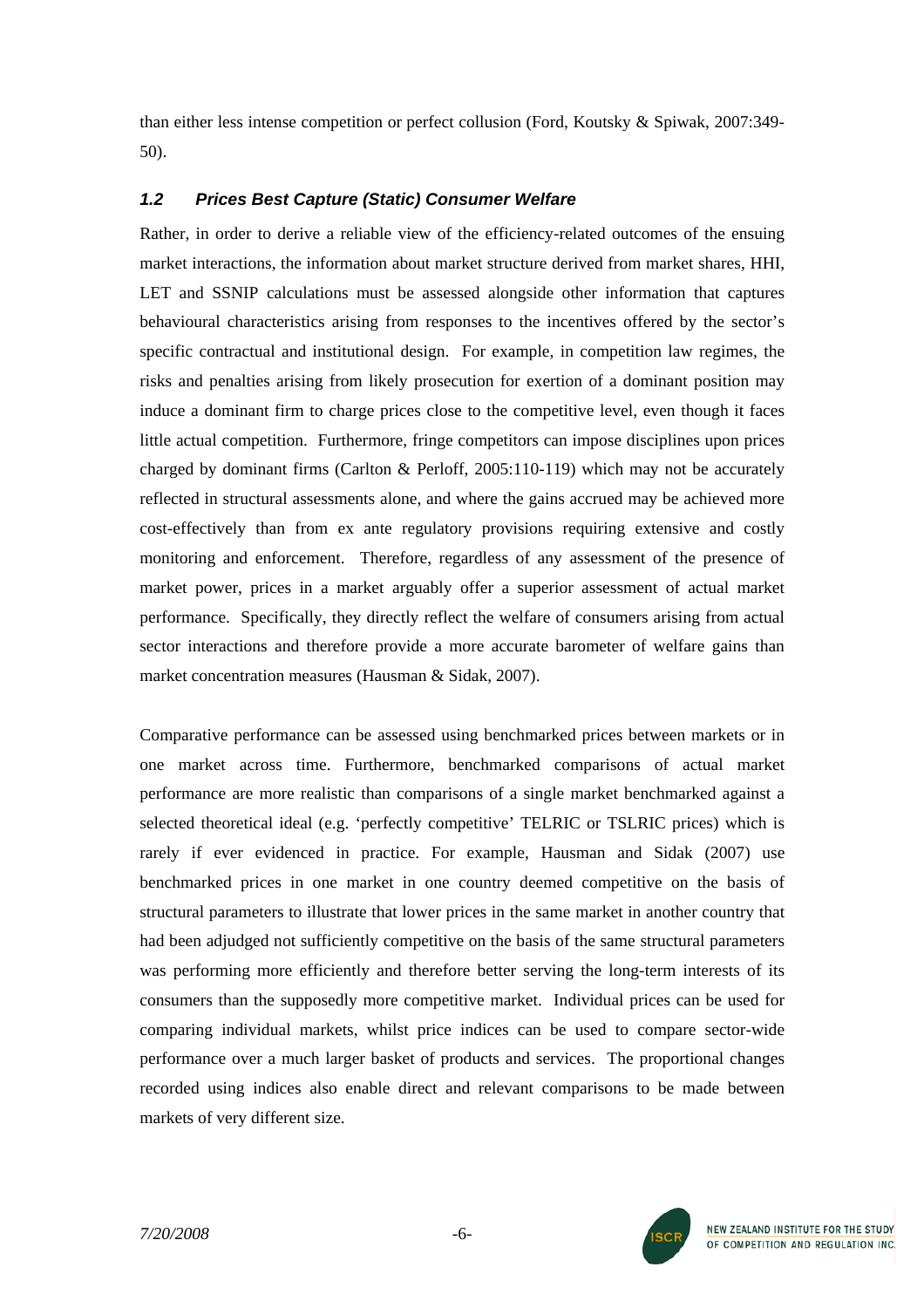than either less intense competition or perfect collusion (Ford, Koutsky & Spiwak, 2007:349- 50).

# *1.2 Prices Best Capture (Static) Consumer Welfare*

Rather, in order to derive a reliable view of the efficiency-related outcomes of the ensuing market interactions, the information about market structure derived from market shares, HHI, LET and SSNIP calculations must be assessed alongside other information that captures behavioural characteristics arising from responses to the incentives offered by the sector's specific contractual and institutional design. For example, in competition law regimes, the risks and penalties arising from likely prosecution for exertion of a dominant position may induce a dominant firm to charge prices close to the competitive level, even though it faces little actual competition. Furthermore, fringe competitors can impose disciplines upon prices charged by dominant firms (Carlton & Perloff, 2005:110-119) which may not be accurately reflected in structural assessments alone, and where the gains accrued may be achieved more cost-effectively than from ex ante regulatory provisions requiring extensive and costly monitoring and enforcement. Therefore, regardless of any assessment of the presence of market power, prices in a market arguably offer a superior assessment of actual market performance. Specifically, they directly reflect the welfare of consumers arising from actual sector interactions and therefore provide a more accurate barometer of welfare gains than market concentration measures (Hausman & Sidak, 2007).

Comparative performance can be assessed using benchmarked prices between markets or in one market across time. Furthermore, benchmarked comparisons of actual market performance are more realistic than comparisons of a single market benchmarked against a selected theoretical ideal (e.g. 'perfectly competitive' TELRIC or TSLRIC prices) which is rarely if ever evidenced in practice. For example, Hausman and Sidak (2007) use benchmarked prices in one market in one country deemed competitive on the basis of structural parameters to illustrate that lower prices in the same market in another country that had been adjudged not sufficiently competitive on the basis of the same structural parameters was performing more efficiently and therefore better serving the long-term interests of its consumers than the supposedly more competitive market. Individual prices can be used for comparing individual markets, whilst price indices can be used to compare sector-wide performance over a much larger basket of products and services. The proportional changes recorded using indices also enable direct and relevant comparisons to be made between markets of very different size.

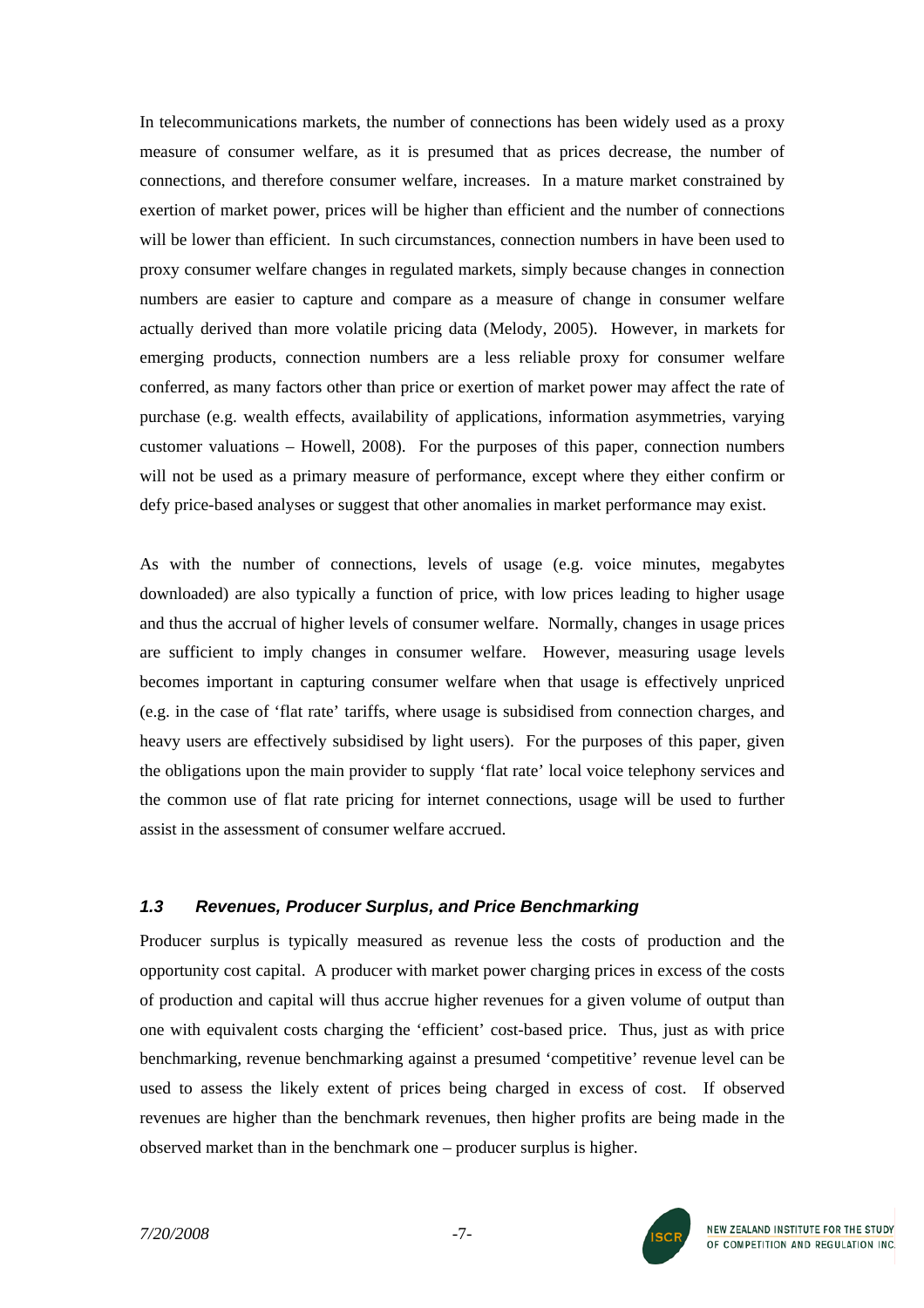In telecommunications markets, the number of connections has been widely used as a proxy measure of consumer welfare, as it is presumed that as prices decrease, the number of connections, and therefore consumer welfare, increases. In a mature market constrained by exertion of market power, prices will be higher than efficient and the number of connections will be lower than efficient. In such circumstances, connection numbers in have been used to proxy consumer welfare changes in regulated markets, simply because changes in connection numbers are easier to capture and compare as a measure of change in consumer welfare actually derived than more volatile pricing data (Melody, 2005). However, in markets for emerging products, connection numbers are a less reliable proxy for consumer welfare conferred, as many factors other than price or exertion of market power may affect the rate of purchase (e.g. wealth effects, availability of applications, information asymmetries, varying customer valuations – Howell, 2008). For the purposes of this paper, connection numbers will not be used as a primary measure of performance, except where they either confirm or defy price-based analyses or suggest that other anomalies in market performance may exist.

As with the number of connections, levels of usage (e.g. voice minutes, megabytes downloaded) are also typically a function of price, with low prices leading to higher usage and thus the accrual of higher levels of consumer welfare. Normally, changes in usage prices are sufficient to imply changes in consumer welfare. However, measuring usage levels becomes important in capturing consumer welfare when that usage is effectively unpriced (e.g. in the case of 'flat rate' tariffs, where usage is subsidised from connection charges, and heavy users are effectively subsidised by light users). For the purposes of this paper, given the obligations upon the main provider to supply 'flat rate' local voice telephony services and the common use of flat rate pricing for internet connections, usage will be used to further assist in the assessment of consumer welfare accrued.

### *1.3 Revenues, Producer Surplus, and Price Benchmarking*

Producer surplus is typically measured as revenue less the costs of production and the opportunity cost capital. A producer with market power charging prices in excess of the costs of production and capital will thus accrue higher revenues for a given volume of output than one with equivalent costs charging the 'efficient' cost-based price. Thus, just as with price benchmarking, revenue benchmarking against a presumed 'competitive' revenue level can be used to assess the likely extent of prices being charged in excess of cost. If observed revenues are higher than the benchmark revenues, then higher profits are being made in the observed market than in the benchmark one – producer surplus is higher.

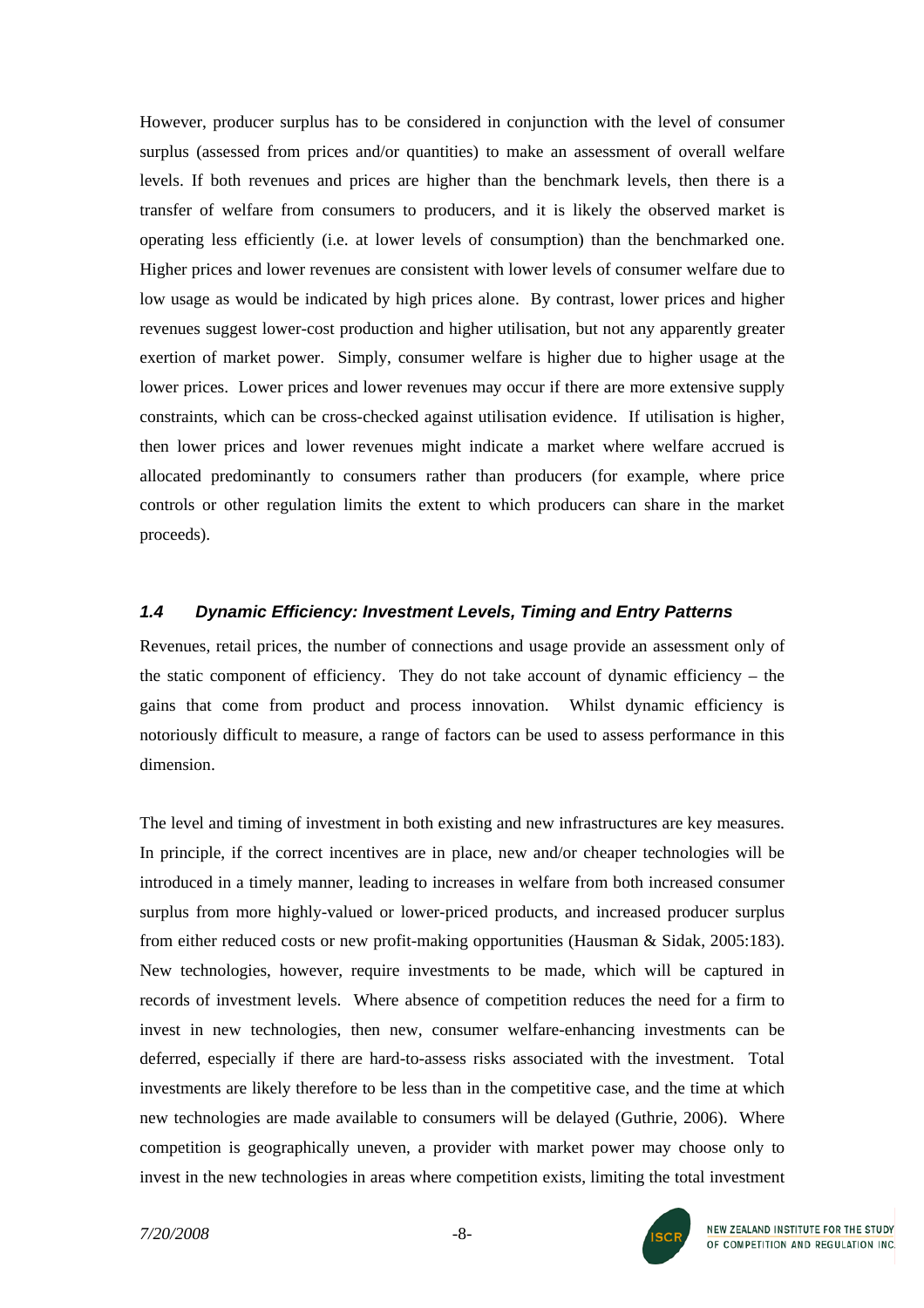However, producer surplus has to be considered in conjunction with the level of consumer surplus (assessed from prices and/or quantities) to make an assessment of overall welfare levels. If both revenues and prices are higher than the benchmark levels, then there is a transfer of welfare from consumers to producers, and it is likely the observed market is operating less efficiently (i.e. at lower levels of consumption) than the benchmarked one. Higher prices and lower revenues are consistent with lower levels of consumer welfare due to low usage as would be indicated by high prices alone. By contrast, lower prices and higher revenues suggest lower-cost production and higher utilisation, but not any apparently greater exertion of market power. Simply, consumer welfare is higher due to higher usage at the lower prices. Lower prices and lower revenues may occur if there are more extensive supply constraints, which can be cross-checked against utilisation evidence. If utilisation is higher, then lower prices and lower revenues might indicate a market where welfare accrued is allocated predominantly to consumers rather than producers (for example, where price controls or other regulation limits the extent to which producers can share in the market proceeds).

### *1.4 Dynamic Efficiency: Investment Levels, Timing and Entry Patterns*

Revenues, retail prices, the number of connections and usage provide an assessment only of the static component of efficiency. They do not take account of dynamic efficiency – the gains that come from product and process innovation. Whilst dynamic efficiency is notoriously difficult to measure, a range of factors can be used to assess performance in this dimension.

The level and timing of investment in both existing and new infrastructures are key measures. In principle, if the correct incentives are in place, new and/or cheaper technologies will be introduced in a timely manner, leading to increases in welfare from both increased consumer surplus from more highly-valued or lower-priced products, and increased producer surplus from either reduced costs or new profit-making opportunities (Hausman & Sidak, 2005:183). New technologies, however, require investments to be made, which will be captured in records of investment levels. Where absence of competition reduces the need for a firm to invest in new technologies, then new, consumer welfare-enhancing investments can be deferred, especially if there are hard-to-assess risks associated with the investment. Total investments are likely therefore to be less than in the competitive case, and the time at which new technologies are made available to consumers will be delayed (Guthrie, 2006). Where competition is geographically uneven, a provider with market power may choose only to invest in the new technologies in areas where competition exists, limiting the total investment

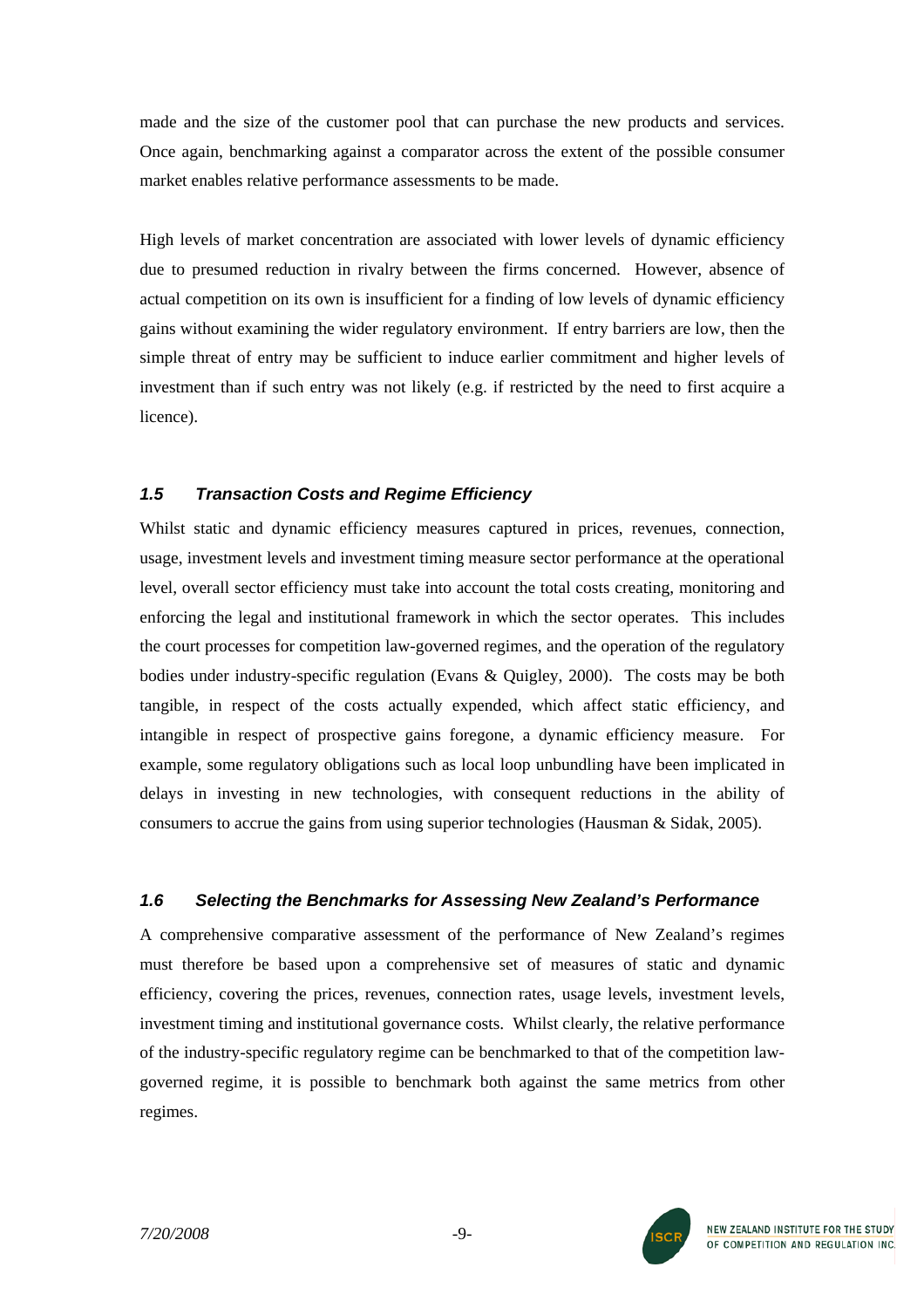made and the size of the customer pool that can purchase the new products and services. Once again, benchmarking against a comparator across the extent of the possible consumer market enables relative performance assessments to be made.

High levels of market concentration are associated with lower levels of dynamic efficiency due to presumed reduction in rivalry between the firms concerned. However, absence of actual competition on its own is insufficient for a finding of low levels of dynamic efficiency gains without examining the wider regulatory environment. If entry barriers are low, then the simple threat of entry may be sufficient to induce earlier commitment and higher levels of investment than if such entry was not likely (e.g. if restricted by the need to first acquire a licence).

# *1.5 Transaction Costs and Regime Efficiency*

Whilst static and dynamic efficiency measures captured in prices, revenues, connection, usage, investment levels and investment timing measure sector performance at the operational level, overall sector efficiency must take into account the total costs creating, monitoring and enforcing the legal and institutional framework in which the sector operates. This includes the court processes for competition law-governed regimes, and the operation of the regulatory bodies under industry-specific regulation (Evans & Quigley, 2000). The costs may be both tangible, in respect of the costs actually expended, which affect static efficiency, and intangible in respect of prospective gains foregone, a dynamic efficiency measure. For example, some regulatory obligations such as local loop unbundling have been implicated in delays in investing in new technologies, with consequent reductions in the ability of consumers to accrue the gains from using superior technologies (Hausman & Sidak, 2005).

# *1.6 Selecting the Benchmarks for Assessing New Zealand's Performance*

A comprehensive comparative assessment of the performance of New Zealand's regimes must therefore be based upon a comprehensive set of measures of static and dynamic efficiency, covering the prices, revenues, connection rates, usage levels, investment levels, investment timing and institutional governance costs. Whilst clearly, the relative performance of the industry-specific regulatory regime can be benchmarked to that of the competition lawgoverned regime, it is possible to benchmark both against the same metrics from other regimes.

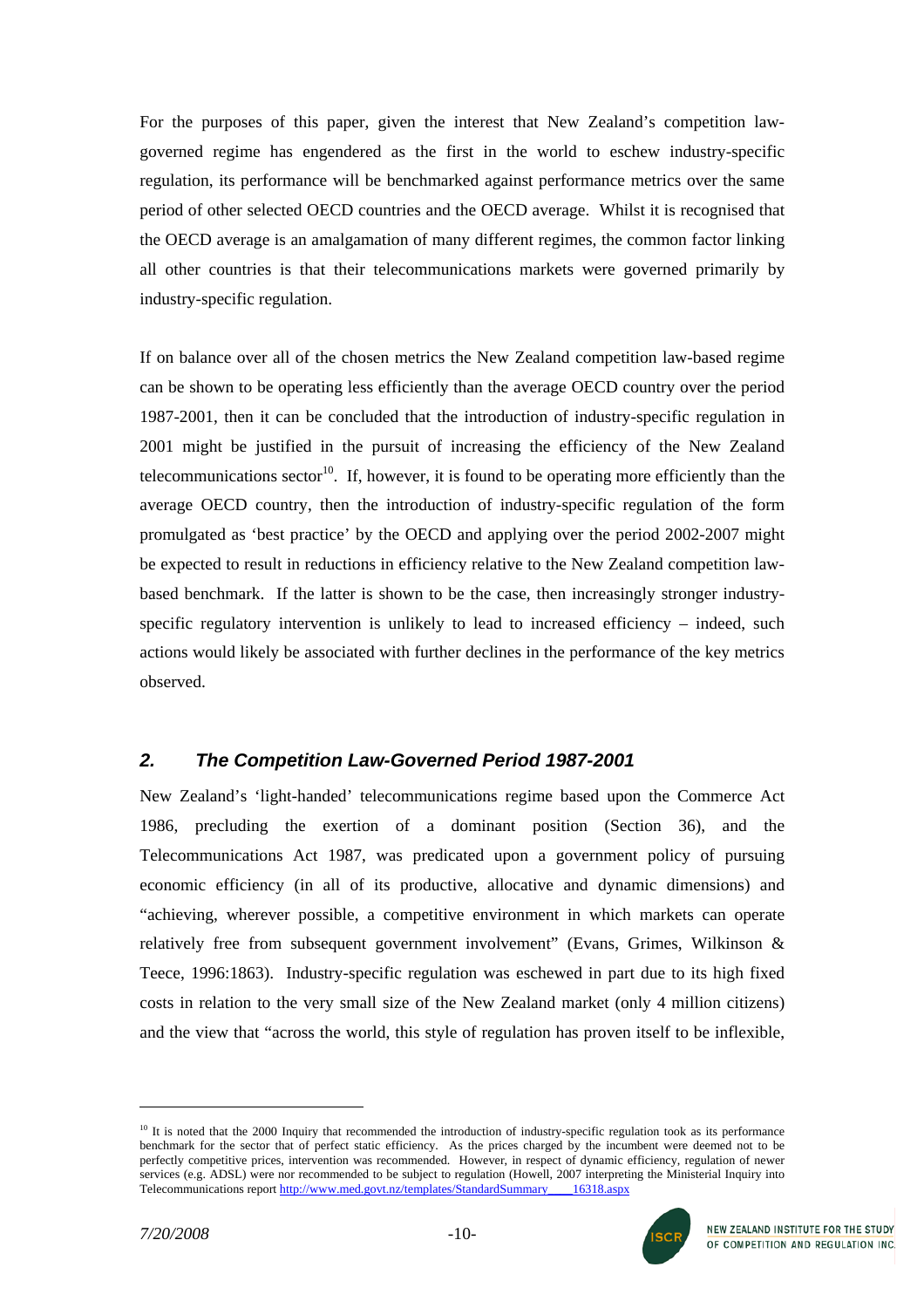For the purposes of this paper, given the interest that New Zealand's competition lawgoverned regime has engendered as the first in the world to eschew industry-specific regulation, its performance will be benchmarked against performance metrics over the same period of other selected OECD countries and the OECD average. Whilst it is recognised that the OECD average is an amalgamation of many different regimes, the common factor linking all other countries is that their telecommunications markets were governed primarily by industry-specific regulation.

If on balance over all of the chosen metrics the New Zealand competition law-based regime can be shown to be operating less efficiently than the average OECD country over the period 1987-2001, then it can be concluded that the introduction of industry-specific regulation in 2001 might be justified in the pursuit of increasing the efficiency of the New Zealand telecommunications sector<sup>10</sup>. If, however, it is found to be operating more efficiently than the average OECD country, then the introduction of industry-specific regulation of the form promulgated as 'best practice' by the OECD and applying over the period 2002-2007 might be expected to result in reductions in efficiency relative to the New Zealand competition lawbased benchmark. If the latter is shown to be the case, then increasingly stronger industryspecific regulatory intervention is unlikely to lead to increased efficiency – indeed, such actions would likely be associated with further declines in the performance of the key metrics observed.

# *2. The Competition Law-Governed Period 1987-2001*

New Zealand's 'light-handed' telecommunications regime based upon the Commerce Act 1986, precluding the exertion of a dominant position (Section 36), and the Telecommunications Act 1987, was predicated upon a government policy of pursuing economic efficiency (in all of its productive, allocative and dynamic dimensions) and "achieving, wherever possible, a competitive environment in which markets can operate relatively free from subsequent government involvement" (Evans, Grimes, Wilkinson & Teece, 1996:1863). Industry-specific regulation was eschewed in part due to its high fixed costs in relation to the very small size of the New Zealand market (only 4 million citizens) and the view that "across the world, this style of regulation has proven itself to be inflexible,

<span id="page-9-0"></span> $10$  It is noted that the 2000 Inquiry that recommended the introduction of industry-specific regulation took as its performance benchmark for the sector that of perfect static efficiency. As the prices charged by the incumbent were deemed not to be perfectly competitive prices, intervention was recommended. However, in respect of dynamic efficiency, regulation of newer services (e.g. ADSL) were nor recommended to be subject to regulation (Howell, 2007 interpreting the Ministerial Inquiry into Telecommunications report [http://www.med.govt.nz/templates/StandardSummary\\_\\_\\_\\_16318.aspx](http://www.med.govt.nz/templates/StandardSummary____16318.aspx)

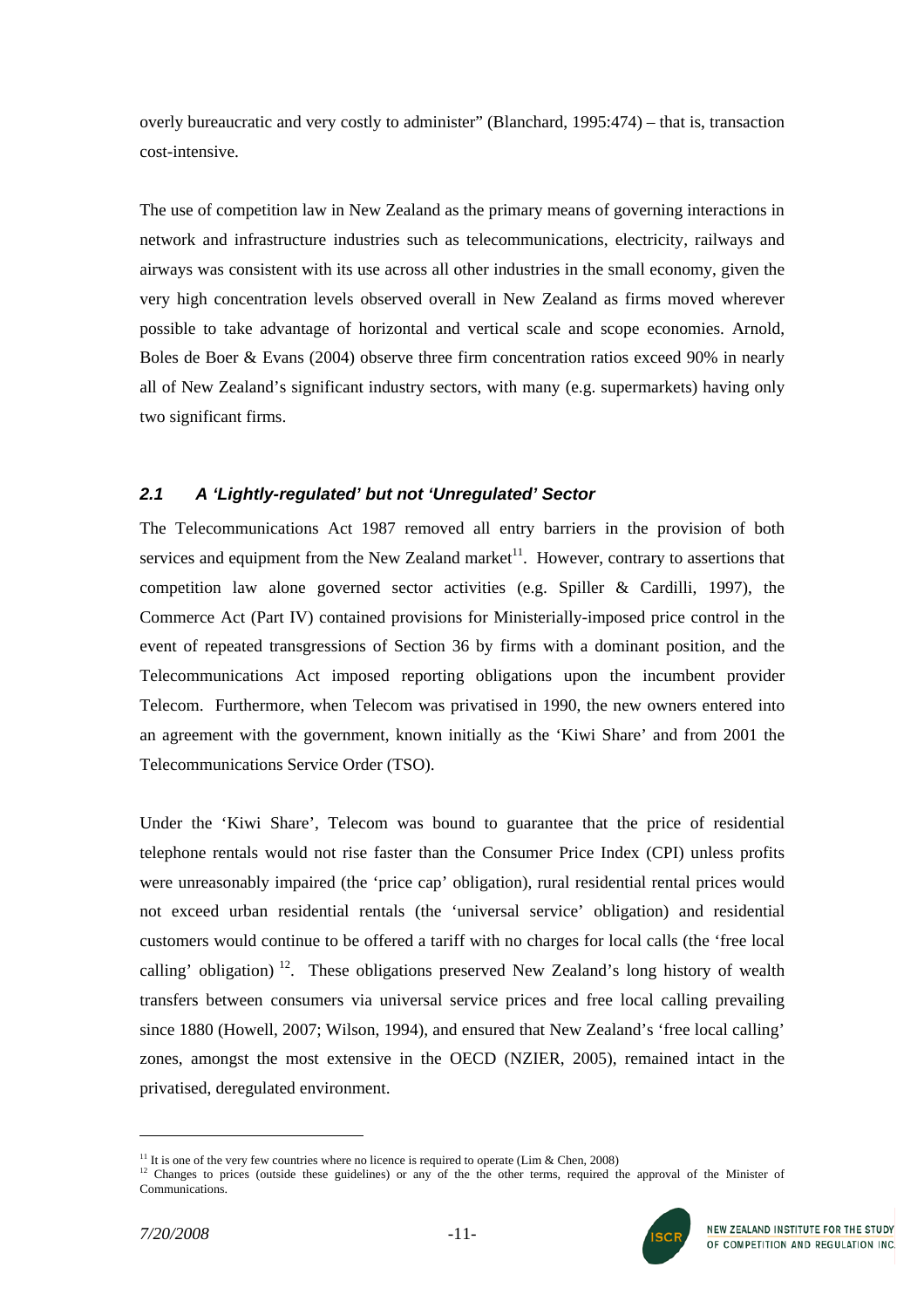overly bureaucratic and very costly to administer" (Blanchard, 1995:474) – that is, transaction cost-intensive.

The use of competition law in New Zealand as the primary means of governing interactions in network and infrastructure industries such as telecommunications, electricity, railways and airways was consistent with its use across all other industries in the small economy, given the very high concentration levels observed overall in New Zealand as firms moved wherever possible to take advantage of horizontal and vertical scale and scope economies. Arnold, Boles de Boer & Evans (2004) observe three firm concentration ratios exceed 90% in nearly all of New Zealand's significant industry sectors, with many (e.g. supermarkets) having only two significant firms.

# *2.1 A 'Lightly-regulated' but not 'Unregulated' Sector*

The Telecommunications Act 1987 removed all entry barriers in the provision of both services and equipment from the New Zealand market<sup>11</sup>. However, contrary to assertions that competition law alone governed sector activities (e.g. Spiller & Cardilli, 1997), the Commerce Act (Part IV) contained provisions for Ministerially-imposed price control in the event of repeated transgressions of Section 36 by firms with a dominant position, and the Telecommunications Act imposed reporting obligations upon the incumbent provider Telecom. Furthermore, when Telecom was privatised in 1990, the new owners entered into an agreement with the government, known initially as the 'Kiwi Share' and from 2001 the Telecommunications Service Order (TSO).

Under the 'Kiwi Share', Telecom was bound to guarantee that the price of residential telephone rentals would not rise faster than the Consumer Price Index (CPI) unless profits were unreasonably impaired (the 'price cap' obligation), rural residential rental prices would not exceed urban residential rentals (the 'universal service' obligation) and residential customers would continue to be offered a tariff with no charges for local calls (the 'free local calling' obligation)<sup>12</sup>. These obligations preserved New Zealand's long history of wealth transfers between consumers via universal service prices and free local calling prevailing since 1880 (Howell, 2007; Wilson, 1994), and ensured that New Zealand's 'free local calling' zones, amongst the most extensive in the OECD (NZIER, 2005), remained intact in the privatised, deregulated environment.

<span id="page-10-0"></span><sup>&</sup>lt;sup>11</sup> It is one of the very few countries where no licence is required to operate (Lim & Chen, 2008)

<span id="page-10-1"></span> $12$  Changes to prices (outside these guidelines) or any of the the other terms, required the approval of the Minister of Communications.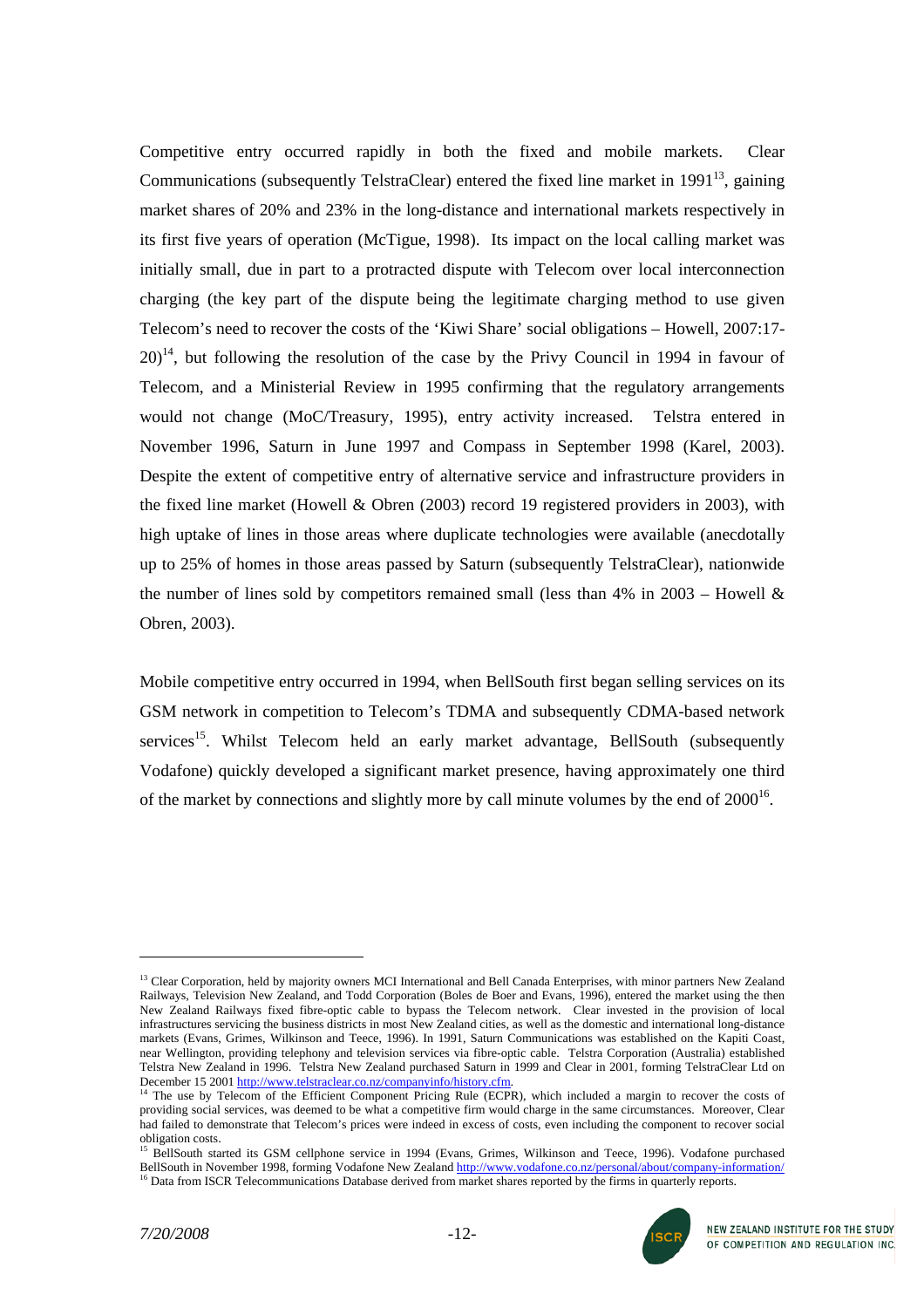Competitive entry occurred rapidly in both the fixed and mobile markets. Clear Communications (subsequently TelstraClear) entered the fixed line market in  $1991^{13}$ , gaining market shares of 20% and 23% in the long-distance and international markets respectively in its first five years of operation (McTigue, 1998). Its impact on the local calling market was initially small, due in part to a protracted dispute with Telecom over local interconnection charging (the key part of the dispute being the legitimate charging method to use given Telecom's need to recover the costs of the 'Kiwi Share' social obligations – Howell, 2007:17-  $20$ <sup>14</sup>, but following the resolution of the case by the Privy Council in 1994 in favour of Telecom, and a Ministerial Review in 1995 confirming that the regulatory arrangements would not change (MoC/Treasury, 1995), entry activity increased. Telstra entered in November 1996, Saturn in June 1997 and Compass in September 1998 (Karel, 2003). Despite the extent of competitive entry of alternative service and infrastructure providers in the fixed line market (Howell & Obren (2003) record 19 registered providers in 2003), with high uptake of lines in those areas where duplicate technologies were available (anecdotally up to 25% of homes in those areas passed by Saturn (subsequently TelstraClear), nationwide the number of lines sold by competitors remained small (less than  $4\%$  in  $2003$  – Howell  $\&$ Obren, 2003).

Mobile competitive entry occurred in 1994, when BellSouth first began selling services on its GSM network in competition to Telecom's TDMA and subsequently CDMA-based network services<sup>15</sup>. Whilst Telecom held an early market advantage, BellSouth (subsequently Vodafone) quickly developed a significant market presence, having approximately one third of the market by connections and slightly more by call minute volumes by the end of  $2000^{16}$ .



<span id="page-11-0"></span><sup>&</sup>lt;sup>13</sup> Clear Corporation, held by majority owners MCI International and Bell Canada Enterprises, with minor partners New Zealand Railways, Television New Zealand, and Todd Corporation (Boles de Boer and Evans, 1996), entered the market using the then New Zealand Railways fixed fibre-optic cable to bypass the Telecom network. Clear invested in the provision of local infrastructures servicing the business districts in most New Zealand cities, as well as the domestic and international long-distance markets (Evans, Grimes, Wilkinson and Teece, 1996). In 1991, Saturn Communications was established on the Kapiti Coast, near Wellington, providing telephony and television services via fibre-optic cable. Telstra Corporation (Australia) established Telstra New Zealand in 1996. Telstra New Zealand purchased Saturn in 1999 and Clear in 2001, forming TelstraClear Ltd on<br>December 15 2001 http://www.telstraclear.co.nz/companyinfo/history.cfm.

<span id="page-11-1"></span><sup>&</sup>lt;sup>14</sup> The use by Telecom of the Efficient Component Pricing Rule (ECPR), which included a margin to recover the costs of providing social services, was deemed to be what a competitive firm would charge in the same circumstances. Moreover, Clear had failed to demonstrate that Telecom's prices were indeed in excess of costs, even including the component to recover social obligation costs.

<span id="page-11-3"></span><span id="page-11-2"></span><sup>&</sup>lt;sup>15</sup> BellSouth started its GSM cellphone service in 1994 (Evans, Grimes, Wilkinson and Teece, 1996). Vodafone purchased BellSouth in November 1998, forming Vodafone New Zealand http://www.vodafone.co.nz/personal/about/company-inf <sup>16</sup> Data from ISCR Telecommunications Database derived from market shares reported by the firms in quarterly reports.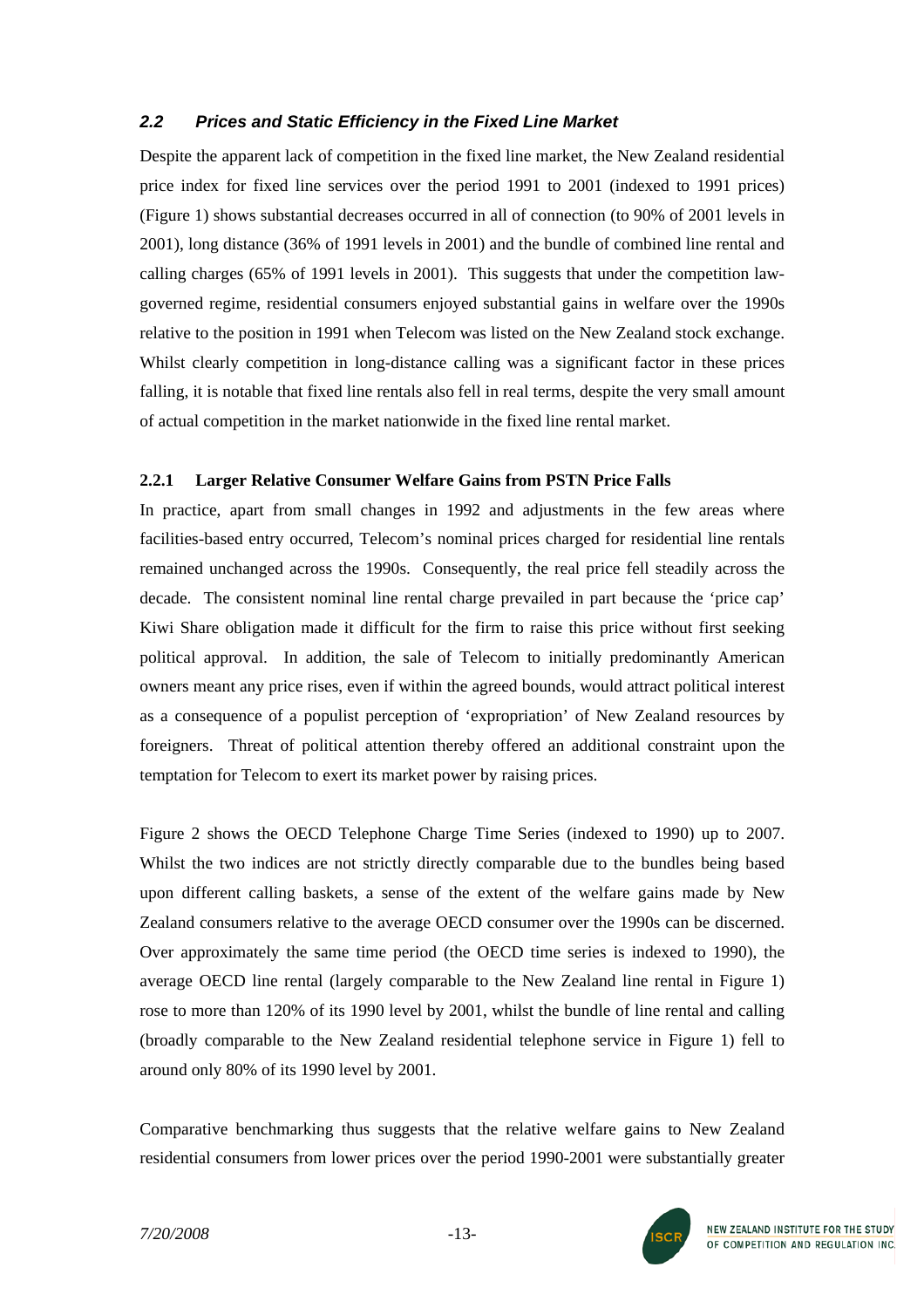# *2.2 Prices and Static Efficiency in the Fixed Line Market*

Despite the apparent lack of competition in the fixed line market, the New Zealand residential price index for fixed line services over the period 1991 to 2001 (indexed to 1991 prices) (Figure 1) shows substantial decreases occurred in all of connection (to 90% of 2001 levels in 2001), long distance (36% of 1991 levels in 2001) and the bundle of combined line rental and calling charges (65% of 1991 levels in 2001). This suggests that under the competition lawgoverned regime, residential consumers enjoyed substantial gains in welfare over the 1990s relative to the position in 1991 when Telecom was listed on the New Zealand stock exchange. Whilst clearly competition in long-distance calling was a significant factor in these prices falling, it is notable that fixed line rentals also fell in real terms, despite the very small amount of actual competition in the market nationwide in the fixed line rental market.

### **2.2.1 Larger Relative Consumer Welfare Gains from PSTN Price Falls**

In practice, apart from small changes in 1992 and adjustments in the few areas where facilities-based entry occurred, Telecom's nominal prices charged for residential line rentals remained unchanged across the 1990s. Consequently, the real price fell steadily across the decade. The consistent nominal line rental charge prevailed in part because the 'price cap' Kiwi Share obligation made it difficult for the firm to raise this price without first seeking political approval. In addition, the sale of Telecom to initially predominantly American owners meant any price rises, even if within the agreed bounds, would attract political interest as a consequence of a populist perception of 'expropriation' of New Zealand resources by foreigners. Threat of political attention thereby offered an additional constraint upon the temptation for Telecom to exert its market power by raising prices.

Figure 2 shows the OECD Telephone Charge Time Series (indexed to 1990) up to 2007. Whilst the two indices are not strictly directly comparable due to the bundles being based upon different calling baskets, a sense of the extent of the welfare gains made by New Zealand consumers relative to the average OECD consumer over the 1990s can be discerned. Over approximately the same time period (the OECD time series is indexed to 1990), the average OECD line rental (largely comparable to the New Zealand line rental in Figure 1) rose to more than 120% of its 1990 level by 2001, whilst the bundle of line rental and calling (broadly comparable to the New Zealand residential telephone service in Figure 1) fell to around only 80% of its 1990 level by 2001.

Comparative benchmarking thus suggests that the relative welfare gains to New Zealand residential consumers from lower prices over the period 1990-2001 were substantially greater

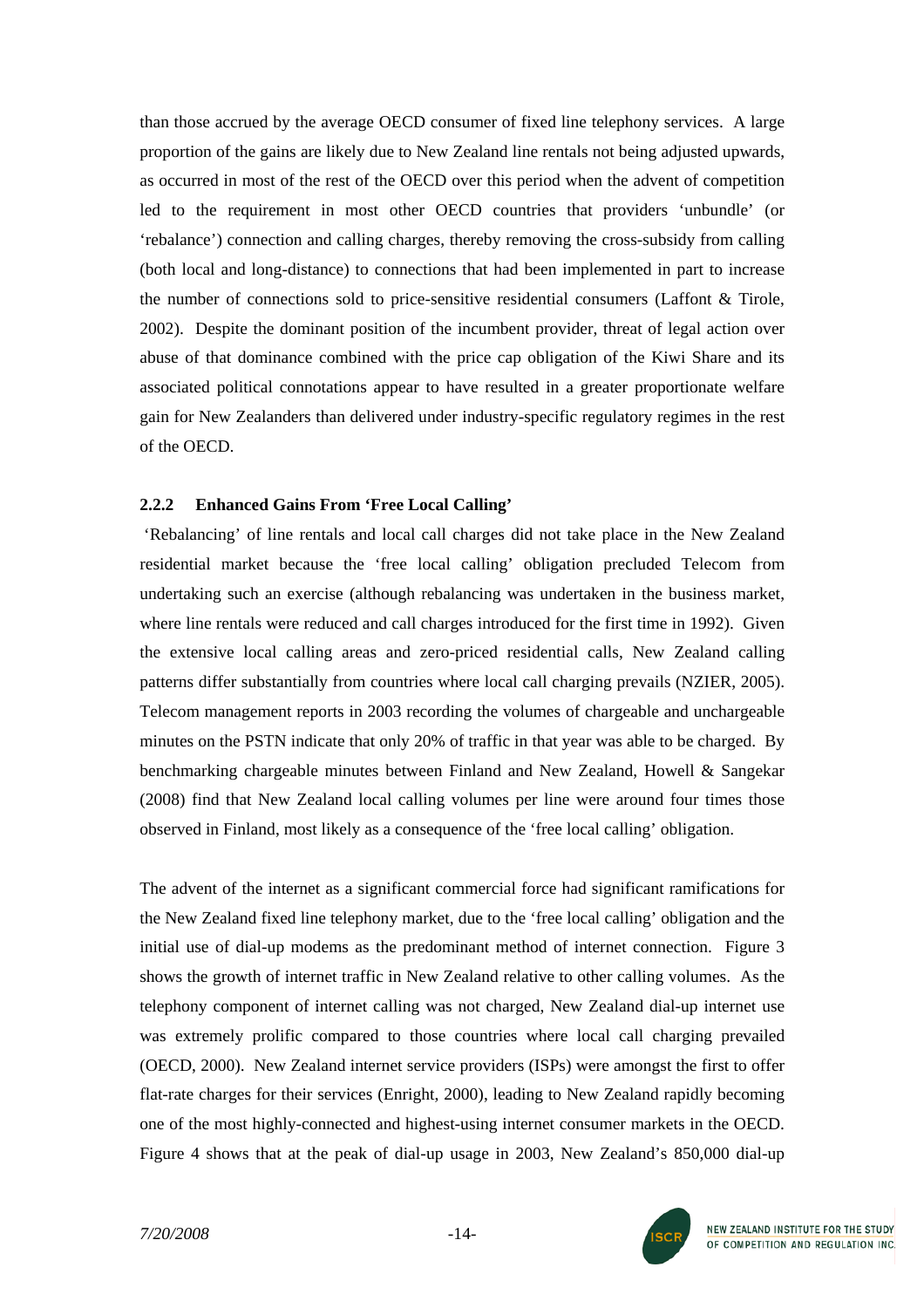than those accrued by the average OECD consumer of fixed line telephony services. A large proportion of the gains are likely due to New Zealand line rentals not being adjusted upwards, as occurred in most of the rest of the OECD over this period when the advent of competition led to the requirement in most other OECD countries that providers 'unbundle' (or 'rebalance') connection and calling charges, thereby removing the cross-subsidy from calling (both local and long-distance) to connections that had been implemented in part to increase the number of connections sold to price-sensitive residential consumers (Laffont & Tirole, 2002). Despite the dominant position of the incumbent provider, threat of legal action over abuse of that dominance combined with the price cap obligation of the Kiwi Share and its associated political connotations appear to have resulted in a greater proportionate welfare gain for New Zealanders than delivered under industry-specific regulatory regimes in the rest of the OECD.

#### **2.2.2 Enhanced Gains From 'Free Local Calling'**

'Rebalancing' of line rentals and local call charges did not take place in the New Zealand residential market because the 'free local calling' obligation precluded Telecom from undertaking such an exercise (although rebalancing was undertaken in the business market, where line rentals were reduced and call charges introduced for the first time in 1992). Given the extensive local calling areas and zero-priced residential calls, New Zealand calling patterns differ substantially from countries where local call charging prevails (NZIER, 2005). Telecom management reports in 2003 recording the volumes of chargeable and unchargeable minutes on the PSTN indicate that only 20% of traffic in that year was able to be charged. By benchmarking chargeable minutes between Finland and New Zealand, Howell & Sangekar (2008) find that New Zealand local calling volumes per line were around four times those observed in Finland, most likely as a consequence of the 'free local calling' obligation.

The advent of the internet as a significant commercial force had significant ramifications for the New Zealand fixed line telephony market, due to the 'free local calling' obligation and the initial use of dial-up modems as the predominant method of internet connection. Figure 3 shows the growth of internet traffic in New Zealand relative to other calling volumes. As the telephony component of internet calling was not charged, New Zealand dial-up internet use was extremely prolific compared to those countries where local call charging prevailed (OECD, 2000). New Zealand internet service providers (ISPs) were amongst the first to offer flat-rate charges for their services (Enright, 2000), leading to New Zealand rapidly becoming one of the most highly-connected and highest-using internet consumer markets in the OECD. Figure 4 shows that at the peak of dial-up usage in 2003, New Zealand's 850,000 dial-up

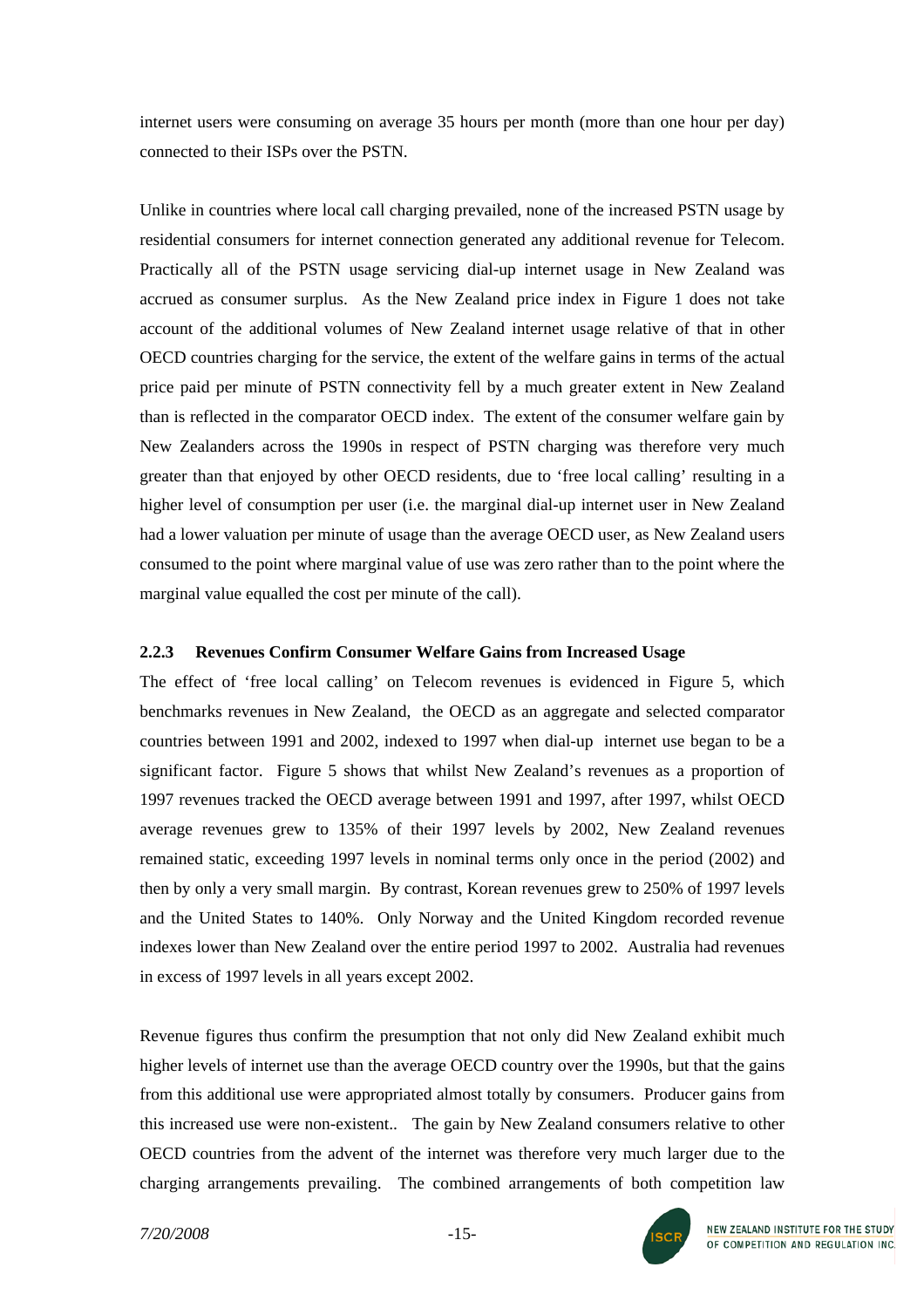internet users were consuming on average 35 hours per month (more than one hour per day) connected to their ISPs over the PSTN.

Unlike in countries where local call charging prevailed, none of the increased PSTN usage by residential consumers for internet connection generated any additional revenue for Telecom. Practically all of the PSTN usage servicing dial-up internet usage in New Zealand was accrued as consumer surplus. As the New Zealand price index in Figure 1 does not take account of the additional volumes of New Zealand internet usage relative of that in other OECD countries charging for the service, the extent of the welfare gains in terms of the actual price paid per minute of PSTN connectivity fell by a much greater extent in New Zealand than is reflected in the comparator OECD index. The extent of the consumer welfare gain by New Zealanders across the 1990s in respect of PSTN charging was therefore very much greater than that enjoyed by other OECD residents, due to 'free local calling' resulting in a higher level of consumption per user (i.e. the marginal dial-up internet user in New Zealand had a lower valuation per minute of usage than the average OECD user, as New Zealand users consumed to the point where marginal value of use was zero rather than to the point where the marginal value equalled the cost per minute of the call).

### **2.2.3 Revenues Confirm Consumer Welfare Gains from Increased Usage**

The effect of 'free local calling' on Telecom revenues is evidenced in Figure 5, which benchmarks revenues in New Zealand, the OECD as an aggregate and selected comparator countries between 1991 and 2002, indexed to 1997 when dial-up internet use began to be a significant factor. Figure 5 shows that whilst New Zealand's revenues as a proportion of 1997 revenues tracked the OECD average between 1991 and 1997, after 1997, whilst OECD average revenues grew to 135% of their 1997 levels by 2002, New Zealand revenues remained static, exceeding 1997 levels in nominal terms only once in the period (2002) and then by only a very small margin. By contrast, Korean revenues grew to 250% of 1997 levels and the United States to 140%. Only Norway and the United Kingdom recorded revenue indexes lower than New Zealand over the entire period 1997 to 2002. Australia had revenues in excess of 1997 levels in all years except 2002.

Revenue figures thus confirm the presumption that not only did New Zealand exhibit much higher levels of internet use than the average OECD country over the 1990s, but that the gains from this additional use were appropriated almost totally by consumers. Producer gains from this increased use were non-existent.. The gain by New Zealand consumers relative to other OECD countries from the advent of the internet was therefore very much larger due to the charging arrangements prevailing. The combined arrangements of both competition law

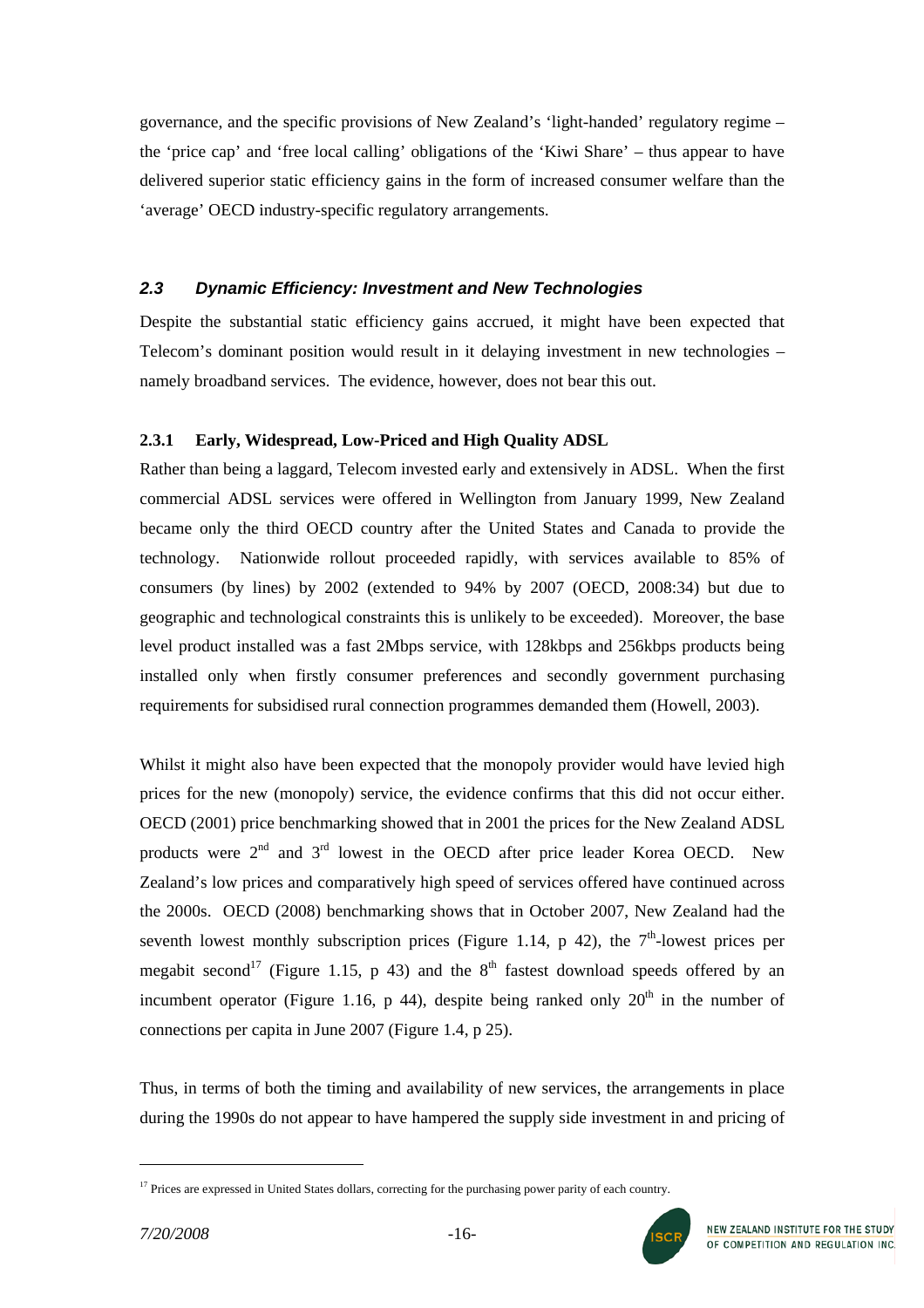governance, and the specific provisions of New Zealand's 'light-handed' regulatory regime – the 'price cap' and 'free local calling' obligations of the 'Kiwi Share' – thus appear to have delivered superior static efficiency gains in the form of increased consumer welfare than the 'average' OECD industry-specific regulatory arrangements.

# *2.3 Dynamic Efficiency: Investment and New Technologies*

Despite the substantial static efficiency gains accrued, it might have been expected that Telecom's dominant position would result in it delaying investment in new technologies – namely broadband services. The evidence, however, does not bear this out.

### **2.3.1 Early, Widespread, Low-Priced and High Quality ADSL**

Rather than being a laggard, Telecom invested early and extensively in ADSL. When the first commercial ADSL services were offered in Wellington from January 1999, New Zealand became only the third OECD country after the United States and Canada to provide the technology. Nationwide rollout proceeded rapidly, with services available to 85% of consumers (by lines) by 2002 (extended to 94% by 2007 (OECD, 2008:34) but due to geographic and technological constraints this is unlikely to be exceeded). Moreover, the base level product installed was a fast 2Mbps service, with 128kbps and 256kbps products being installed only when firstly consumer preferences and secondly government purchasing requirements for subsidised rural connection programmes demanded them (Howell, 2003).

Whilst it might also have been expected that the monopoly provider would have levied high prices for the new (monopoly) service, the evidence confirms that this did not occur either. OECD (2001) price benchmarking showed that in 2001 the prices for the New Zealand ADSL products were  $2<sup>nd</sup>$  and  $3<sup>rd</sup>$  lowest in the OECD after price leader Korea OECD. New Zealand's low prices and comparatively high speed of services offered have continued across the 2000s. OECD (2008) benchmarking shows that in October 2007, New Zealand had the seventh lowest monthly subscription prices (Figure 1.14, p 42), the  $7<sup>th</sup>$ -lowest prices per megabit second<sup>17</sup> (Figure 1.15, p 43) and the  $8<sup>th</sup>$  fastest download speeds offered by an incumbent operator (Figure 1.16, p 44), despite being ranked only  $20<sup>th</sup>$  in the number of connections per capita in June 2007 (Figure 1.4, p 25).

Thus, in terms of both the timing and availability of new services, the arrangements in place during the 1990s do not appear to have hampered the supply side investment in and pricing of



<span id="page-15-0"></span><sup>&</sup>lt;sup>17</sup> Prices are expressed in United States dollars, correcting for the purchasing power parity of each country.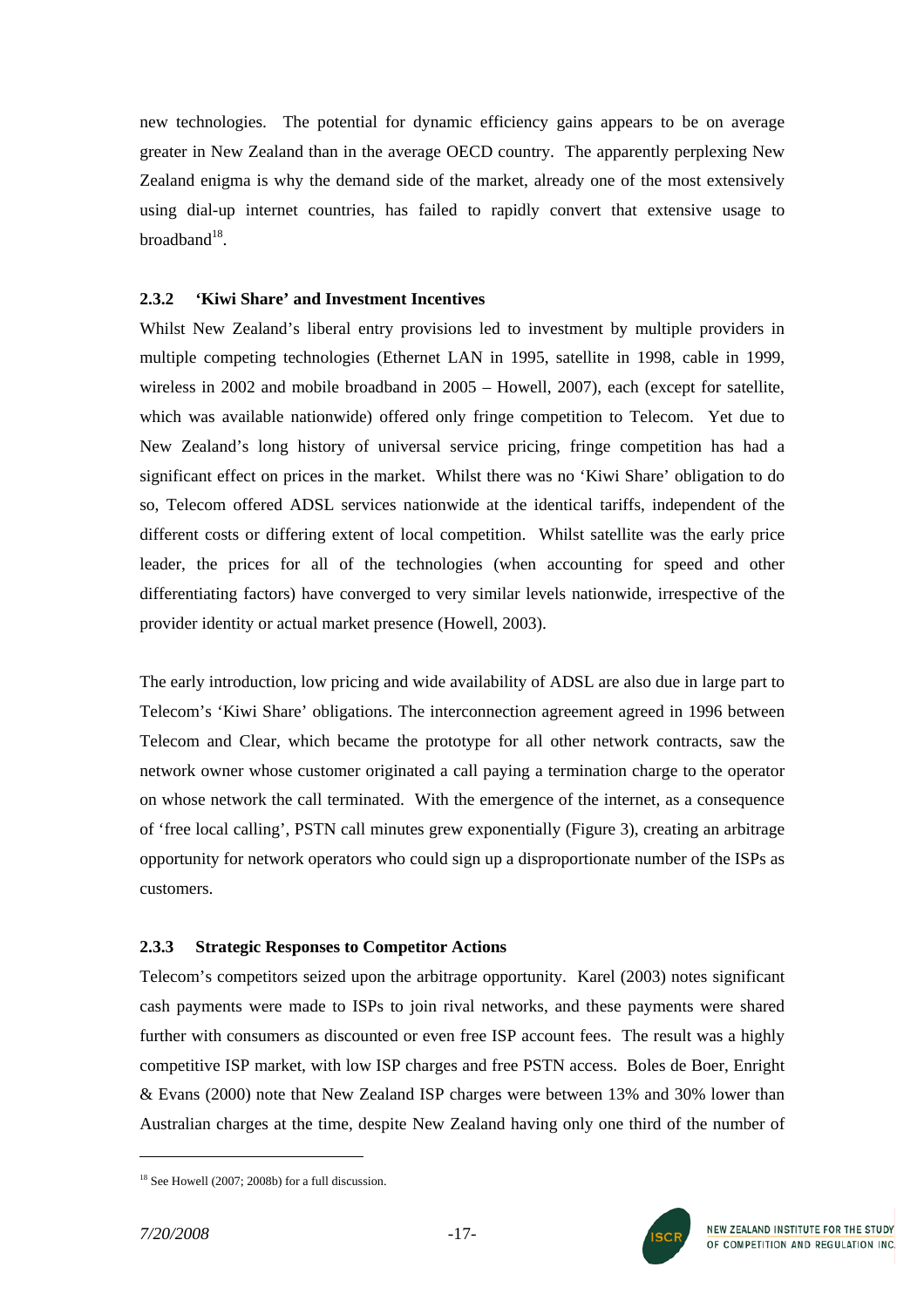new technologies. The potential for dynamic efficiency gains appears to be on average greater in New Zealand than in the average OECD country. The apparently perplexing New Zealand enigma is why the demand side of the market, already one of the most extensively using dial-up internet countries, has failed to rapidly convert that extensive usage to  $broadband$ <sup>18</sup>

### **2.3.2 'Kiwi Share' and Investment Incentives**

Whilst New Zealand's liberal entry provisions led to investment by multiple providers in multiple competing technologies (Ethernet LAN in 1995, satellite in 1998, cable in 1999, wireless in 2002 and mobile broadband in 2005 – Howell, 2007), each (except for satellite, which was available nationwide) offered only fringe competition to Telecom. Yet due to New Zealand's long history of universal service pricing, fringe competition has had a significant effect on prices in the market. Whilst there was no 'Kiwi Share' obligation to do so, Telecom offered ADSL services nationwide at the identical tariffs, independent of the different costs or differing extent of local competition. Whilst satellite was the early price leader, the prices for all of the technologies (when accounting for speed and other differentiating factors) have converged to very similar levels nationwide, irrespective of the provider identity or actual market presence (Howell, 2003).

The early introduction, low pricing and wide availability of ADSL are also due in large part to Telecom's 'Kiwi Share' obligations. The interconnection agreement agreed in 1996 between Telecom and Clear, which became the prototype for all other network contracts, saw the network owner whose customer originated a call paying a termination charge to the operator on whose network the call terminated. With the emergence of the internet, as a consequence of 'free local calling', PSTN call minutes grew exponentially (Figure 3), creating an arbitrage opportunity for network operators who could sign up a disproportionate number of the ISPs as customers.

# **2.3.3 Strategic Responses to Competitor Actions**

Telecom's competitors seized upon the arbitrage opportunity. Karel (2003) notes significant cash payments were made to ISPs to join rival networks, and these payments were shared further with consumers as discounted or even free ISP account fees. The result was a highly competitive ISP market, with low ISP charges and free PSTN access. Boles de Boer, Enright & Evans (2000) note that New Zealand ISP charges were between 13% and 30% lower than Australian charges at the time, despite New Zealand having only one third of the number of

 $\overline{a}$ 



<span id="page-16-0"></span><sup>18</sup> See Howell (2007; 2008b) for a full discussion.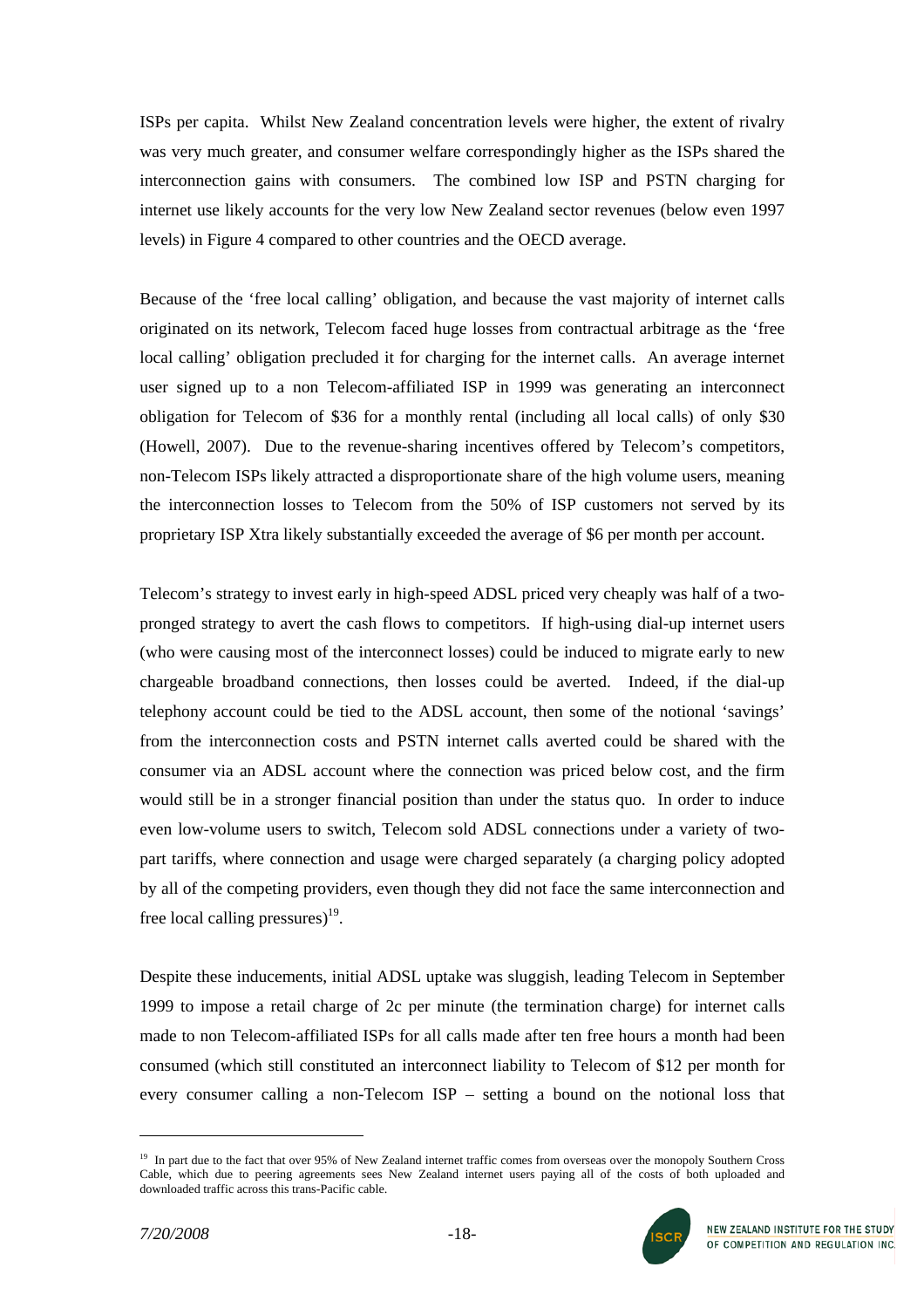ISPs per capita. Whilst New Zealand concentration levels were higher, the extent of rivalry was very much greater, and consumer welfare correspondingly higher as the ISPs shared the interconnection gains with consumers. The combined low ISP and PSTN charging for internet use likely accounts for the very low New Zealand sector revenues (below even 1997 levels) in Figure 4 compared to other countries and the OECD average.

Because of the 'free local calling' obligation, and because the vast majority of internet calls originated on its network, Telecom faced huge losses from contractual arbitrage as the 'free local calling' obligation precluded it for charging for the internet calls. An average internet user signed up to a non Telecom-affiliated ISP in 1999 was generating an interconnect obligation for Telecom of \$36 for a monthly rental (including all local calls) of only \$30 (Howell, 2007). Due to the revenue-sharing incentives offered by Telecom's competitors, non-Telecom ISPs likely attracted a disproportionate share of the high volume users, meaning the interconnection losses to Telecom from the 50% of ISP customers not served by its proprietary ISP Xtra likely substantially exceeded the average of \$6 per month per account.

Telecom's strategy to invest early in high-speed ADSL priced very cheaply was half of a twopronged strategy to avert the cash flows to competitors. If high-using dial-up internet users (who were causing most of the interconnect losses) could be induced to migrate early to new chargeable broadband connections, then losses could be averted. Indeed, if the dial-up telephony account could be tied to the ADSL account, then some of the notional 'savings' from the interconnection costs and PSTN internet calls averted could be shared with the consumer via an ADSL account where the connection was priced below cost, and the firm would still be in a stronger financial position than under the status quo. In order to induce even low-volume users to switch, Telecom sold ADSL connections under a variety of twopart tariffs, where connection and usage were charged separately (a charging policy adopted by all of the competing providers, even though they did not face the same interconnection and free local calling pressures)<sup>19</sup>.

Despite these inducements, initial ADSL uptake was sluggish, leading Telecom in September 1999 to impose a retail charge of 2c per minute (the termination charge) for internet calls made to non Telecom-affiliated ISPs for all calls made after ten free hours a month had been consumed (which still constituted an interconnect liability to Telecom of \$12 per month for every consumer calling a non-Telecom ISP – setting a bound on the notional loss that

<span id="page-17-0"></span><sup>&</sup>lt;sup>19</sup> In part due to the fact that over 95% of New Zealand internet traffic comes from overseas over the monopoly Southern Cross Cable, which due to peering agreements sees New Zealand internet users paying all of the costs of both uploaded and downloaded traffic across this trans-Pacific cable.

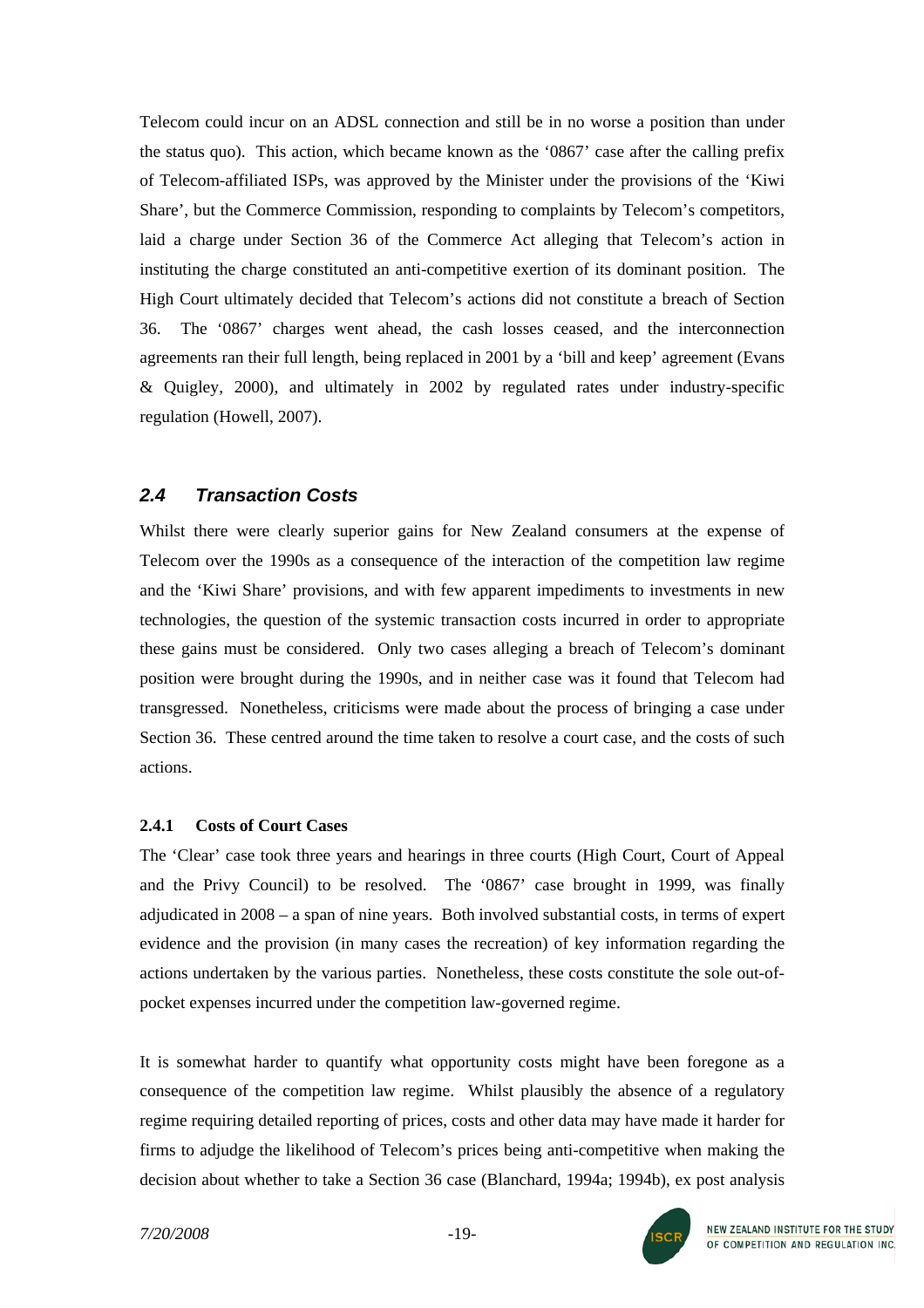Telecom could incur on an ADSL connection and still be in no worse a position than under the status quo). This action, which became known as the '0867' case after the calling prefix of Telecom-affiliated ISPs, was approved by the Minister under the provisions of the 'Kiwi Share', but the Commerce Commission, responding to complaints by Telecom's competitors, laid a charge under Section 36 of the Commerce Act alleging that Telecom's action in instituting the charge constituted an anti-competitive exertion of its dominant position. The High Court ultimately decided that Telecom's actions did not constitute a breach of Section 36. The '0867' charges went ahead, the cash losses ceased, and the interconnection agreements ran their full length, being replaced in 2001 by a 'bill and keep' agreement (Evans & Quigley, 2000), and ultimately in 2002 by regulated rates under industry-specific regulation (Howell, 2007).

# *2.4 Transaction Costs*

Whilst there were clearly superior gains for New Zealand consumers at the expense of Telecom over the 1990s as a consequence of the interaction of the competition law regime and the 'Kiwi Share' provisions, and with few apparent impediments to investments in new technologies, the question of the systemic transaction costs incurred in order to appropriate these gains must be considered. Only two cases alleging a breach of Telecom's dominant position were brought during the 1990s, and in neither case was it found that Telecom had transgressed. Nonetheless, criticisms were made about the process of bringing a case under Section 36. These centred around the time taken to resolve a court case, and the costs of such actions.

#### **2.4.1 Costs of Court Cases**

The 'Clear' case took three years and hearings in three courts (High Court, Court of Appeal and the Privy Council) to be resolved. The '0867' case brought in 1999, was finally adjudicated in 2008 – a span of nine years. Both involved substantial costs, in terms of expert evidence and the provision (in many cases the recreation) of key information regarding the actions undertaken by the various parties. Nonetheless, these costs constitute the sole out-ofpocket expenses incurred under the competition law-governed regime.

It is somewhat harder to quantify what opportunity costs might have been foregone as a consequence of the competition law regime. Whilst plausibly the absence of a regulatory regime requiring detailed reporting of prices, costs and other data may have made it harder for firms to adjudge the likelihood of Telecom's prices being anti-competitive when making the decision about whether to take a Section 36 case (Blanchard, 1994a; 1994b), ex post analysis

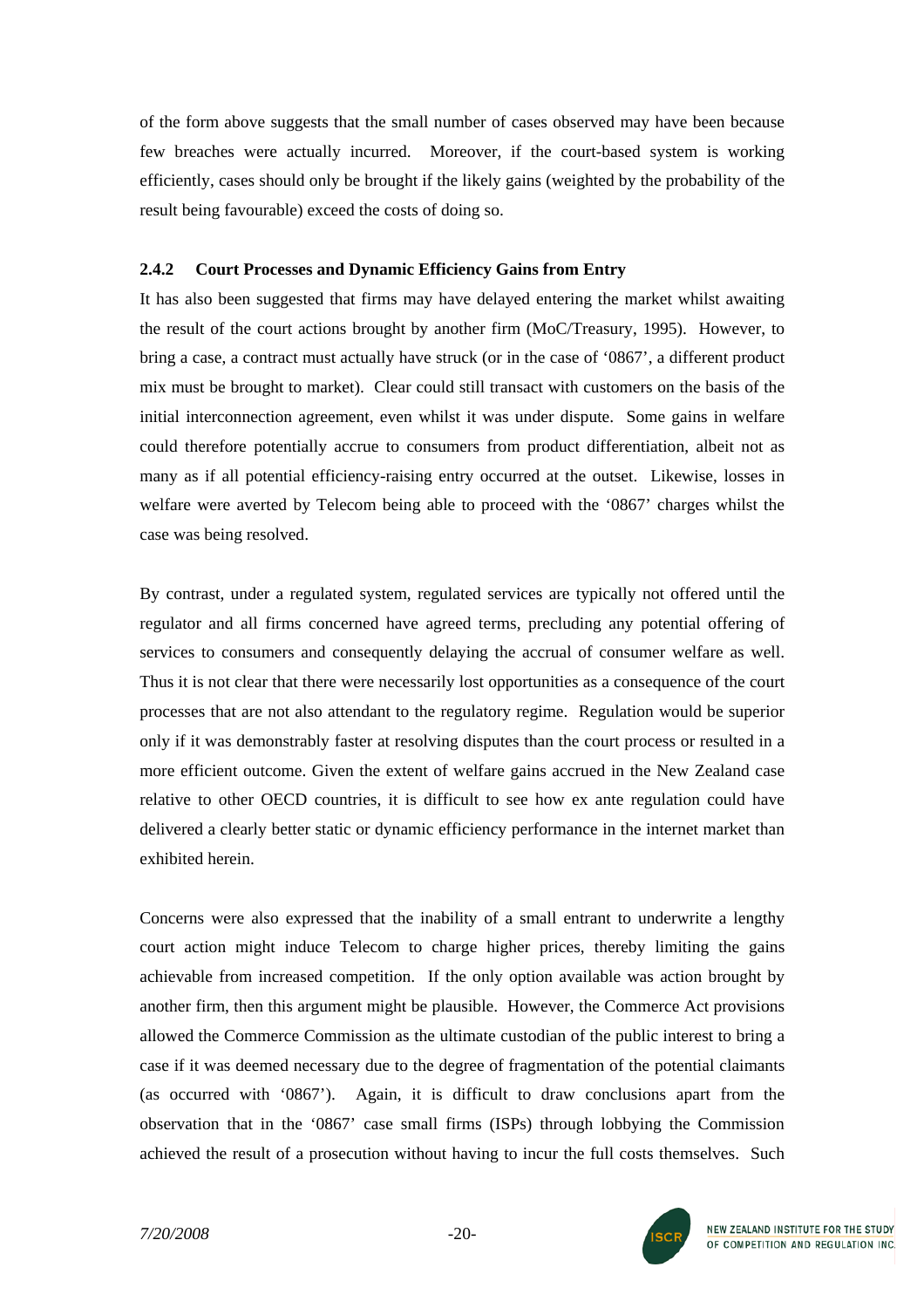of the form above suggests that the small number of cases observed may have been because few breaches were actually incurred. Moreover, if the court-based system is working efficiently, cases should only be brought if the likely gains (weighted by the probability of the result being favourable) exceed the costs of doing so.

#### **2.4.2 Court Processes and Dynamic Efficiency Gains from Entry**

It has also been suggested that firms may have delayed entering the market whilst awaiting the result of the court actions brought by another firm (MoC/Treasury, 1995). However, to bring a case, a contract must actually have struck (or in the case of '0867', a different product mix must be brought to market). Clear could still transact with customers on the basis of the initial interconnection agreement, even whilst it was under dispute. Some gains in welfare could therefore potentially accrue to consumers from product differentiation, albeit not as many as if all potential efficiency-raising entry occurred at the outset. Likewise, losses in welfare were averted by Telecom being able to proceed with the '0867' charges whilst the case was being resolved.

By contrast, under a regulated system, regulated services are typically not offered until the regulator and all firms concerned have agreed terms, precluding any potential offering of services to consumers and consequently delaying the accrual of consumer welfare as well. Thus it is not clear that there were necessarily lost opportunities as a consequence of the court processes that are not also attendant to the regulatory regime. Regulation would be superior only if it was demonstrably faster at resolving disputes than the court process or resulted in a more efficient outcome. Given the extent of welfare gains accrued in the New Zealand case relative to other OECD countries, it is difficult to see how ex ante regulation could have delivered a clearly better static or dynamic efficiency performance in the internet market than exhibited herein.

Concerns were also expressed that the inability of a small entrant to underwrite a lengthy court action might induce Telecom to charge higher prices, thereby limiting the gains achievable from increased competition. If the only option available was action brought by another firm, then this argument might be plausible. However, the Commerce Act provisions allowed the Commerce Commission as the ultimate custodian of the public interest to bring a case if it was deemed necessary due to the degree of fragmentation of the potential claimants (as occurred with '0867'). Again, it is difficult to draw conclusions apart from the observation that in the '0867' case small firms (ISPs) through lobbying the Commission achieved the result of a prosecution without having to incur the full costs themselves. Such

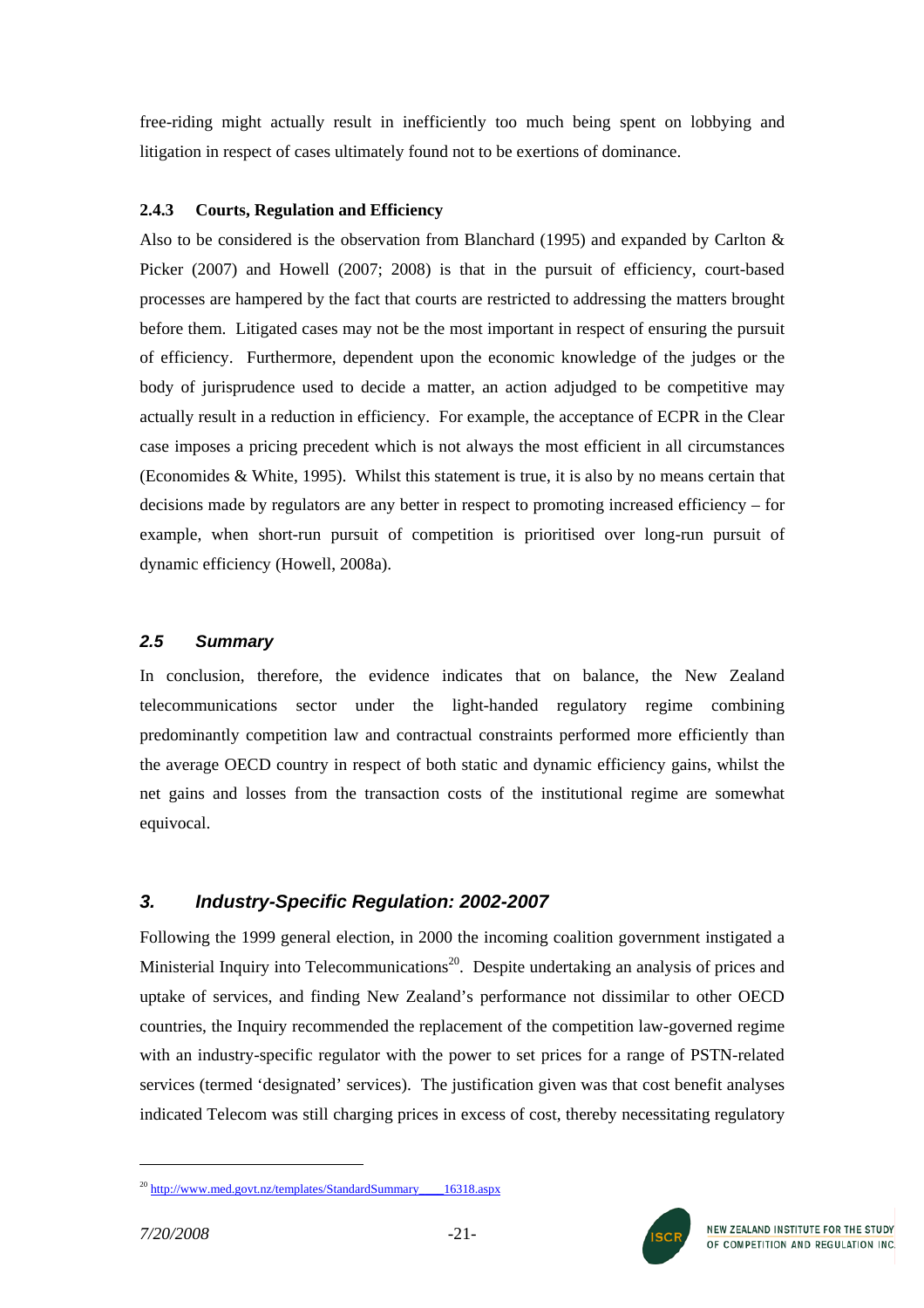free-riding might actually result in inefficiently too much being spent on lobbying and litigation in respect of cases ultimately found not to be exertions of dominance.

### **2.4.3 Courts, Regulation and Efficiency**

Also to be considered is the observation from Blanchard (1995) and expanded by Carlton  $\&$ Picker (2007) and Howell (2007; 2008) is that in the pursuit of efficiency, court-based processes are hampered by the fact that courts are restricted to addressing the matters brought before them. Litigated cases may not be the most important in respect of ensuring the pursuit of efficiency. Furthermore, dependent upon the economic knowledge of the judges or the body of jurisprudence used to decide a matter, an action adjudged to be competitive may actually result in a reduction in efficiency. For example, the acceptance of ECPR in the Clear case imposes a pricing precedent which is not always the most efficient in all circumstances (Economides & White, 1995). Whilst this statement is true, it is also by no means certain that decisions made by regulators are any better in respect to promoting increased efficiency – for example, when short-run pursuit of competition is prioritised over long-run pursuit of dynamic efficiency (Howell, 2008a).

# *2.5 Summary*

In conclusion, therefore, the evidence indicates that on balance, the New Zealand telecommunications sector under the light-handed regulatory regime combining predominantly competition law and contractual constraints performed more efficiently than the average OECD country in respect of both static and dynamic efficiency gains, whilst the net gains and losses from the transaction costs of the institutional regime are somewhat equivocal.

# *3. Industry-Specific Regulation: 2002-2007*

Following the 1999 general election, in 2000 the incoming coalition government instigated a Ministerial Inquiry into Telecommunications<sup>20</sup>. Despite undertaking an analysis of prices and uptake of services, and finding New Zealand's performance not dissimilar to other OECD countries, the Inquiry recommended the replacement of the competition law-governed regime with an industry-specific regulator with the power to set prices for a range of PSTN-related services (termed 'designated' services). The justification given was that cost benefit analyses indicated Telecom was still charging prices in excess of cost, thereby necessitating regulatory



<span id="page-20-0"></span><sup>&</sup>lt;sup>20</sup> http://www.med.govt.nz/templates/StandardSummary 16318.aspx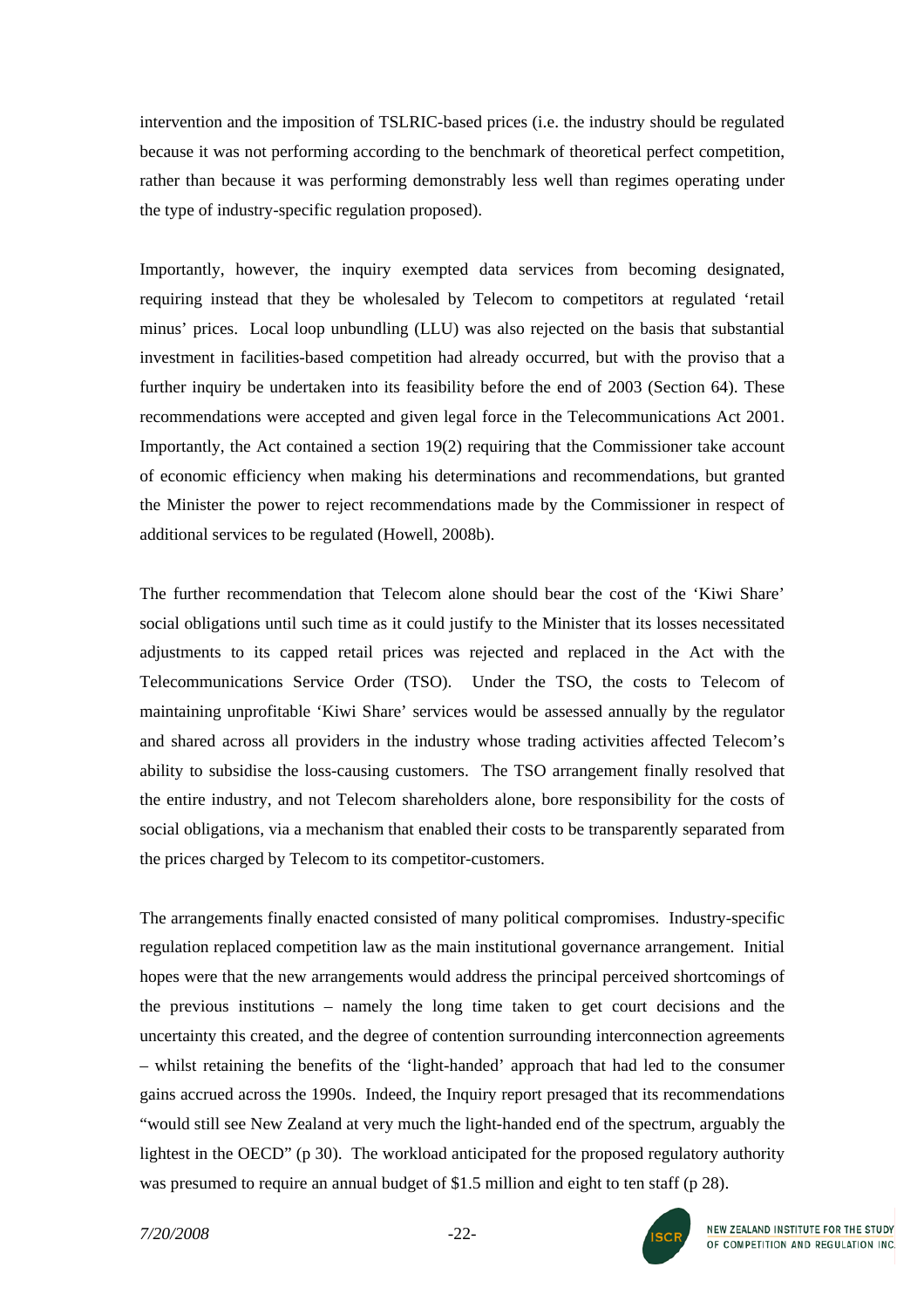intervention and the imposition of TSLRIC-based prices (i.e. the industry should be regulated because it was not performing according to the benchmark of theoretical perfect competition, rather than because it was performing demonstrably less well than regimes operating under the type of industry-specific regulation proposed).

Importantly, however, the inquiry exempted data services from becoming designated, requiring instead that they be wholesaled by Telecom to competitors at regulated 'retail minus' prices. Local loop unbundling (LLU) was also rejected on the basis that substantial investment in facilities-based competition had already occurred, but with the proviso that a further inquiry be undertaken into its feasibility before the end of 2003 (Section 64). These recommendations were accepted and given legal force in the Telecommunications Act 2001. Importantly, the Act contained a section 19(2) requiring that the Commissioner take account of economic efficiency when making his determinations and recommendations, but granted the Minister the power to reject recommendations made by the Commissioner in respect of additional services to be regulated (Howell, 2008b).

The further recommendation that Telecom alone should bear the cost of the 'Kiwi Share' social obligations until such time as it could justify to the Minister that its losses necessitated adjustments to its capped retail prices was rejected and replaced in the Act with the Telecommunications Service Order (TSO). Under the TSO, the costs to Telecom of maintaining unprofitable 'Kiwi Share' services would be assessed annually by the regulator and shared across all providers in the industry whose trading activities affected Telecom's ability to subsidise the loss-causing customers. The TSO arrangement finally resolved that the entire industry, and not Telecom shareholders alone, bore responsibility for the costs of social obligations, via a mechanism that enabled their costs to be transparently separated from the prices charged by Telecom to its competitor-customers.

The arrangements finally enacted consisted of many political compromises. Industry-specific regulation replaced competition law as the main institutional governance arrangement. Initial hopes were that the new arrangements would address the principal perceived shortcomings of the previous institutions – namely the long time taken to get court decisions and the uncertainty this created, and the degree of contention surrounding interconnection agreements – whilst retaining the benefits of the 'light-handed' approach that had led to the consumer gains accrued across the 1990s. Indeed, the Inquiry report presaged that its recommendations "would still see New Zealand at very much the light-handed end of the spectrum, arguably the lightest in the OECD" (p 30). The workload anticipated for the proposed regulatory authority was presumed to require an annual budget of \$1.5 million and eight to ten staff (p 28).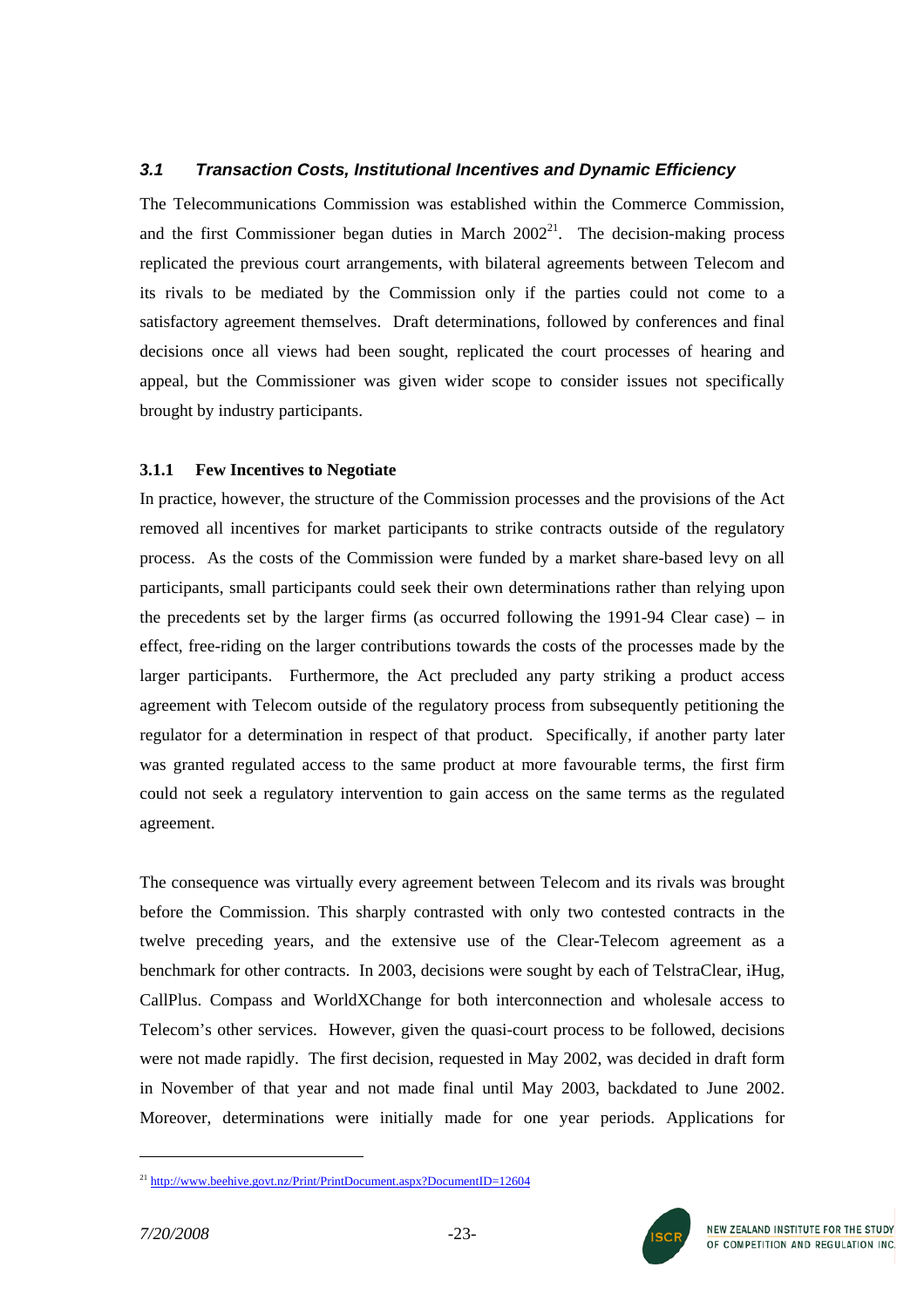### *3.1 Transaction Costs, Institutional Incentives and Dynamic Efficiency*

The Telecommunications Commission was established within the Commerce Commission, and the first Commissioner began duties in March  $2002<sup>21</sup>$ . The decision-making process replicated the previous court arrangements, with bilateral agreements between Telecom and its rivals to be mediated by the Commission only if the parties could not come to a satisfactory agreement themselves. Draft determinations, followed by conferences and final decisions once all views had been sought, replicated the court processes of hearing and appeal, but the Commissioner was given wider scope to consider issues not specifically brought by industry participants.

### **3.1.1 Few Incentives to Negotiate**

In practice, however, the structure of the Commission processes and the provisions of the Act removed all incentives for market participants to strike contracts outside of the regulatory process. As the costs of the Commission were funded by a market share-based levy on all participants, small participants could seek their own determinations rather than relying upon the precedents set by the larger firms (as occurred following the 1991-94 Clear case) – in effect, free-riding on the larger contributions towards the costs of the processes made by the larger participants. Furthermore, the Act precluded any party striking a product access agreement with Telecom outside of the regulatory process from subsequently petitioning the regulator for a determination in respect of that product. Specifically, if another party later was granted regulated access to the same product at more favourable terms, the first firm could not seek a regulatory intervention to gain access on the same terms as the regulated agreement.

The consequence was virtually every agreement between Telecom and its rivals was brought before the Commission. This sharply contrasted with only two contested contracts in the twelve preceding years, and the extensive use of the Clear-Telecom agreement as a benchmark for other contracts. In 2003, decisions were sought by each of TelstraClear, iHug, CallPlus. Compass and WorldXChange for both interconnection and wholesale access to Telecom's other services. However, given the quasi-court process to be followed, decisions were not made rapidly. The first decision, requested in May 2002, was decided in draft form in November of that year and not made final until May 2003, backdated to June 2002. Moreover, determinations were initially made for one year periods. Applications for



 $\overline{a}$ 

<span id="page-22-0"></span><sup>21</sup> <http://www.beehive.govt.nz/Print/PrintDocument.aspx?DocumentID=12604>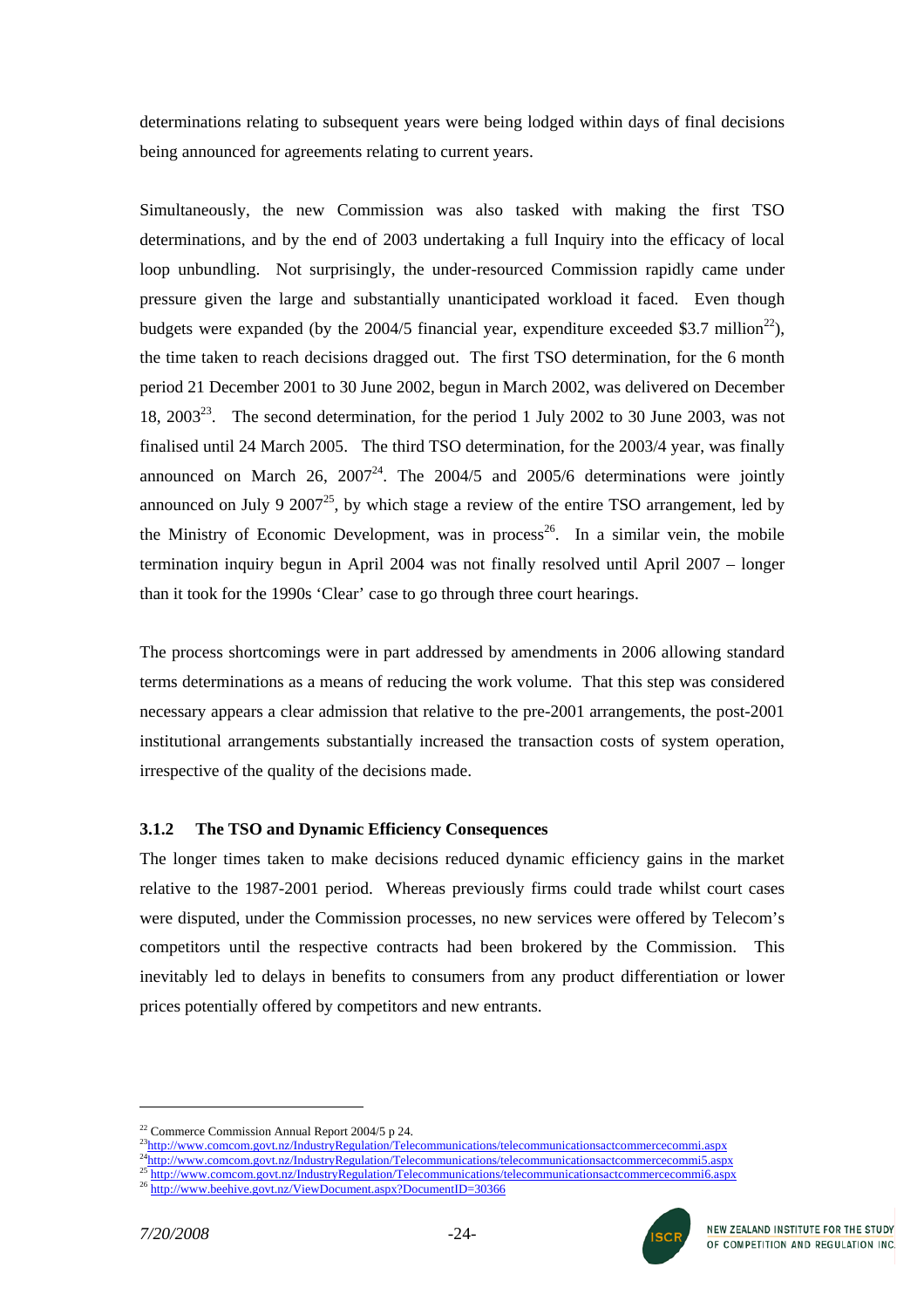determinations relating to subsequent years were being lodged within days of final decisions being announced for agreements relating to current years.

Simultaneously, the new Commission was also tasked with making the first TSO determinations, and by the end of 2003 undertaking a full Inquiry into the efficacy of local loop unbundling. Not surprisingly, the under-resourced Commission rapidly came under pressure given the large and substantially unanticipated workload it faced. Even though budgets were expanded (by the  $2004/5$  financial year, expenditure exceeded \$3.7 million<sup>22</sup>), the time taken to reach decisions dragged out. The first TSO determination, for the 6 month period 21 December 2001 to 30 June 2002, begun in March 2002, was delivered on December 18, 2003<sup>23</sup>. The second determination, for the period 1 July 2002 to 30 June 2003, was not finalised until 24 March 2005. The third TSO determination, for the 2003/4 year, was finally announced on March 26,  $2007^{24}$ . The 2004/5 and 2005/6 determinations were jointly announced on July 9 2007<sup>25</sup>, by which stage a review of the entire TSO arrangement, led by the Ministry of Economic Development, was in process<sup>26</sup>. In a similar vein, the mobile termination inquiry begun in April 2004 was not finally resolved until April 2007 – longer than it took for the 1990s 'Clear' case to go through three court hearings.

The process shortcomings were in part addressed by amendments in 2006 allowing standard terms determinations as a means of reducing the work volume. That this step was considered necessary appears a clear admission that relative to the pre-2001 arrangements, the post-2001 institutional arrangements substantially increased the transaction costs of system operation, irrespective of the quality of the decisions made.

### **3.1.2 The TSO and Dynamic Efficiency Consequences**

The longer times taken to make decisions reduced dynamic efficiency gains in the market relative to the 1987-2001 period. Whereas previously firms could trade whilst court cases were disputed, under the Commission processes, no new services were offered by Telecom's competitors until the respective contracts had been brokered by the Commission. This inevitably led to delays in benefits to consumers from any product differentiation or lower prices potentially offered by competitors and new entrants.

- <span id="page-23-1"></span>
- <span id="page-23-3"></span><span id="page-23-2"></span>



<span id="page-23-0"></span><sup>&</sup>lt;sup>22</sup>Commerce Commission Annual Report 2004/[5](http://www.comcom.govt.nz/IndustryRegulation/Telecommunications/telecommunicationsactcommercecommi5.aspx) p 24.<br>
<sup>23</sup>http://www.comcom.govt.nz/IndustryRegulation/Telecommunications/telecommunicationsactcommercecommi.aspx<br>
<sup>24</sup>http://www.comcom.govt.nz/IndustryRegulation/Telecommun

<span id="page-23-4"></span>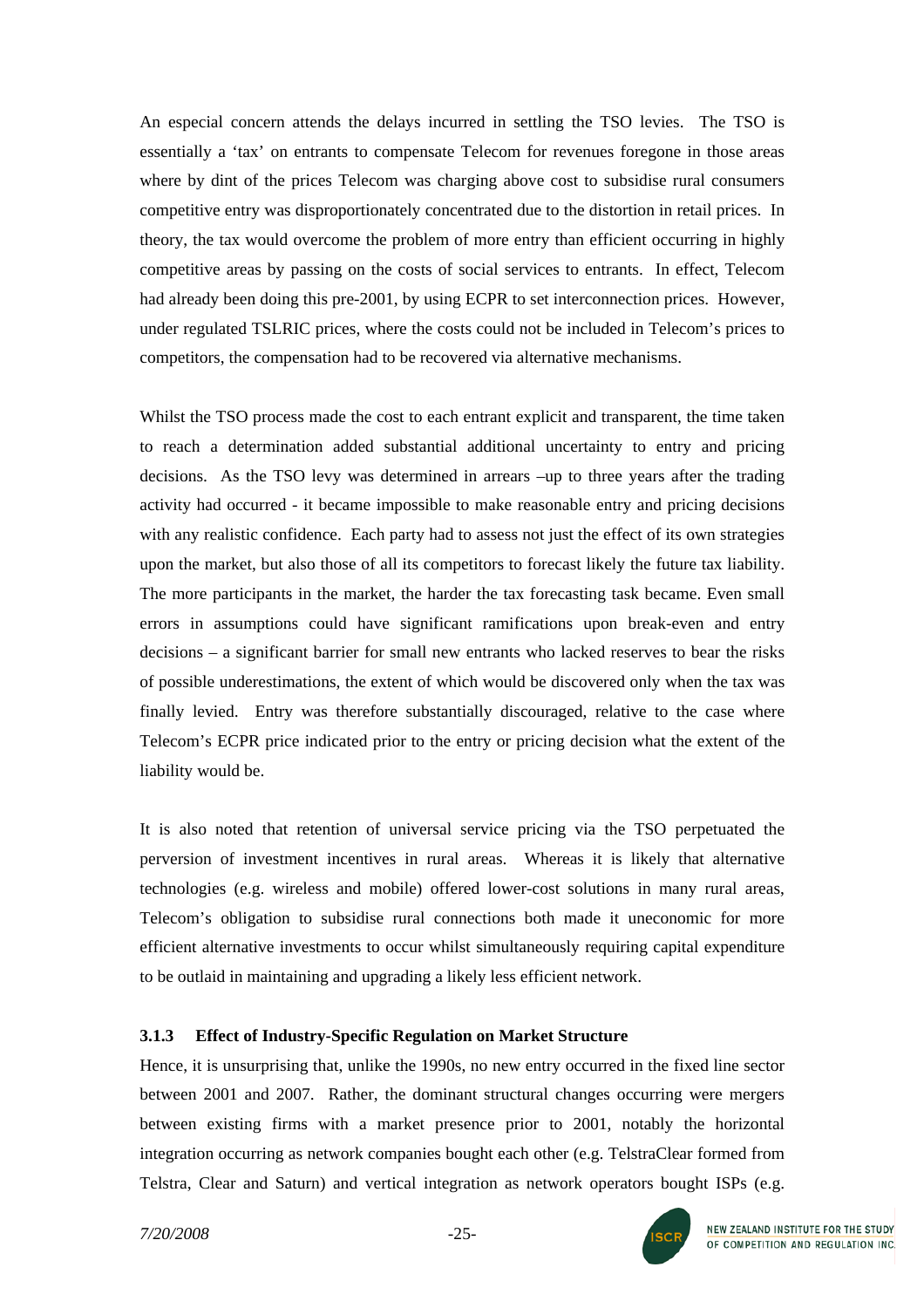An especial concern attends the delays incurred in settling the TSO levies. The TSO is essentially a 'tax' on entrants to compensate Telecom for revenues foregone in those areas where by dint of the prices Telecom was charging above cost to subsidise rural consumers competitive entry was disproportionately concentrated due to the distortion in retail prices. In theory, the tax would overcome the problem of more entry than efficient occurring in highly competitive areas by passing on the costs of social services to entrants. In effect, Telecom had already been doing this pre-2001, by using ECPR to set interconnection prices. However, under regulated TSLRIC prices, where the costs could not be included in Telecom's prices to competitors, the compensation had to be recovered via alternative mechanisms.

Whilst the TSO process made the cost to each entrant explicit and transparent, the time taken to reach a determination added substantial additional uncertainty to entry and pricing decisions. As the TSO levy was determined in arrears –up to three years after the trading activity had occurred - it became impossible to make reasonable entry and pricing decisions with any realistic confidence. Each party had to assess not just the effect of its own strategies upon the market, but also those of all its competitors to forecast likely the future tax liability. The more participants in the market, the harder the tax forecasting task became. Even small errors in assumptions could have significant ramifications upon break-even and entry decisions – a significant barrier for small new entrants who lacked reserves to bear the risks of possible underestimations, the extent of which would be discovered only when the tax was finally levied. Entry was therefore substantially discouraged, relative to the case where Telecom's ECPR price indicated prior to the entry or pricing decision what the extent of the liability would be.

It is also noted that retention of universal service pricing via the TSO perpetuated the perversion of investment incentives in rural areas. Whereas it is likely that alternative technologies (e.g. wireless and mobile) offered lower-cost solutions in many rural areas, Telecom's obligation to subsidise rural connections both made it uneconomic for more efficient alternative investments to occur whilst simultaneously requiring capital expenditure to be outlaid in maintaining and upgrading a likely less efficient network.

#### **3.1.3 Effect of Industry-Specific Regulation on Market Structure**

Hence, it is unsurprising that, unlike the 1990s, no new entry occurred in the fixed line sector between 2001 and 2007. Rather, the dominant structural changes occurring were mergers between existing firms with a market presence prior to 2001, notably the horizontal integration occurring as network companies bought each other (e.g. TelstraClear formed from Telstra, Clear and Saturn) and vertical integration as network operators bought ISPs (e.g.

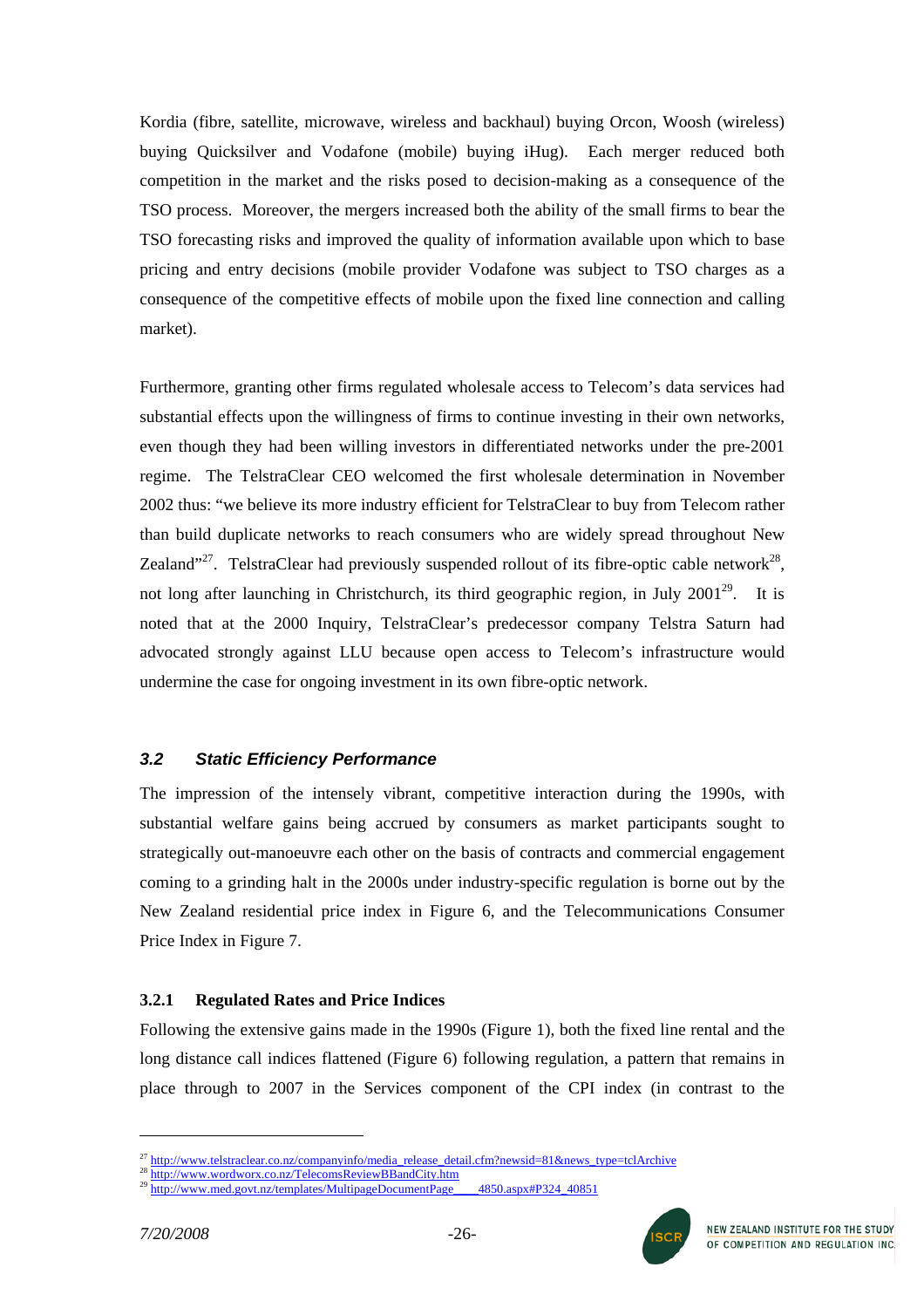Kordia (fibre, satellite, microwave, wireless and backhaul) buying Orcon, Woosh (wireless) buying Quicksilver and Vodafone (mobile) buying iHug). Each merger reduced both competition in the market and the risks posed to decision-making as a consequence of the TSO process. Moreover, the mergers increased both the ability of the small firms to bear the TSO forecasting risks and improved the quality of information available upon which to base pricing and entry decisions (mobile provider Vodafone was subject to TSO charges as a consequence of the competitive effects of mobile upon the fixed line connection and calling market).

Furthermore, granting other firms regulated wholesale access to Telecom's data services had substantial effects upon the willingness of firms to continue investing in their own networks, even though they had been willing investors in differentiated networks under the pre-2001 regime. The TelstraClear CEO welcomed the first wholesale determination in November 2002 thus: "we believe its more industry efficient for TelstraClear to buy from Telecom rather than build duplicate networks to reach consumers who are widely spread throughout New Zealand"<sup>27</sup>. TelstraClear had previously suspended rollout of its fibre-optic cable network<sup>28</sup>, not long after launching in Christchurch, its third geographic region, in July 2001<sup>29</sup>. It is noted that at the 2000 Inquiry, TelstraClear's predecessor company Telstra Saturn had advocated strongly against LLU because open access to Telecom's infrastructure would undermine the case for ongoing investment in its own fibre-optic network.

# *3.2 Static Efficiency Performance*

The impression of the intensely vibrant, competitive interaction during the 1990s, with substantial welfare gains being accrued by consumers as market participants sought to strategically out-manoeuvre each other on the basis of contracts and commercial engagement coming to a grinding halt in the 2000s under industry-specific regulation is borne out by the New Zealand residential price index in Figure 6, and the Telecommunications Consumer Price Index in Figure 7.

### **3.2.1 Regulated Rates and Price Indices**

Following the extensive gains made in the 1990s (Figure 1), both the fixed line rental and the long distance call indices flattened (Figure 6) following regulation, a pattern that remains in place through to 2007 in the Services component of the CPI index (in contrast to the





<span id="page-25-0"></span><sup>&</sup>lt;sup>27</sup> [http://www.telstraclear.co.nz/companyinfo/media\\_release\\_detail.cfm?newsid=81&news\\_type=tclArchive](http://www.telstraclear.co.nz/companyinfo/media_release_detail.cfm?newsid=81&news_type=tclArchive)

<span id="page-25-2"></span><span id="page-25-1"></span>

<sup>28</sup> http://www.wordworx.co.nz/TelecomsReviewBBandCity.htm<br>29 http://www.wordworx.co.nz/TelecomsReviewBBandCity.htm<br>29 http://www.med.govt.nz/templates/MultipageDocumentPage\_\_\_\_4850.aspx#P324\_40851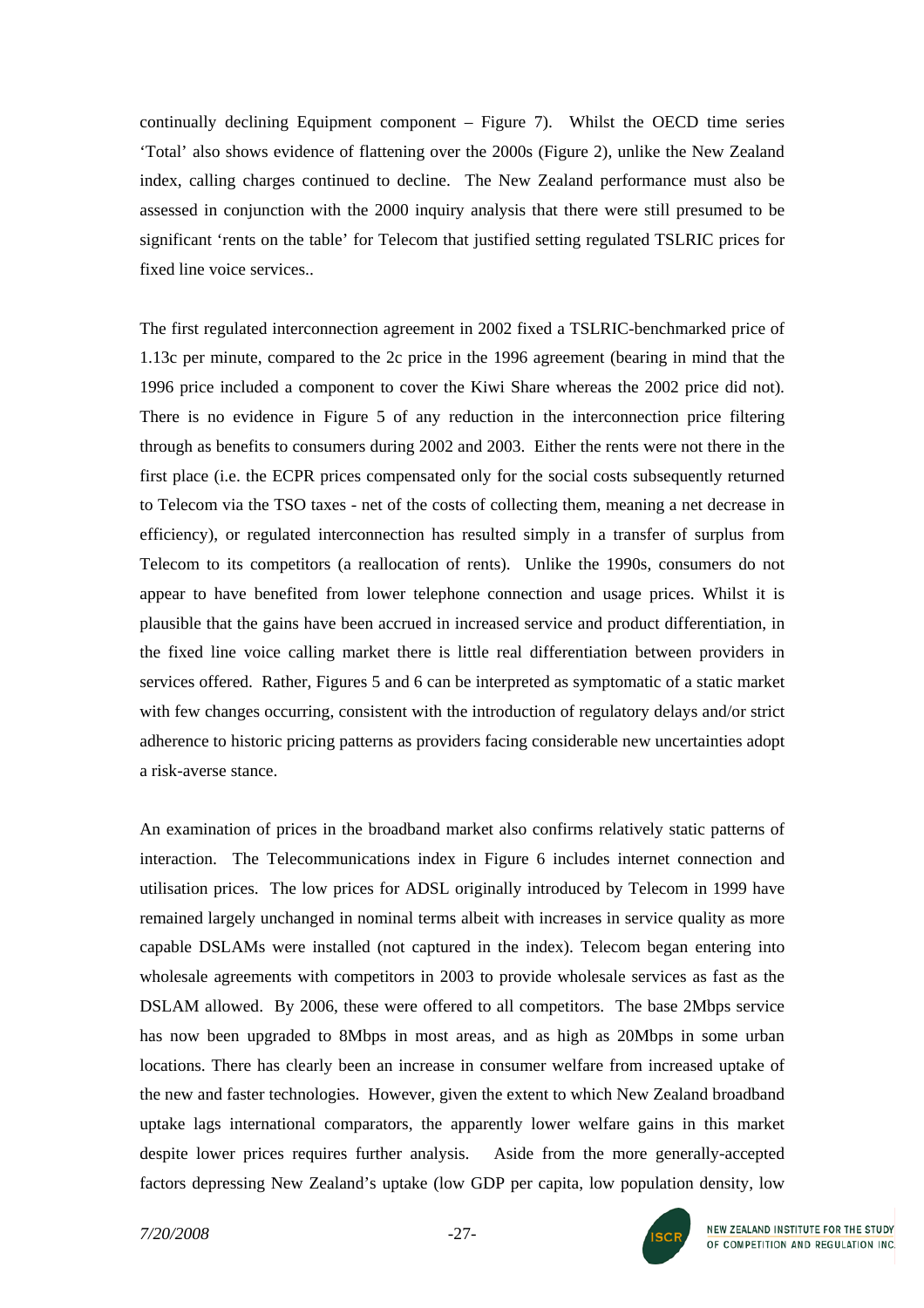continually declining Equipment component – Figure 7). Whilst the OECD time series 'Total' also shows evidence of flattening over the 2000s (Figure 2), unlike the New Zealand index, calling charges continued to decline. The New Zealand performance must also be assessed in conjunction with the 2000 inquiry analysis that there were still presumed to be significant 'rents on the table' for Telecom that justified setting regulated TSLRIC prices for fixed line voice services..

The first regulated interconnection agreement in 2002 fixed a TSLRIC-benchmarked price of 1.13c per minute, compared to the 2c price in the 1996 agreement (bearing in mind that the 1996 price included a component to cover the Kiwi Share whereas the 2002 price did not). There is no evidence in Figure 5 of any reduction in the interconnection price filtering through as benefits to consumers during 2002 and 2003. Either the rents were not there in the first place (i.e. the ECPR prices compensated only for the social costs subsequently returned to Telecom via the TSO taxes - net of the costs of collecting them, meaning a net decrease in efficiency), or regulated interconnection has resulted simply in a transfer of surplus from Telecom to its competitors (a reallocation of rents). Unlike the 1990s, consumers do not appear to have benefited from lower telephone connection and usage prices. Whilst it is plausible that the gains have been accrued in increased service and product differentiation, in the fixed line voice calling market there is little real differentiation between providers in services offered. Rather, Figures 5 and 6 can be interpreted as symptomatic of a static market with few changes occurring, consistent with the introduction of regulatory delays and/or strict adherence to historic pricing patterns as providers facing considerable new uncertainties adopt a risk-averse stance.

An examination of prices in the broadband market also confirms relatively static patterns of interaction. The Telecommunications index in Figure 6 includes internet connection and utilisation prices. The low prices for ADSL originally introduced by Telecom in 1999 have remained largely unchanged in nominal terms albeit with increases in service quality as more capable DSLAMs were installed (not captured in the index). Telecom began entering into wholesale agreements with competitors in 2003 to provide wholesale services as fast as the DSLAM allowed. By 2006, these were offered to all competitors. The base 2Mbps service has now been upgraded to 8Mbps in most areas, and as high as 20Mbps in some urban locations. There has clearly been an increase in consumer welfare from increased uptake of the new and faster technologies. However, given the extent to which New Zealand broadband uptake lags international comparators, the apparently lower welfare gains in this market despite lower prices requires further analysis. Aside from the more generally-accepted factors depressing New Zealand's uptake (low GDP per capita, low population density, low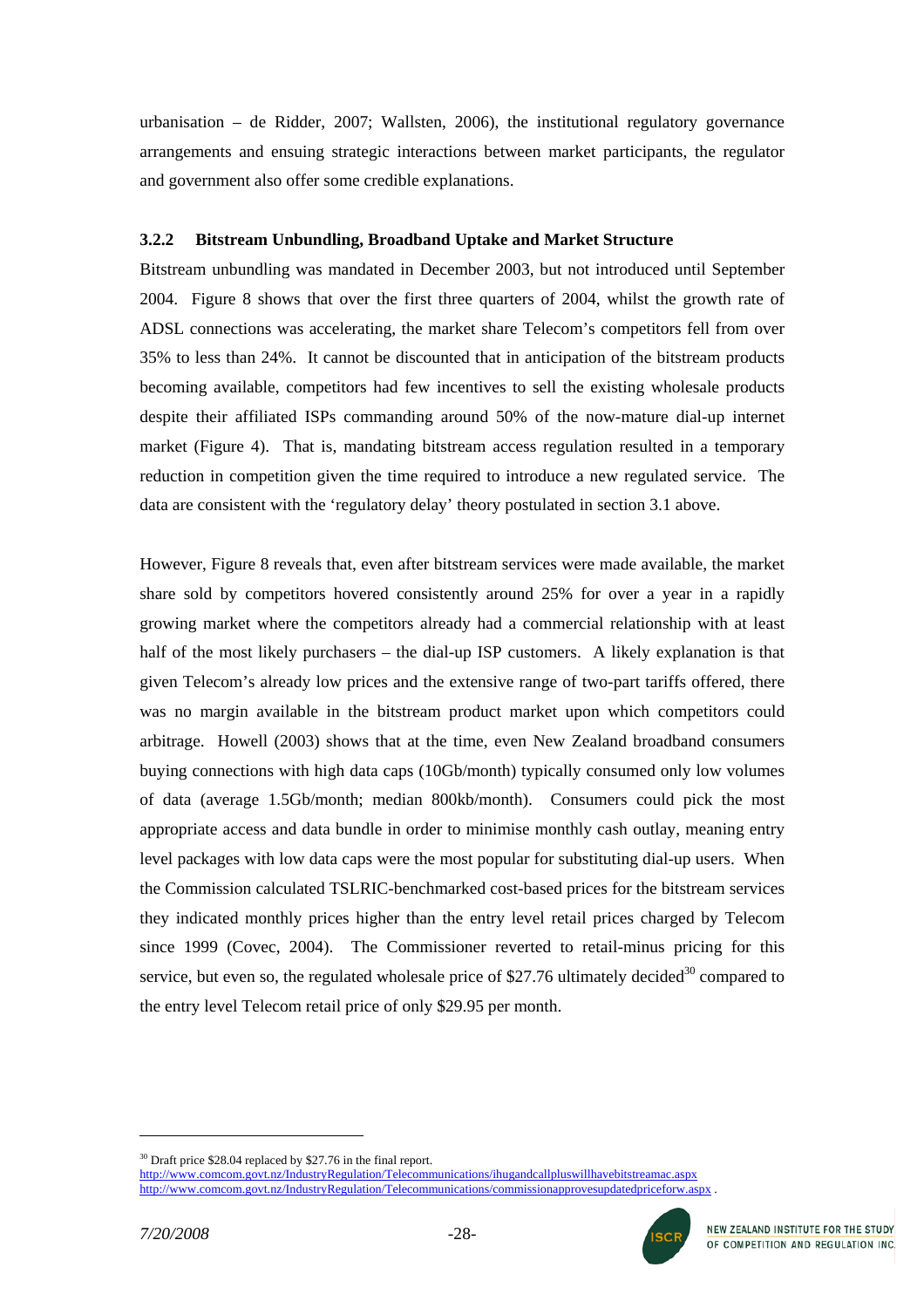urbanisation – de Ridder, 2007; Wallsten, 2006), the institutional regulatory governance arrangements and ensuing strategic interactions between market participants, the regulator and government also offer some credible explanations.

### **3.2.2 Bitstream Unbundling, Broadband Uptake and Market Structure**

Bitstream unbundling was mandated in December 2003, but not introduced until September 2004. Figure 8 shows that over the first three quarters of 2004, whilst the growth rate of ADSL connections was accelerating, the market share Telecom's competitors fell from over 35% to less than 24%. It cannot be discounted that in anticipation of the bitstream products becoming available, competitors had few incentives to sell the existing wholesale products despite their affiliated ISPs commanding around 50% of the now-mature dial-up internet market (Figure 4). That is, mandating bitstream access regulation resulted in a temporary reduction in competition given the time required to introduce a new regulated service. The data are consistent with the 'regulatory delay' theory postulated in section 3.1 above.

However, Figure 8 reveals that, even after bitstream services were made available, the market share sold by competitors hovered consistently around 25% for over a year in a rapidly growing market where the competitors already had a commercial relationship with at least half of the most likely purchasers – the dial-up ISP customers. A likely explanation is that given Telecom's already low prices and the extensive range of two-part tariffs offered, there was no margin available in the bitstream product market upon which competitors could arbitrage. Howell (2003) shows that at the time, even New Zealand broadband consumers buying connections with high data caps (10Gb/month) typically consumed only low volumes of data (average 1.5Gb/month; median 800kb/month). Consumers could pick the most appropriate access and data bundle in order to minimise monthly cash outlay, meaning entry level packages with low data caps were the most popular for substituting dial-up users. When the Commission calculated TSLRIC-benchmarked cost-based prices for the bitstream services they indicated monthly prices higher than the entry level retail prices charged by Telecom since 1999 (Covec, 2004). The Commissioner reverted to retail-minus pricing for this service, but even so, the regulated wholesale price of \$27.76 ultimately decided<sup>30</sup> compared to the entry level Telecom retail price of only \$29.95 per month.

<span id="page-27-0"></span> $30$  Draft price \$28.04 replaced by \$27.76 in the final report. <http://www.comcom.govt.nz/IndustryRegulation/Telecommunications/ihugandcallpluswillhavebitstreamac.aspx> <http://www.comcom.govt.nz/IndustryRegulation/Telecommunications/commissionapprovesupdatedpriceforw.aspx>.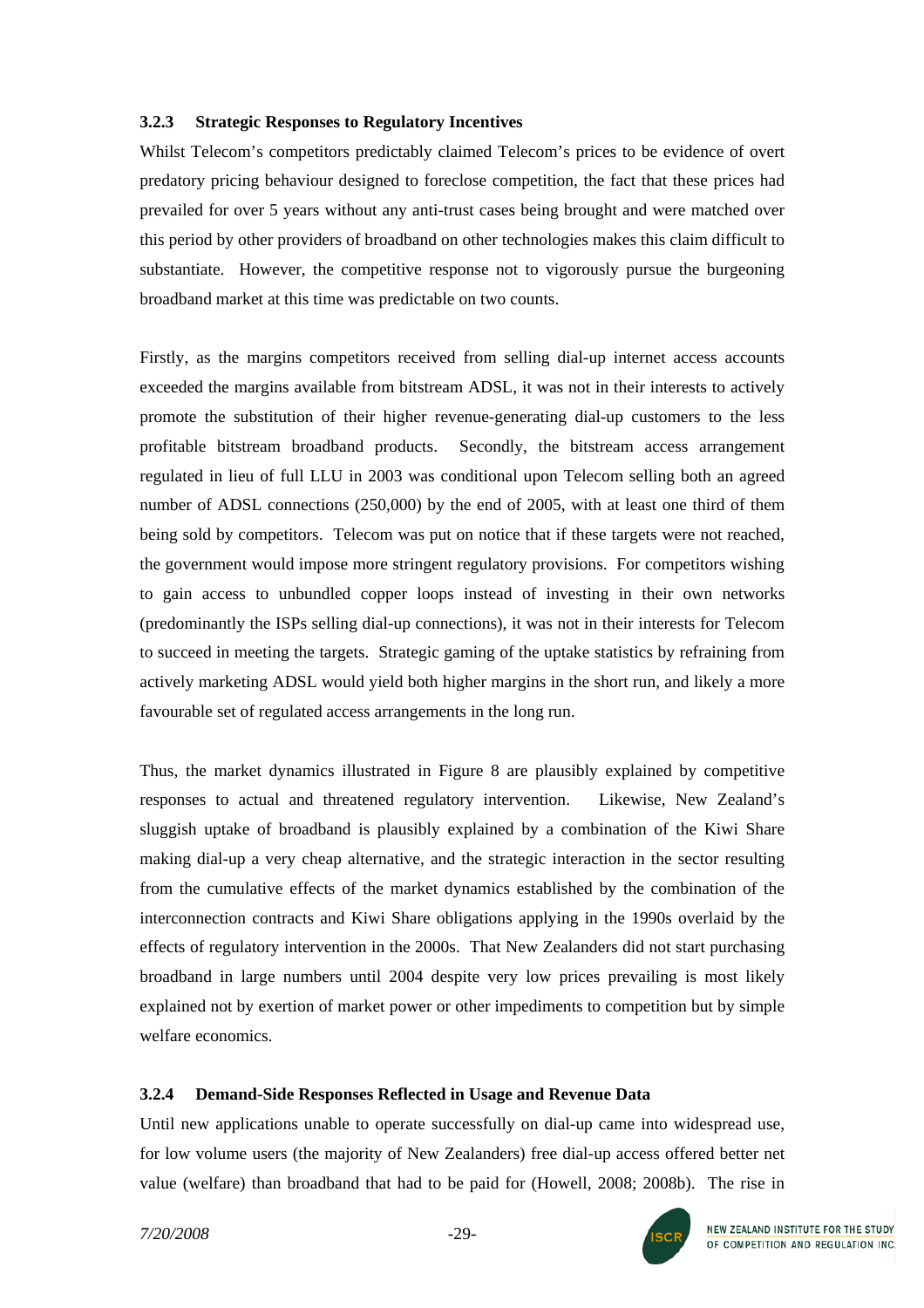### **3.2.3 Strategic Responses to Regulatory Incentives**

Whilst Telecom's competitors predictably claimed Telecom's prices to be evidence of overt predatory pricing behaviour designed to foreclose competition, the fact that these prices had prevailed for over 5 years without any anti-trust cases being brought and were matched over this period by other providers of broadband on other technologies makes this claim difficult to substantiate. However, the competitive response not to vigorously pursue the burgeoning broadband market at this time was predictable on two counts.

Firstly, as the margins competitors received from selling dial-up internet access accounts exceeded the margins available from bitstream ADSL, it was not in their interests to actively promote the substitution of their higher revenue-generating dial-up customers to the less profitable bitstream broadband products. Secondly, the bitstream access arrangement regulated in lieu of full LLU in 2003 was conditional upon Telecom selling both an agreed number of ADSL connections (250,000) by the end of 2005, with at least one third of them being sold by competitors. Telecom was put on notice that if these targets were not reached, the government would impose more stringent regulatory provisions. For competitors wishing to gain access to unbundled copper loops instead of investing in their own networks (predominantly the ISPs selling dial-up connections), it was not in their interests for Telecom to succeed in meeting the targets. Strategic gaming of the uptake statistics by refraining from actively marketing ADSL would yield both higher margins in the short run, and likely a more favourable set of regulated access arrangements in the long run.

Thus, the market dynamics illustrated in Figure 8 are plausibly explained by competitive responses to actual and threatened regulatory intervention. Likewise, New Zealand's sluggish uptake of broadband is plausibly explained by a combination of the Kiwi Share making dial-up a very cheap alternative, and the strategic interaction in the sector resulting from the cumulative effects of the market dynamics established by the combination of the interconnection contracts and Kiwi Share obligations applying in the 1990s overlaid by the effects of regulatory intervention in the 2000s. That New Zealanders did not start purchasing broadband in large numbers until 2004 despite very low prices prevailing is most likely explained not by exertion of market power or other impediments to competition but by simple welfare economics.

# **3.2.4 Demand-Side Responses Reflected in Usage and Revenue Data**

Until new applications unable to operate successfully on dial-up came into widespread use, for low volume users (the majority of New Zealanders) free dial-up access offered better net value (welfare) than broadband that had to be paid for (Howell, 2008; 2008b). The rise in

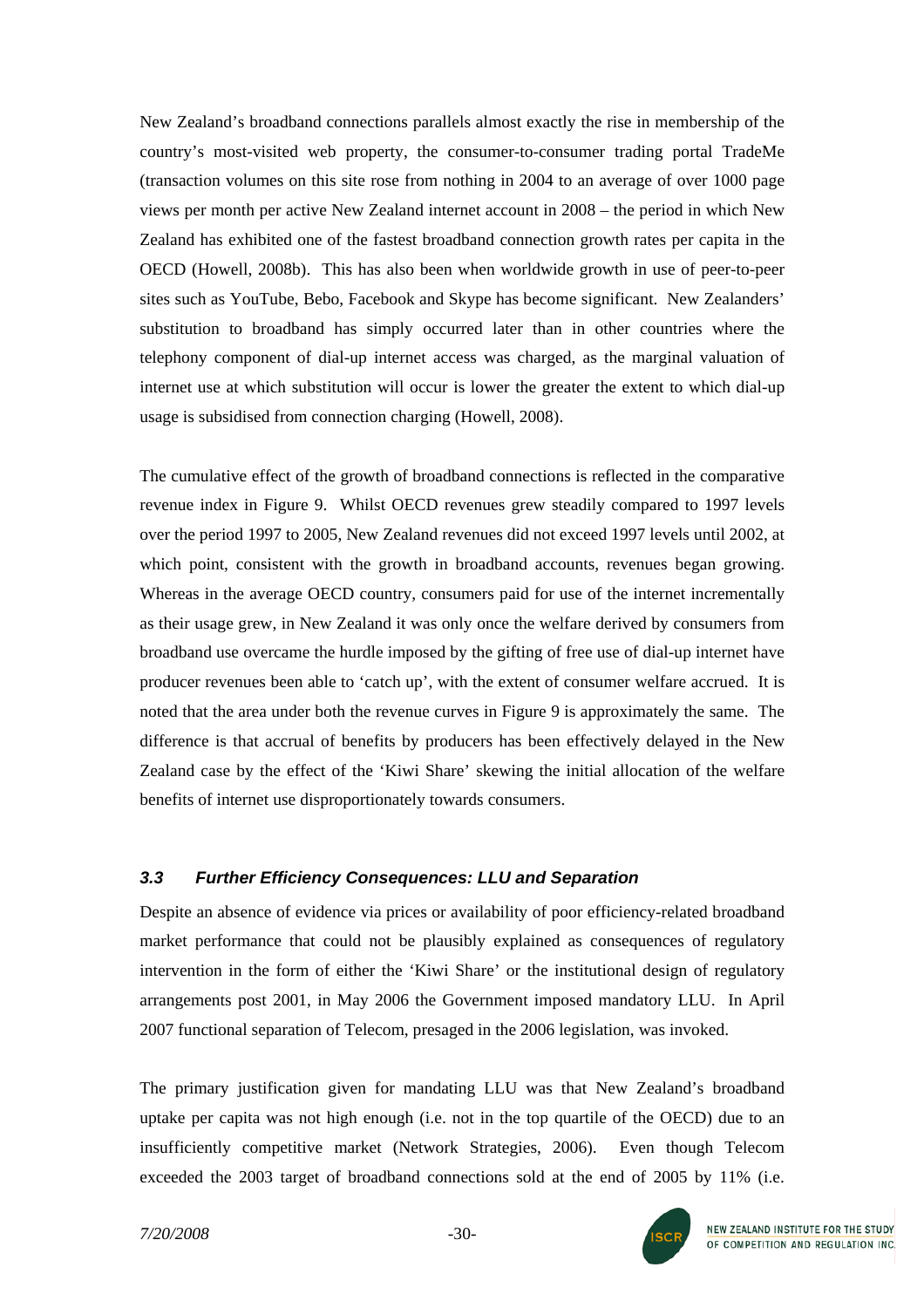New Zealand's broadband connections parallels almost exactly the rise in membership of the country's most-visited web property, the consumer-to-consumer trading portal TradeMe (transaction volumes on this site rose from nothing in 2004 to an average of over 1000 page views per month per active New Zealand internet account in 2008 – the period in which New Zealand has exhibited one of the fastest broadband connection growth rates per capita in the OECD (Howell, 2008b). This has also been when worldwide growth in use of peer-to-peer sites such as YouTube, Bebo, Facebook and Skype has become significant. New Zealanders' substitution to broadband has simply occurred later than in other countries where the telephony component of dial-up internet access was charged, as the marginal valuation of internet use at which substitution will occur is lower the greater the extent to which dial-up usage is subsidised from connection charging (Howell, 2008).

The cumulative effect of the growth of broadband connections is reflected in the comparative revenue index in Figure 9. Whilst OECD revenues grew steadily compared to 1997 levels over the period 1997 to 2005, New Zealand revenues did not exceed 1997 levels until 2002, at which point, consistent with the growth in broadband accounts, revenues began growing. Whereas in the average OECD country, consumers paid for use of the internet incrementally as their usage grew, in New Zealand it was only once the welfare derived by consumers from broadband use overcame the hurdle imposed by the gifting of free use of dial-up internet have producer revenues been able to 'catch up', with the extent of consumer welfare accrued. It is noted that the area under both the revenue curves in Figure 9 is approximately the same. The difference is that accrual of benefits by producers has been effectively delayed in the New Zealand case by the effect of the 'Kiwi Share' skewing the initial allocation of the welfare benefits of internet use disproportionately towards consumers.

# *3.3 Further Efficiency Consequences: LLU and Separation*

Despite an absence of evidence via prices or availability of poor efficiency-related broadband market performance that could not be plausibly explained as consequences of regulatory intervention in the form of either the 'Kiwi Share' or the institutional design of regulatory arrangements post 2001, in May 2006 the Government imposed mandatory LLU. In April 2007 functional separation of Telecom, presaged in the 2006 legislation, was invoked.

The primary justification given for mandating LLU was that New Zealand's broadband uptake per capita was not high enough (i.e. not in the top quartile of the OECD) due to an insufficiently competitive market (Network Strategies, 2006). Even though Telecom exceeded the 2003 target of broadband connections sold at the end of 2005 by 11% (i.e.

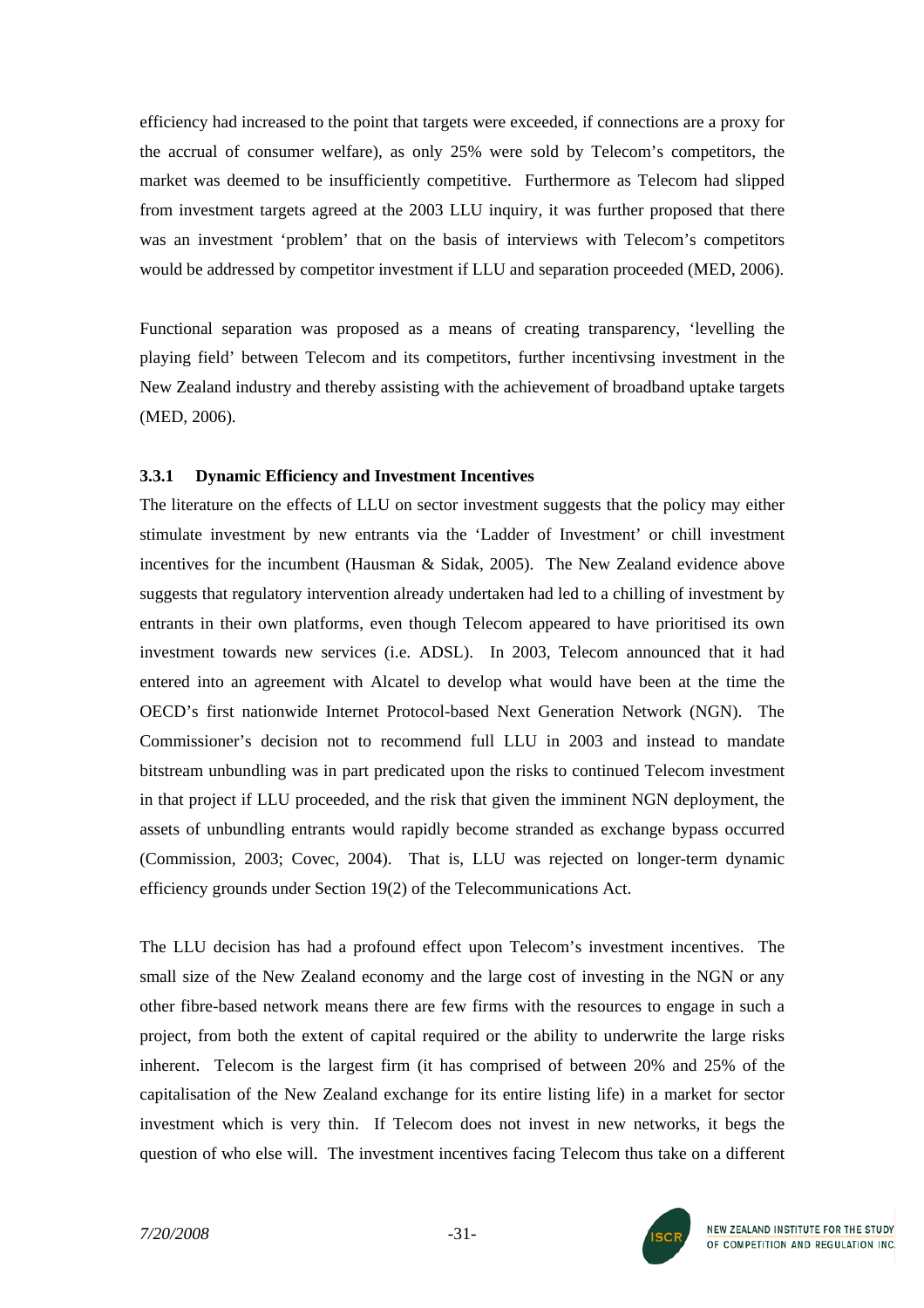efficiency had increased to the point that targets were exceeded, if connections are a proxy for the accrual of consumer welfare), as only 25% were sold by Telecom's competitors, the market was deemed to be insufficiently competitive. Furthermore as Telecom had slipped from investment targets agreed at the 2003 LLU inquiry, it was further proposed that there was an investment 'problem' that on the basis of interviews with Telecom's competitors would be addressed by competitor investment if LLU and separation proceeded (MED, 2006).

Functional separation was proposed as a means of creating transparency, 'levelling the playing field' between Telecom and its competitors, further incentivsing investment in the New Zealand industry and thereby assisting with the achievement of broadband uptake targets (MED, 2006).

### **3.3.1 Dynamic Efficiency and Investment Incentives**

The literature on the effects of LLU on sector investment suggests that the policy may either stimulate investment by new entrants via the 'Ladder of Investment' or chill investment incentives for the incumbent (Hausman & Sidak, 2005). The New Zealand evidence above suggests that regulatory intervention already undertaken had led to a chilling of investment by entrants in their own platforms, even though Telecom appeared to have prioritised its own investment towards new services (i.e. ADSL). In 2003, Telecom announced that it had entered into an agreement with Alcatel to develop what would have been at the time the OECD's first nationwide Internet Protocol-based Next Generation Network (NGN). The Commissioner's decision not to recommend full LLU in 2003 and instead to mandate bitstream unbundling was in part predicated upon the risks to continued Telecom investment in that project if LLU proceeded, and the risk that given the imminent NGN deployment, the assets of unbundling entrants would rapidly become stranded as exchange bypass occurred (Commission, 2003; Covec, 2004). That is, LLU was rejected on longer-term dynamic efficiency grounds under Section 19(2) of the Telecommunications Act.

The LLU decision has had a profound effect upon Telecom's investment incentives. The small size of the New Zealand economy and the large cost of investing in the NGN or any other fibre-based network means there are few firms with the resources to engage in such a project, from both the extent of capital required or the ability to underwrite the large risks inherent. Telecom is the largest firm (it has comprised of between 20% and 25% of the capitalisation of the New Zealand exchange for its entire listing life) in a market for sector investment which is very thin. If Telecom does not invest in new networks, it begs the question of who else will. The investment incentives facing Telecom thus take on a different

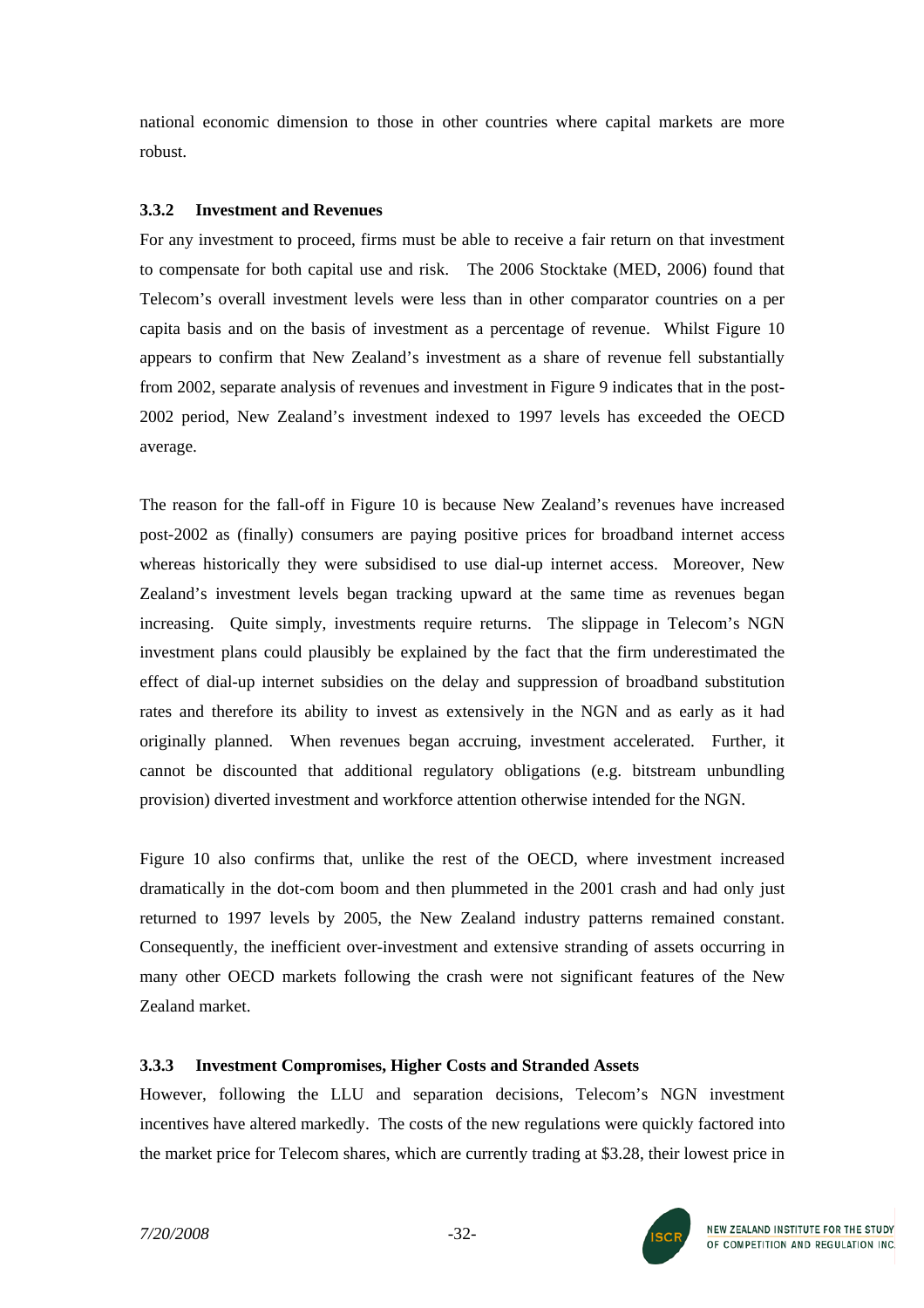national economic dimension to those in other countries where capital markets are more robust.

### **3.3.2 Investment and Revenues**

For any investment to proceed, firms must be able to receive a fair return on that investment to compensate for both capital use and risk. The 2006 Stocktake (MED, 2006) found that Telecom's overall investment levels were less than in other comparator countries on a per capita basis and on the basis of investment as a percentage of revenue. Whilst Figure 10 appears to confirm that New Zealand's investment as a share of revenue fell substantially from 2002, separate analysis of revenues and investment in Figure 9 indicates that in the post-2002 period, New Zealand's investment indexed to 1997 levels has exceeded the OECD average.

The reason for the fall-off in Figure 10 is because New Zealand's revenues have increased post-2002 as (finally) consumers are paying positive prices for broadband internet access whereas historically they were subsidised to use dial-up internet access. Moreover, New Zealand's investment levels began tracking upward at the same time as revenues began increasing. Quite simply, investments require returns. The slippage in Telecom's NGN investment plans could plausibly be explained by the fact that the firm underestimated the effect of dial-up internet subsidies on the delay and suppression of broadband substitution rates and therefore its ability to invest as extensively in the NGN and as early as it had originally planned. When revenues began accruing, investment accelerated. Further, it cannot be discounted that additional regulatory obligations (e.g. bitstream unbundling provision) diverted investment and workforce attention otherwise intended for the NGN.

Figure 10 also confirms that, unlike the rest of the OECD, where investment increased dramatically in the dot-com boom and then plummeted in the 2001 crash and had only just returned to 1997 levels by 2005, the New Zealand industry patterns remained constant. Consequently, the inefficient over-investment and extensive stranding of assets occurring in many other OECD markets following the crash were not significant features of the New Zealand market.

### **3.3.3 Investment Compromises, Higher Costs and Stranded Assets**

However, following the LLU and separation decisions, Telecom's NGN investment incentives have altered markedly. The costs of the new regulations were quickly factored into the market price for Telecom shares, which are currently trading at \$3.28, their lowest price in

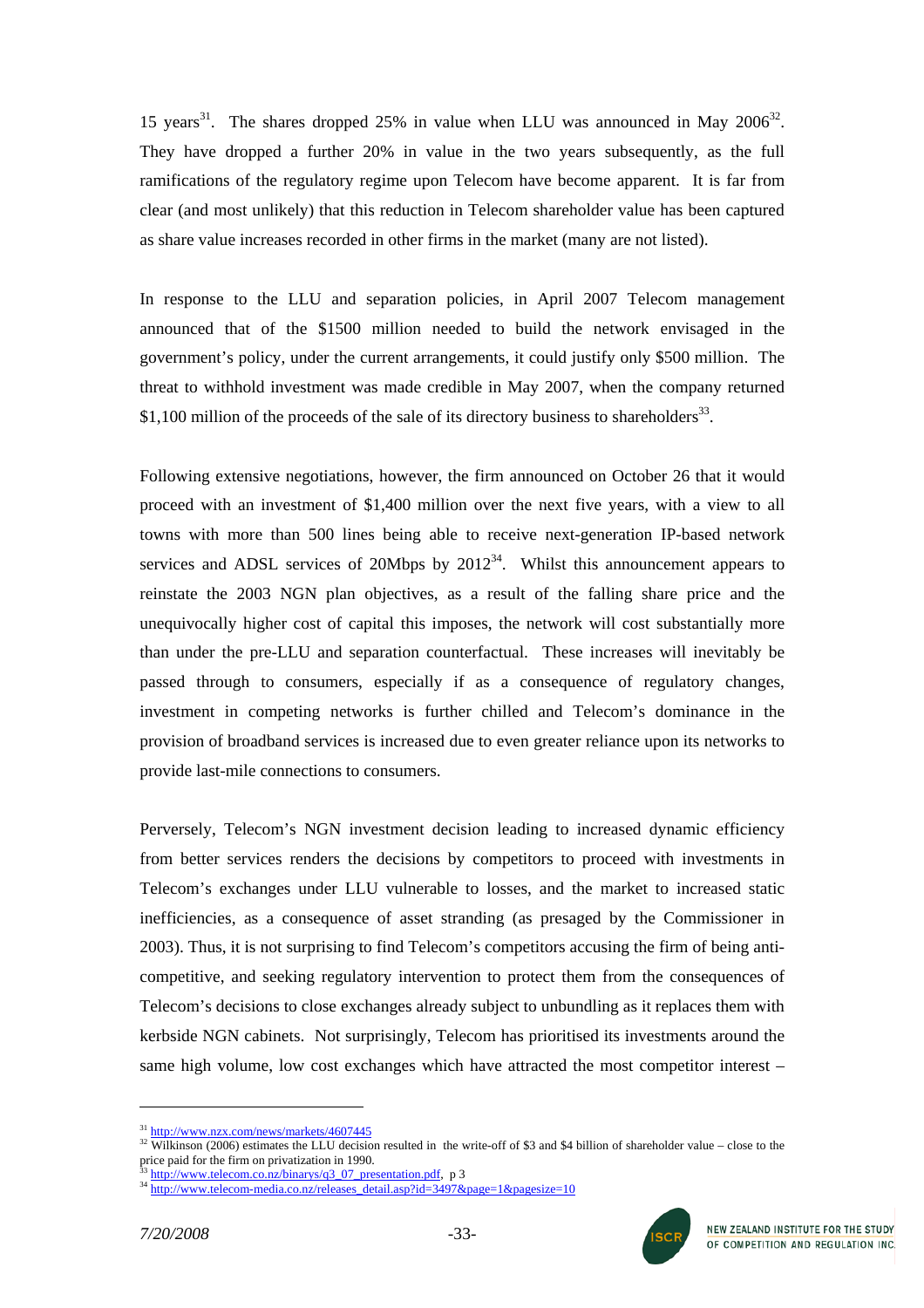15 years<sup>31</sup>. The shares dropped 25% in value when LLU was announced in May 2006<sup>32</sup>. They have dropped a further 20% in value in the two years subsequently, as the full ramifications of the regulatory regime upon Telecom have become apparent. It is far from clear (and most unlikely) that this reduction in Telecom shareholder value has been captured as share value increases recorded in other firms in the market (many are not listed).

In response to the LLU and separation policies, in April 2007 Telecom management announced that of the \$1500 million needed to build the network envisaged in the government's policy, under the current arrangements, it could justify only \$500 million. The threat to withhold investment was made credible in May 2007, when the company returned \$1,100 million of the proceeds of the sale of its directory business to shareholders<sup>33</sup>.

Following extensive negotiations, however, the firm announced on October 26 that it would proceed with an investment of \$1,400 million over the next five years, with a view to all towns with more than 500 lines being able to receive next-generation IP-based network services and ADSL services of 20Mbps by  $2012^{34}$ . Whilst this announcement appears to reinstate the 2003 NGN plan objectives, as a result of the falling share price and the unequivocally higher cost of capital this imposes, the network will cost substantially more than under the pre-LLU and separation counterfactual. These increases will inevitably be passed through to consumers, especially if as a consequence of regulatory changes, investment in competing networks is further chilled and Telecom's dominance in the provision of broadband services is increased due to even greater reliance upon its networks to provide last-mile connections to consumers.

Perversely, Telecom's NGN investment decision leading to increased dynamic efficiency from better services renders the decisions by competitors to proceed with investments in Telecom's exchanges under LLU vulnerable to losses, and the market to increased static inefficiencies, as a consequence of asset stranding (as presaged by the Commissioner in 2003). Thus, it is not surprising to find Telecom's competitors accusing the firm of being anticompetitive, and seeking regulatory intervention to protect them from the consequences of Telecom's decisions to close exchanges already subject to unbundling as it replaces them with kerbside NGN cabinets. Not surprisingly, Telecom has prioritised its investments around the same high volume, low cost exchanges which have attracted the most competitor interest –



<span id="page-32-1"></span><span id="page-32-0"></span>

 $\frac{31 \text{ http://www.nzx.com/news/markets/4607445}}{32 \text{ Wilkinson (2006)}}$  $\frac{31 \text{ http://www.nzx.com/news/markets/4607445}}{32 \text{ Wilkinson (2006)}}$  $\frac{31 \text{ http://www.nzx.com/news/markets/4607445}}{32 \text{ Wilkinson (2006)}}$  estimates the LLU decision resulted in the write-off of \$3 and \$4 billion of shareholder value – close to the price paid for the firm on privatization in 1990.

<span id="page-32-3"></span><span id="page-32-2"></span>

 $\frac{33 \text{ http://www.telecom.co.nz/binarys/q3_07_presentation.pdf}{34 \text{ http://www.telecom-media.co.nz/release_detail_asp?id=3497&page=1&page:2497&page:2497&page:2497&page:2497&page:2497&page:2497&page:2497&page:2497&page:2497&page:2497&page:2497&page:2497&page:2497&page:2497&page:2497&page:2497&page:2497&page:2497&page:2497&page:2497&page:2497&page:2497&page$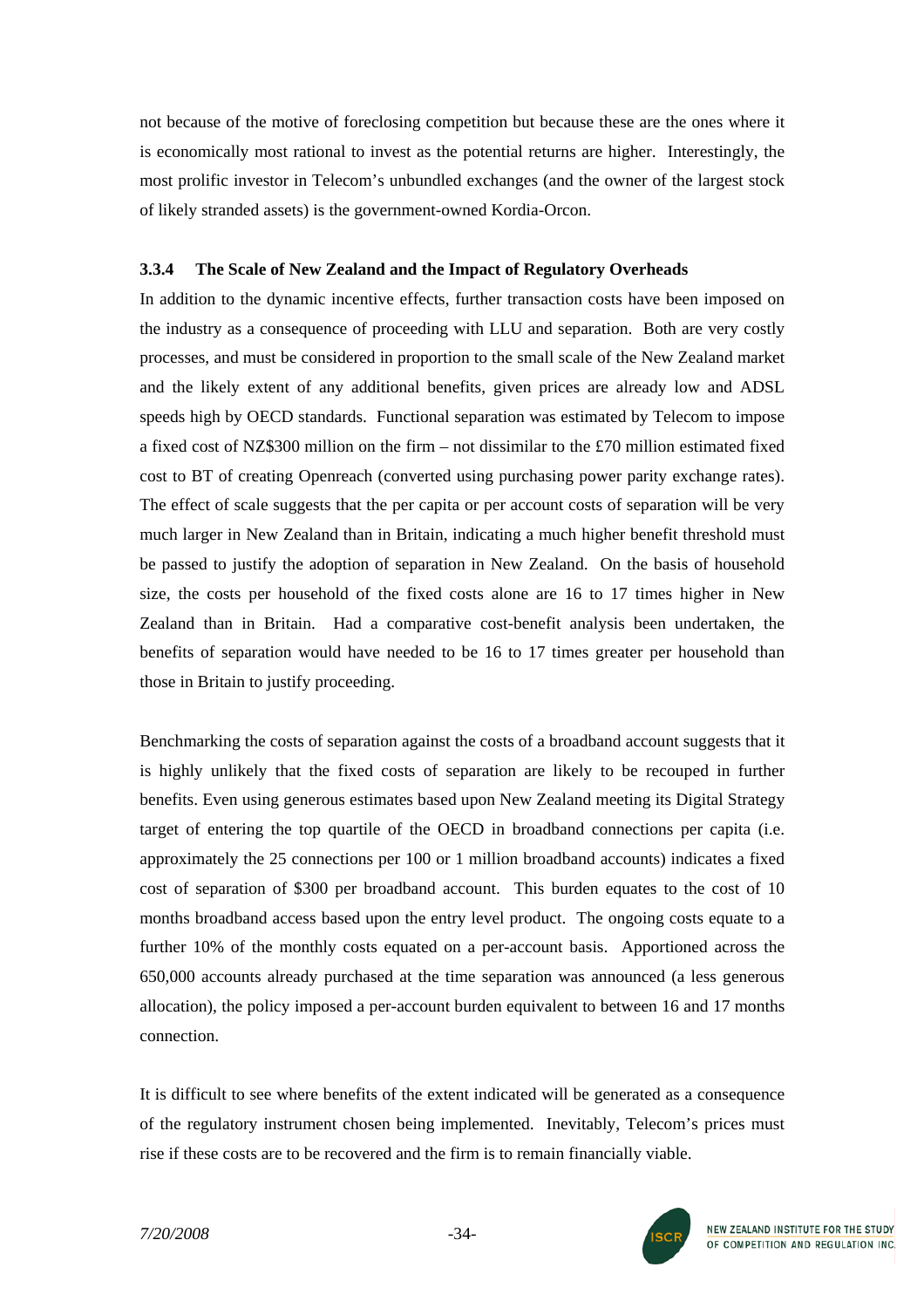not because of the motive of foreclosing competition but because these are the ones where it is economically most rational to invest as the potential returns are higher. Interestingly, the most prolific investor in Telecom's unbundled exchanges (and the owner of the largest stock of likely stranded assets) is the government-owned Kordia-Orcon.

#### **3.3.4 The Scale of New Zealand and the Impact of Regulatory Overheads**

In addition to the dynamic incentive effects, further transaction costs have been imposed on the industry as a consequence of proceeding with LLU and separation. Both are very costly processes, and must be considered in proportion to the small scale of the New Zealand market and the likely extent of any additional benefits, given prices are already low and ADSL speeds high by OECD standards. Functional separation was estimated by Telecom to impose a fixed cost of NZ\$300 million on the firm – not dissimilar to the £70 million estimated fixed cost to BT of creating Openreach (converted using purchasing power parity exchange rates). The effect of scale suggests that the per capita or per account costs of separation will be very much larger in New Zealand than in Britain, indicating a much higher benefit threshold must be passed to justify the adoption of separation in New Zealand. On the basis of household size, the costs per household of the fixed costs alone are 16 to 17 times higher in New Zealand than in Britain. Had a comparative cost-benefit analysis been undertaken, the benefits of separation would have needed to be 16 to 17 times greater per household than those in Britain to justify proceeding.

Benchmarking the costs of separation against the costs of a broadband account suggests that it is highly unlikely that the fixed costs of separation are likely to be recouped in further benefits. Even using generous estimates based upon New Zealand meeting its Digital Strategy target of entering the top quartile of the OECD in broadband connections per capita (i.e. approximately the 25 connections per 100 or 1 million broadband accounts) indicates a fixed cost of separation of \$300 per broadband account. This burden equates to the cost of 10 months broadband access based upon the entry level product. The ongoing costs equate to a further 10% of the monthly costs equated on a per-account basis. Apportioned across the 650,000 accounts already purchased at the time separation was announced (a less generous allocation), the policy imposed a per-account burden equivalent to between 16 and 17 months connection.

It is difficult to see where benefits of the extent indicated will be generated as a consequence of the regulatory instrument chosen being implemented. Inevitably, Telecom's prices must rise if these costs are to be recovered and the firm is to remain financially viable.

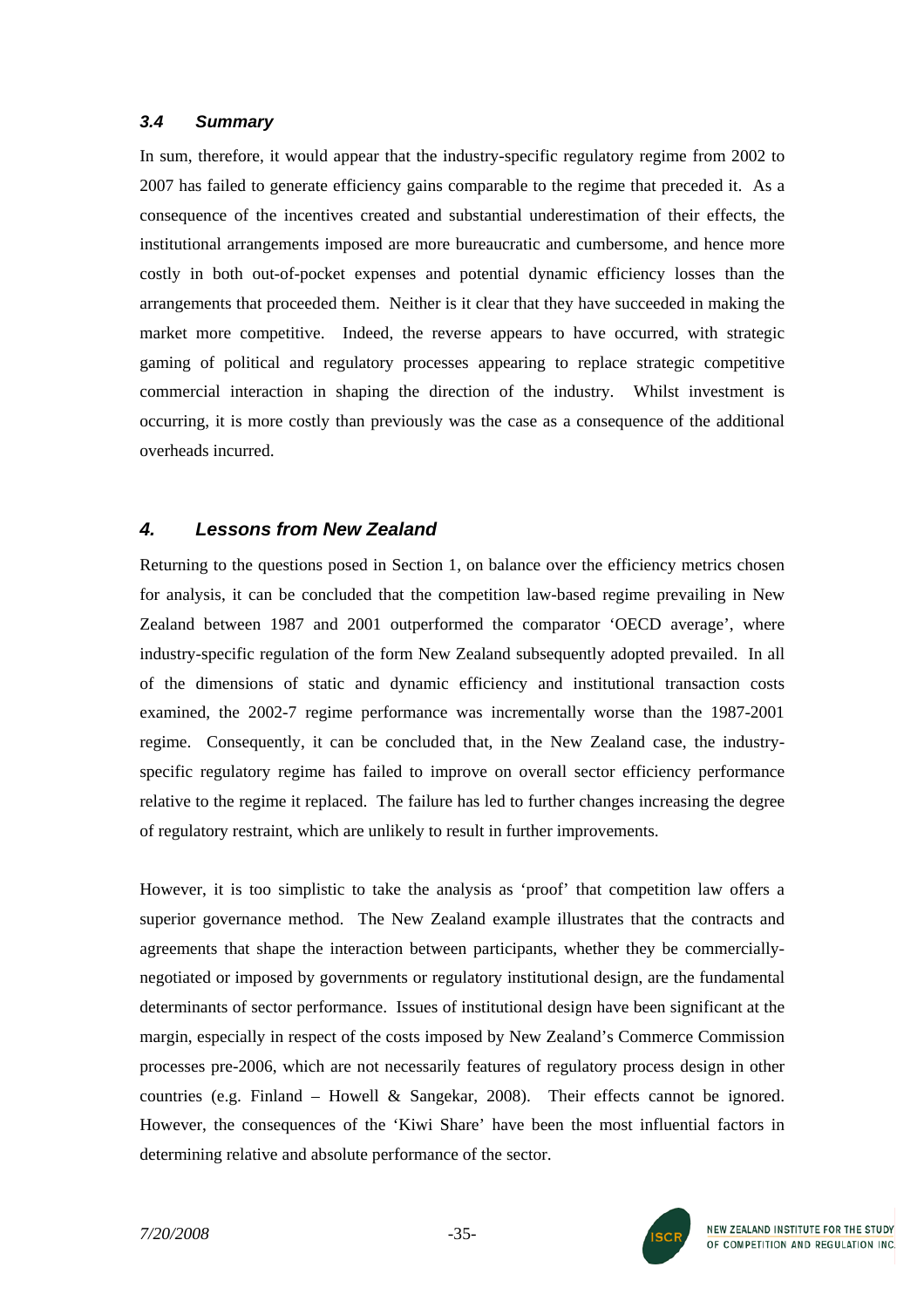### *3.4 Summary*

In sum, therefore, it would appear that the industry-specific regulatory regime from 2002 to 2007 has failed to generate efficiency gains comparable to the regime that preceded it. As a consequence of the incentives created and substantial underestimation of their effects, the institutional arrangements imposed are more bureaucratic and cumbersome, and hence more costly in both out-of-pocket expenses and potential dynamic efficiency losses than the arrangements that proceeded them. Neither is it clear that they have succeeded in making the market more competitive. Indeed, the reverse appears to have occurred, with strategic gaming of political and regulatory processes appearing to replace strategic competitive commercial interaction in shaping the direction of the industry. Whilst investment is occurring, it is more costly than previously was the case as a consequence of the additional overheads incurred.

# *4. Lessons from New Zealand*

Returning to the questions posed in Section 1, on balance over the efficiency metrics chosen for analysis, it can be concluded that the competition law-based regime prevailing in New Zealand between 1987 and 2001 outperformed the comparator 'OECD average', where industry-specific regulation of the form New Zealand subsequently adopted prevailed. In all of the dimensions of static and dynamic efficiency and institutional transaction costs examined, the 2002-7 regime performance was incrementally worse than the 1987-2001 regime. Consequently, it can be concluded that, in the New Zealand case, the industryspecific regulatory regime has failed to improve on overall sector efficiency performance relative to the regime it replaced. The failure has led to further changes increasing the degree of regulatory restraint, which are unlikely to result in further improvements.

However, it is too simplistic to take the analysis as 'proof' that competition law offers a superior governance method. The New Zealand example illustrates that the contracts and agreements that shape the interaction between participants, whether they be commerciallynegotiated or imposed by governments or regulatory institutional design, are the fundamental determinants of sector performance. Issues of institutional design have been significant at the margin, especially in respect of the costs imposed by New Zealand's Commerce Commission processes pre-2006, which are not necessarily features of regulatory process design in other countries (e.g. Finland – Howell & Sangekar, 2008). Their effects cannot be ignored. However, the consequences of the 'Kiwi Share' have been the most influential factors in determining relative and absolute performance of the sector.

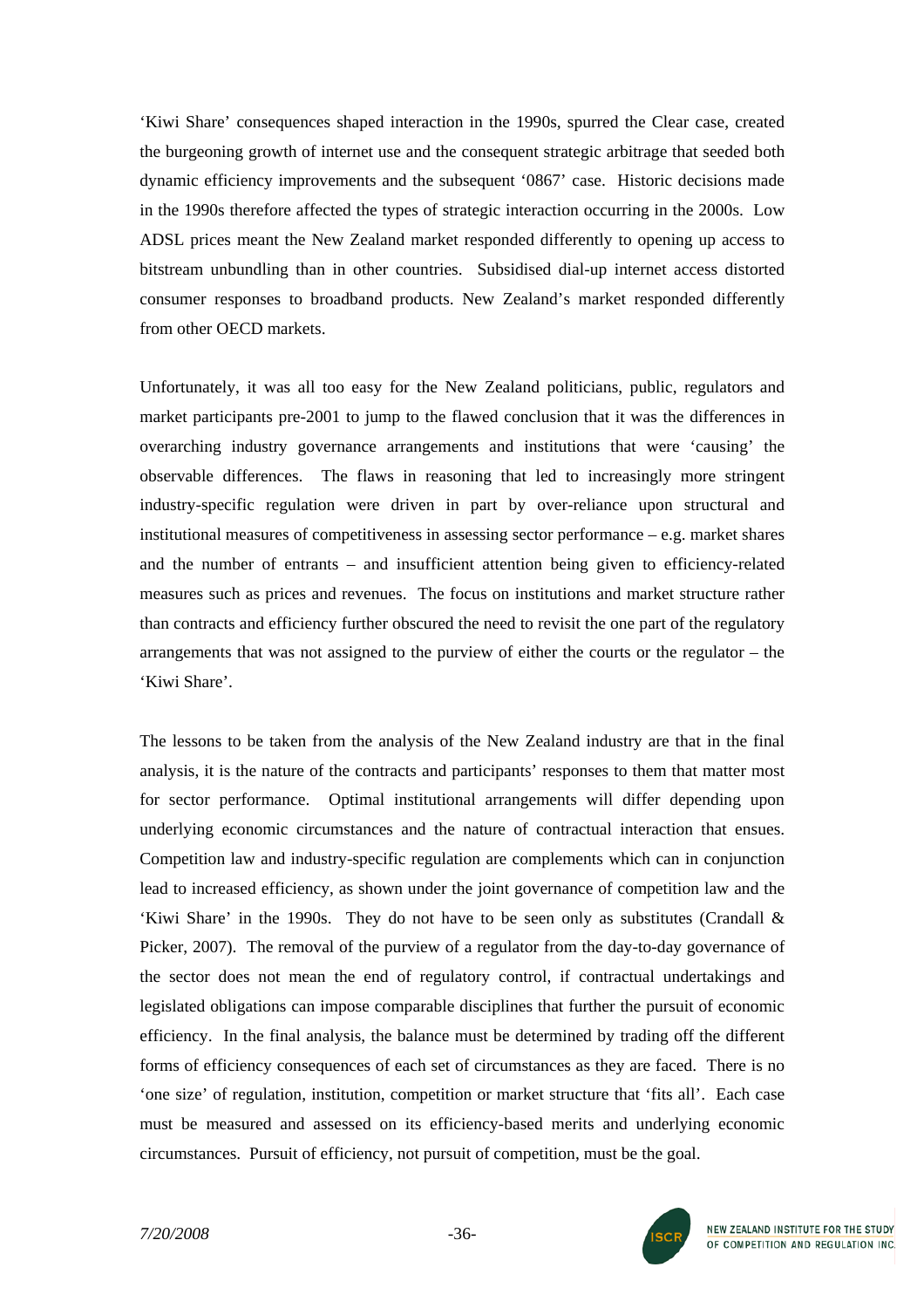'Kiwi Share' consequences shaped interaction in the 1990s, spurred the Clear case, created the burgeoning growth of internet use and the consequent strategic arbitrage that seeded both dynamic efficiency improvements and the subsequent '0867' case. Historic decisions made in the 1990s therefore affected the types of strategic interaction occurring in the 2000s. Low ADSL prices meant the New Zealand market responded differently to opening up access to bitstream unbundling than in other countries. Subsidised dial-up internet access distorted consumer responses to broadband products. New Zealand's market responded differently from other OECD markets.

Unfortunately, it was all too easy for the New Zealand politicians, public, regulators and market participants pre-2001 to jump to the flawed conclusion that it was the differences in overarching industry governance arrangements and institutions that were 'causing' the observable differences. The flaws in reasoning that led to increasingly more stringent industry-specific regulation were driven in part by over-reliance upon structural and institutional measures of competitiveness in assessing sector performance – e.g. market shares and the number of entrants – and insufficient attention being given to efficiency-related measures such as prices and revenues. The focus on institutions and market structure rather than contracts and efficiency further obscured the need to revisit the one part of the regulatory arrangements that was not assigned to the purview of either the courts or the regulator – the 'Kiwi Share'.

The lessons to be taken from the analysis of the New Zealand industry are that in the final analysis, it is the nature of the contracts and participants' responses to them that matter most for sector performance. Optimal institutional arrangements will differ depending upon underlying economic circumstances and the nature of contractual interaction that ensues. Competition law and industry-specific regulation are complements which can in conjunction lead to increased efficiency, as shown under the joint governance of competition law and the 'Kiwi Share' in the 1990s. They do not have to be seen only as substitutes (Crandall & Picker, 2007). The removal of the purview of a regulator from the day-to-day governance of the sector does not mean the end of regulatory control, if contractual undertakings and legislated obligations can impose comparable disciplines that further the pursuit of economic efficiency. In the final analysis, the balance must be determined by trading off the different forms of efficiency consequences of each set of circumstances as they are faced. There is no 'one size' of regulation, institution, competition or market structure that 'fits all'. Each case must be measured and assessed on its efficiency-based merits and underlying economic circumstances. Pursuit of efficiency, not pursuit of competition, must be the goal.

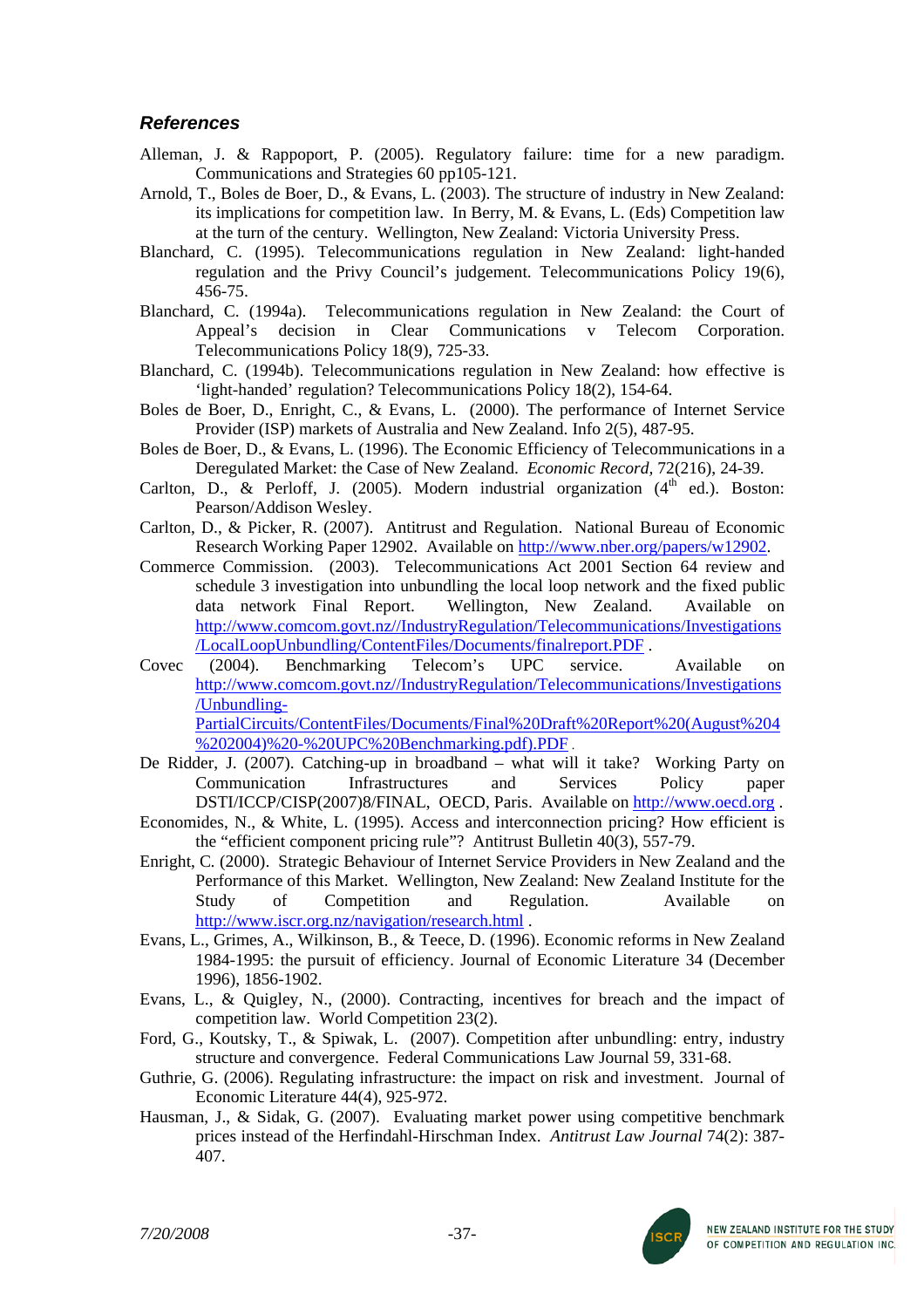# *References*

- Alleman, J. & Rappoport, P. (2005). Regulatory failure: time for a new paradigm. Communications and Strategies 60 pp105-121.
- Arnold, T., Boles de Boer, D., & Evans, L. (2003). The structure of industry in New Zealand: its implications for competition law. In Berry, M. & Evans, L. (Eds) Competition law at the turn of the century. Wellington, New Zealand: Victoria University Press.
- Blanchard, C. (1995). Telecommunications regulation in New Zealand: light-handed regulation and the Privy Council's judgement. Telecommunications Policy 19(6), 456-75.
- Blanchard, C. (1994a). Telecommunications regulation in New Zealand: the Court of Appeal's decision in Clear Communications v Telecom Corporation. Telecommunications Policy 18(9), 725-33.
- Blanchard, C. (1994b). Telecommunications regulation in New Zealand: how effective is 'light-handed' regulation? Telecommunications Policy 18(2), 154-64.
- Boles de Boer, D., Enright, C., & Evans, L. (2000). The performance of Internet Service Provider (ISP) markets of Australia and New Zealand. Info 2(5), 487-95.
- Boles de Boer, D., & Evans, L. (1996). The Economic Efficiency of Telecommunications in a Deregulated Market: the Case of New Zealand. *Economic Record,* 72(216), 24-39.
- Carlton, D., & Perloff, J. (2005). Modern industrial organization  $(4<sup>th</sup>$  ed.). Boston: Pearson/Addison Wesley.
- Carlton, D., & Picker, R. (2007). Antitrust and Regulation. National Bureau of Economic Research Working Paper 12902. Available on [http://www.nber.org/papers/w12902.](http://www.nber.org/papers/w12902)
- Commerce Commission. (2003). Telecommunications Act 2001 Section 64 review and schedule 3 investigation into unbundling the local loop network and the fixed public data network Final Report. Wellington, New Zealand. Available on [http://www.comcom.govt.nz//IndustryRegulation/Telecommunications/Investigations](http://www.comcom.govt.nz//IndustryRegulation/Telecommunications/Investigations/LocalLoopUnbundling/ContentFiles/Documents/finalreport.PDF) [/LocalLoopUnbundling/ContentFiles/Documents/finalreport.PDF](http://www.comcom.govt.nz//IndustryRegulation/Telecommunications/Investigations/LocalLoopUnbundling/ContentFiles/Documents/finalreport.PDF) .
- Covec (2004). Benchmarking Telecom's UPC service. Available on [http://www.comcom.govt.nz//IndustryRegulation/Telecommunications/Investigations](http://www.comcom.govt.nz//IndustryRegulation/Telecommunications/Investigations/Unbundling-PartialCircuits/ContentFiles/Documents/Final Draft Report (August 4 2004) - UPC Benchmarking.pdf).PDF) [/Unbundling-](http://www.comcom.govt.nz//IndustryRegulation/Telecommunications/Investigations/Unbundling-PartialCircuits/ContentFiles/Documents/Final Draft Report (August 4 2004) - UPC Benchmarking.pdf).PDF)[PartialCircuits/ContentFiles/Documents/Final%20Draft%20Report%20\(August%204](http://www.comcom.govt.nz//IndustryRegulation/Telecommunications/Investigations/Unbundling-PartialCircuits/ContentFiles/Documents/Final Draft Report (August 4 2004) - UPC Benchmarking.pdf).PDF) [%202004\)%20-%20UPC%20Benchmarking.pdf\).PDF](http://www.comcom.govt.nz//IndustryRegulation/Telecommunications/Investigations/Unbundling-PartialCircuits/ContentFiles/Documents/Final Draft Report (August 4 2004) - UPC Benchmarking.pdf).PDF) .
- De Ridder, J. (2007). Catching-up in broadband what will it take? Working Party on Communication Infrastructures and Services Policy paper DSTI/ICCP/CISP(2007)8/FINAL, OECD, Paris. Available on [http://www.oecd.org](http://www.oecd.org/) .
- Economides, N., & White, L. (1995). Access and interconnection pricing? How efficient is the "efficient component pricing rule"? Antitrust Bulletin 40(3), 557-79.
- Enright, C*.* (2000). Strategic Behaviour of Internet Service Providers in New Zealand and the Performance of this Market. Wellington, New Zealand: New Zealand Institute for the Study of Competition and Regulation. Available on <http://www.iscr.org.nz/navigation/research.html> .
- Evans, L., Grimes, A., Wilkinson, B., & Teece, D. (1996). Economic reforms in New Zealand 1984-1995: the pursuit of efficiency. Journal of Economic Literature 34 (December 1996), 1856-1902.
- Evans, L., & Quigley, N., (2000). Contracting, incentives for breach and the impact of competition law. World Competition 23(2).
- Ford, G., Koutsky, T., & Spiwak, L. (2007). Competition after unbundling: entry, industry structure and convergence. Federal Communications Law Journal 59, 331-68.
- Guthrie, G. (2006). Regulating infrastructure: the impact on risk and investment. Journal of Economic Literature 44(4), 925-972.
- Hausman, J., & Sidak, G. (2007). Evaluating market power using competitive benchmark prices instead of the Herfindahl-Hirschman Index. *Antitrust Law Journal* 74(2): 387- 407.

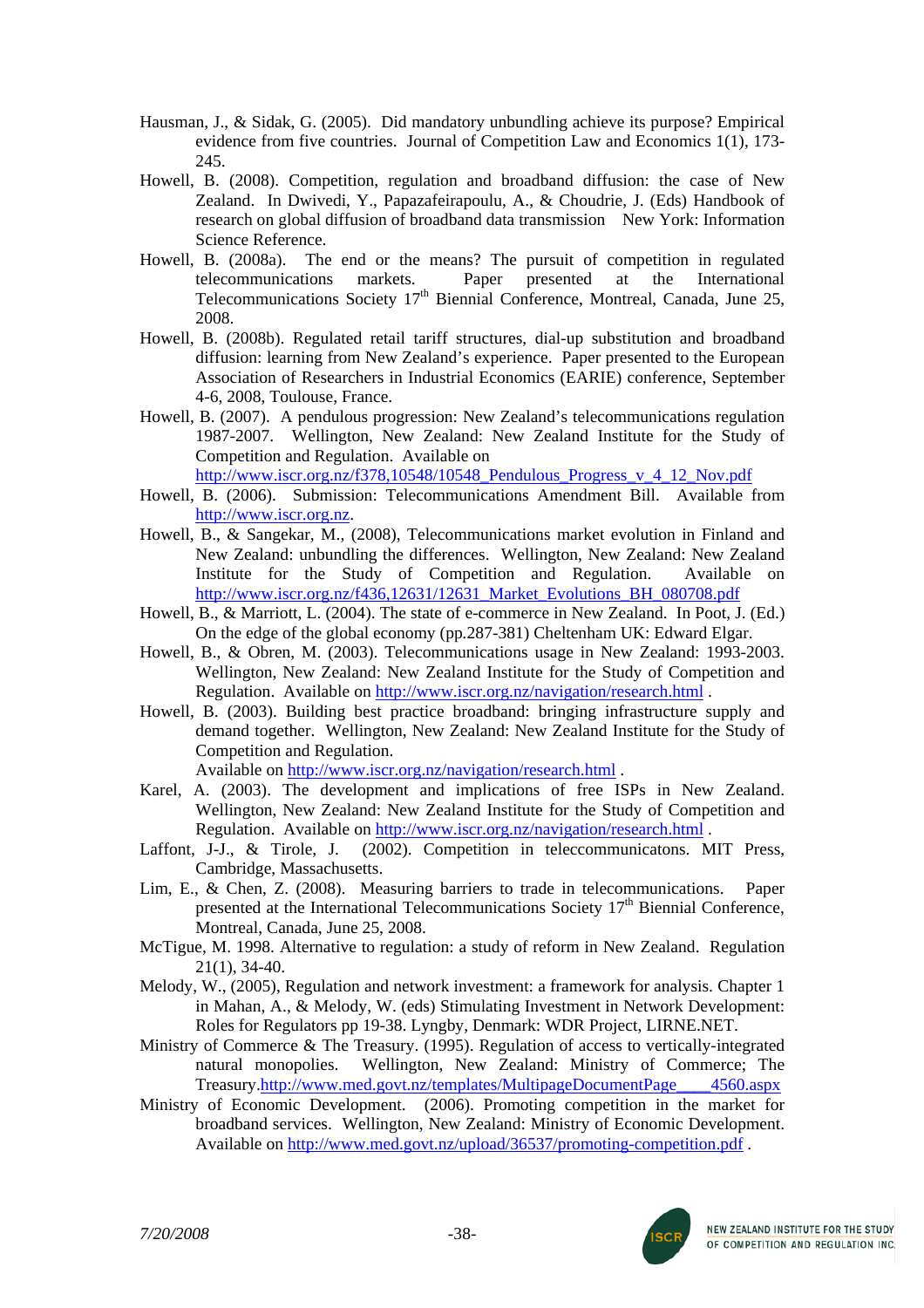- Hausman, J., & Sidak, G. (2005). Did mandatory unbundling achieve its purpose? Empirical evidence from five countries. Journal of Competition Law and Economics 1(1), 173- 245.
- Howell, B. (2008). Competition, regulation and broadband diffusion: the case of New Zealand. In Dwivedi, Y., Papazafeirapoulu, A., & Choudrie, J. (Eds) Handbook of research on global diffusion of broadband data transmission New York: Information Science Reference.
- Howell, B. (2008a). The end or the means? The pursuit of competition in regulated telecommunications markets. Paper presented at the International Telecommunications Society 17<sup>th</sup> Biennial Conference, Montreal, Canada, June 25, 2008.
- Howell, B. (2008b). Regulated retail tariff structures, dial-up substitution and broadband diffusion: learning from New Zealand's experience. Paper presented to the European Association of Researchers in Industrial Economics (EARIE) conference, September 4-6, 2008, Toulouse, France.
- Howell, B. (2007). A pendulous progression: New Zealand's telecommunications regulation 1987-2007. Wellington, New Zealand: New Zealand Institute for the Study of Competition and Regulation. Available on

[http://www.iscr.org.nz/f378,10548/10548\\_Pendulous\\_Progress\\_v\\_4\\_12\\_Nov.pdf](http://www.iscr.org.nz/f378,10548/10548_Pendulous_Progress_v_4_12_Nov.pdf)

- Howell, B. (2006). Submission: Telecommunications Amendment Bill. Available from [http://www.iscr.org.nz](http://www.iscr.org.nz/).
- Howell, B., & Sangekar, M., (2008), Telecommunications market evolution in Finland and New Zealand: unbundling the differences. Wellington, New Zealand: New Zealand Institute for the Study of Competition and Regulation. Available on http://www.iscr.org.nz/f436.12631/12631\_Market\_Evolutions\_BH\_080708.pdf
- Howell, B., & Marriott, L. (2004). The state of e-commerce in New Zealand. In Poot, J. (Ed.) On the edge of the global economy (pp*.*287-381) Cheltenham UK: Edward Elgar.
- Howell, B., & Obren, M. (2003). Telecommunications usage in New Zealand: 1993-2003. Wellington, New Zealand: New Zealand Institute for the Study of Competition and Regulation. Available on <http://www.iscr.org.nz/navigation/research.html> .
- Howell, B. (2003). Building best practice broadband: bringing infrastructure supply and demand together. Wellington, New Zealand: New Zealand Institute for the Study of Competition and Regulation. Available on<http://www.iscr.org.nz/navigation/research.html>.
- Karel, A. (2003). The development and implications of free ISPs in New Zealand. Wellington, New Zealand: New Zealand Institute for the Study of Competition and Regulation. Available on <http://www.iscr.org.nz/navigation/research.html> .
- Laffont, J-J., & Tirole, J. (2002). Competition in teleccommunicatons. MIT Press, Cambridge, Massachusetts.
- Lim, E., & Chen, Z. (2008). Measuring barriers to trade in telecommunications. Paper presented at the International Telecommunications Society  $17<sup>th</sup>$  Biennial Conference, Montreal, Canada, June 25, 2008.
- McTigue, M. 1998. Alternative to regulation: a study of reform in New Zealand. Regulation 21(1), 34-40.
- Melody, W., (2005), Regulation and network investment: a framework for analysis. Chapter 1 in Mahan, A., & Melody, W. (eds) Stimulating Investment in Network Development: Roles for Regulators pp 19-38. Lyngby, Denmark: WDR Project, LIRNE.NET.
- Ministry of Commerce & The Treasury. (1995). Regulation of access to vertically-integrated natural monopolies. Wellington, New Zealand: Ministry of Commerce; The Treasury.[http://www.med.govt.nz/templates/MultipageDocumentPage\\_\\_\\_\\_4560.aspx](http://www.med.govt.nz/templates/MultipageDocumentPage____4560.aspx)
- Ministry of Economic Development. (2006). Promoting competition in the market for broadband services. Wellington, New Zealand: Ministry of Economic Development. Available on<http://www.med.govt.nz/upload/36537/promoting-competition.pdf>.

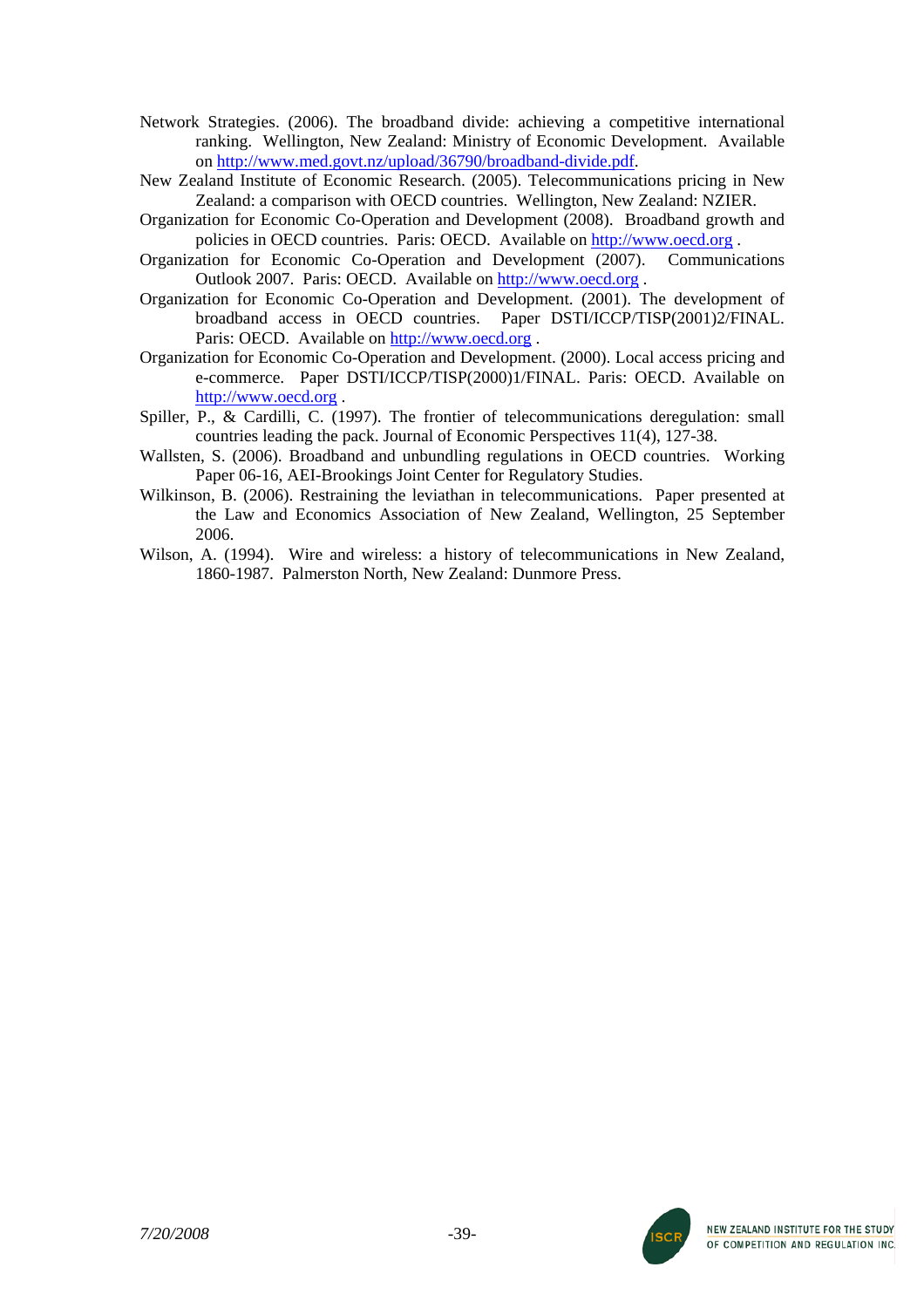- Network Strategies. (2006). The broadband divide: achieving a competitive international ranking. Wellington, New Zealand: Ministry of Economic Development. Available on [http://www.med.govt.nz/upload/36790/broadband-divide.pdf.](http://www.med.govt.nz/upload/36790/broadband-divide.pdf)
- New Zealand Institute of Economic Research. (2005). Telecommunications pricing in New Zealand: a comparison with OECD countries. Wellington, New Zealand: NZIER.
- Organization for Economic Co-Operation and Development (2008). Broadband growth and policies in OECD countries. Paris: OECD. Available on [http://www.oecd.org](http://www.oecd.org/) .
- Organization for Economic Co-Operation and Development (2007). Communications Outlook 2007. Paris: OECD. Available on [http://www.oecd.org](http://www.oecd.org/) .
- Organization for Economic Co-Operation and Development. (2001). The development of broadband access in OECD countries. Paper DSTI/ICCP/TISP(2001)2/FINAL. Paris: OECD. Available on [http://www.oecd.org](http://www.oecd.org/) .
- Organization for Economic Co-Operation and Development. (2000). Local access pricing and e-commerce. Paper DSTI/ICCP/TISP(2000)1/FINAL. Paris: OECD. Available on [http://www.oecd.org](http://www.oecd.org/) .
- Spiller, P., & Cardilli, C. (1997). The frontier of telecommunications deregulation: small countries leading the pack. Journal of Economic Perspectives 11(4), 127-38.
- Wallsten, S. (2006). Broadband and unbundling regulations in OECD countries. Working Paper 06-16, AEI-Brookings Joint Center for Regulatory Studies.
- Wilkinson, B. (2006). Restraining the leviathan in telecommunications. Paper presented at the Law and Economics Association of New Zealand, Wellington, 25 September 2006.
- Wilson, A. (1994). Wire and wireless: a history of telecommunications in New Zealand, 1860-1987. Palmerston North, New Zealand: Dunmore Press.

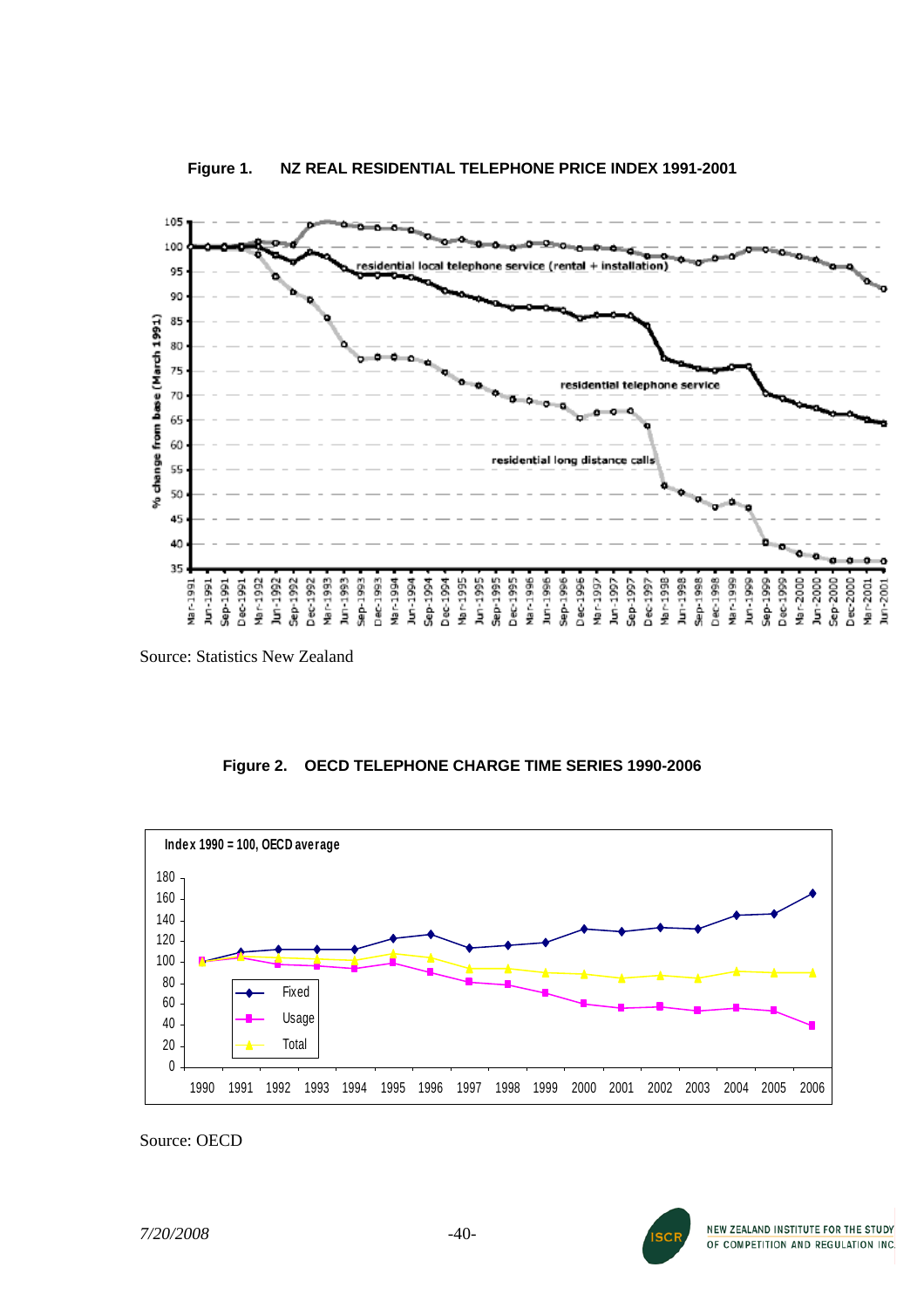



Source: Statistics New Zealand

# **Figure 2. OECD TELEPHONE CHARGE TIME SERIES 1990-2006**



Source: OECD

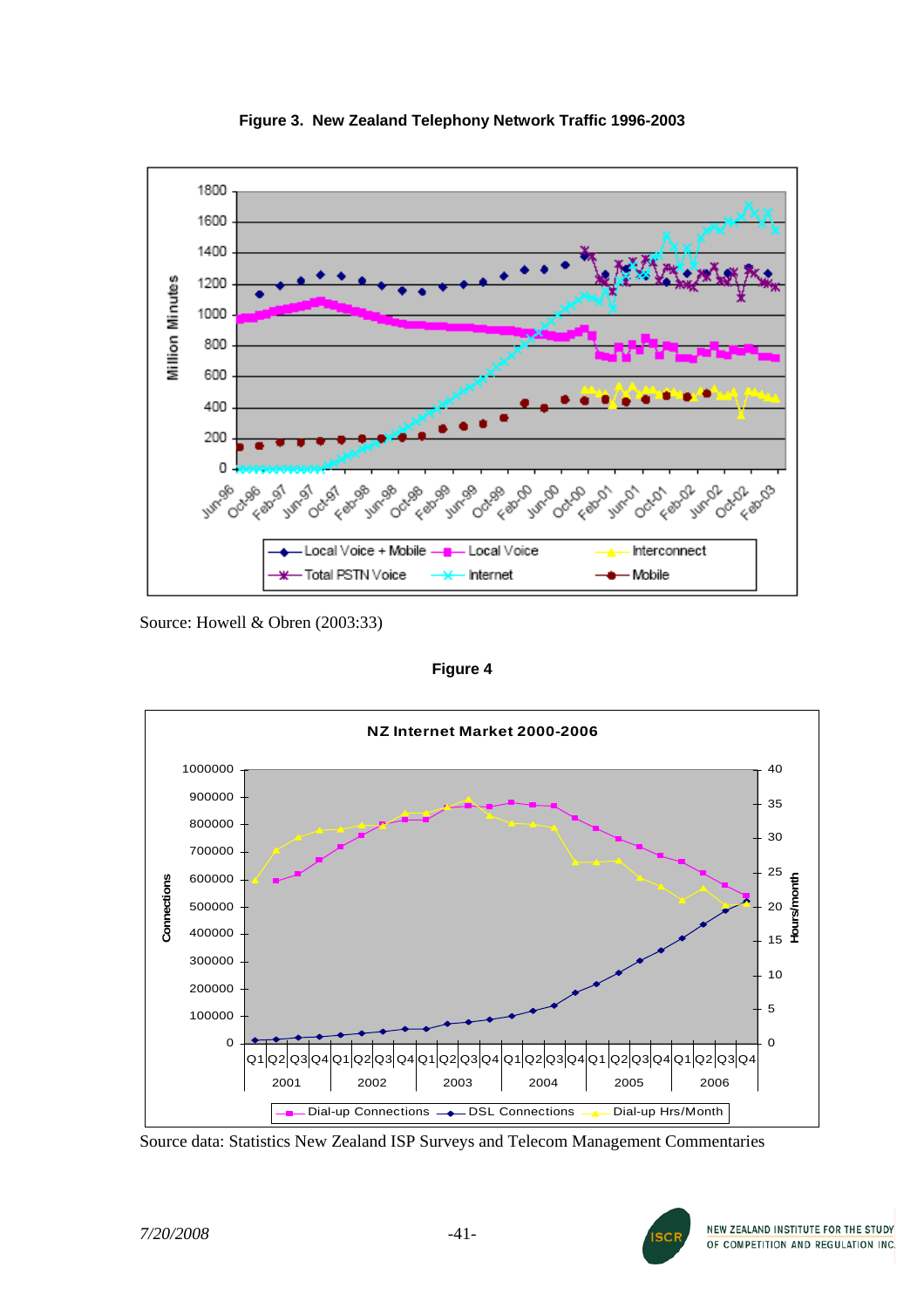

**Figure 3. New Zealand Telephony Network Traffic 1996-2003** 

Source: Howell & Obren (2003:33)

**Figure 4**



Source data: Statistics New Zealand ISP Surveys and Telecom Management Commentaries

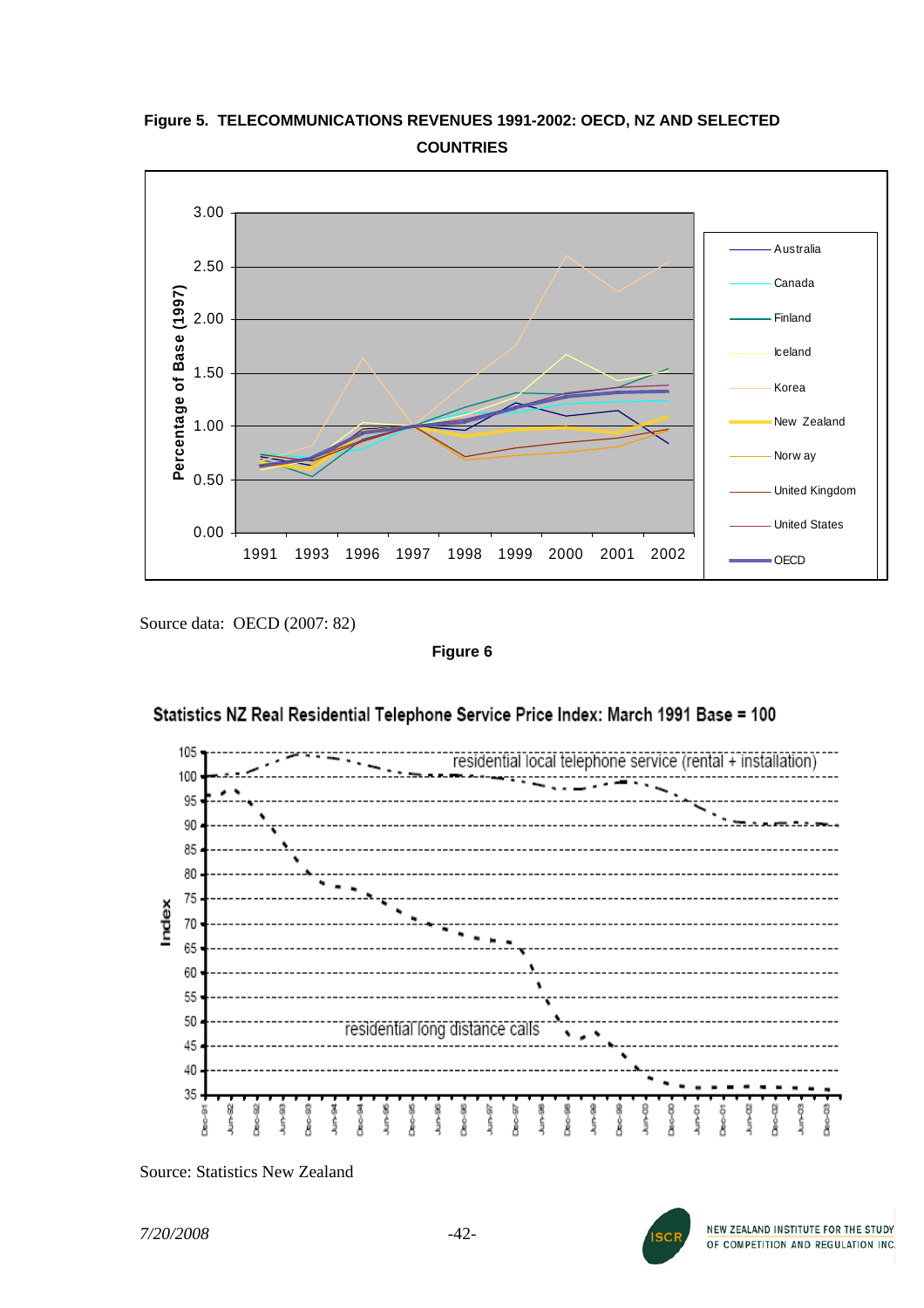# **Figure 5. TELECOMMUNICATIONS REVENUES 1991-2002: OECD, NZ AND SELECTED COUNTRIES**



Source data: OECD (2007: 82)

**Figure 6** 



# Statistics NZ Real Residential Telephone Service Price Index: March 1991 Base = 100

Source: Statistics New Zealand

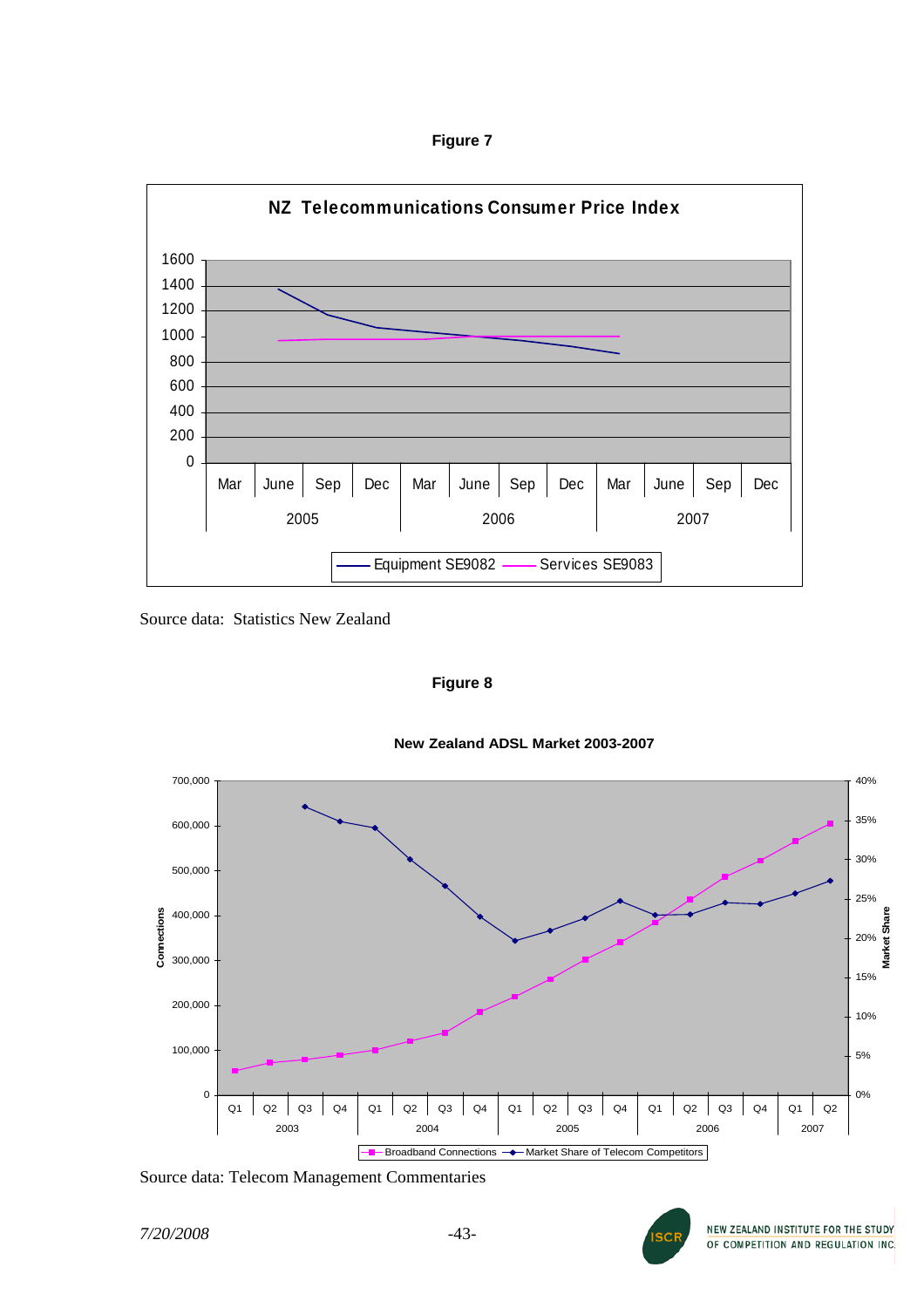**Figure 7** 



Source data: Statistics New Zealand

**Figure 8** 





Source data: Telecom Management Commentaries